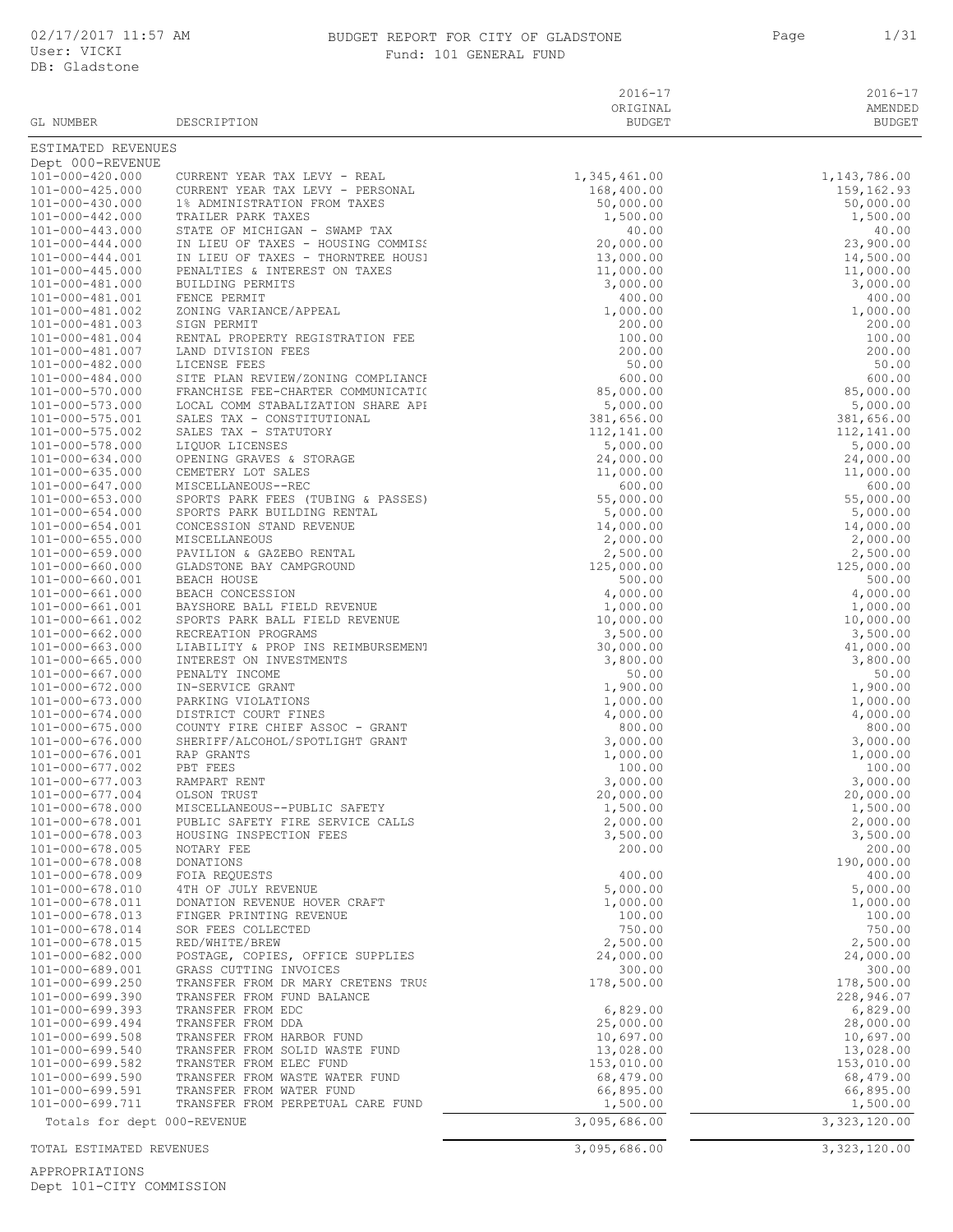# BUDGET REPORT FOR CITY OF GLADSTONE 1 1/31 Fund: 101 GENERAL FUND

| ×<br>۰, |  |
|---------|--|
|---------|--|

| GL NUMBER                                      | DESCRIPTION                                                                                                                                                                                                                                      | $2016 - 17$<br>ORIGINAL<br><b>BUDGET</b> | $2016 - 17$<br>AMENDED<br><b>BUDGET</b> |
|------------------------------------------------|--------------------------------------------------------------------------------------------------------------------------------------------------------------------------------------------------------------------------------------------------|------------------------------------------|-----------------------------------------|
| ESTIMATED REVENUES                             |                                                                                                                                                                                                                                                  |                                          |                                         |
| Dept 000-REVENUE<br>101-000-420.000            | CURRENT YEAR TAX LEVY - REAL                                                                                                                                                                                                                     | 1,345,461.00                             | 1,143,786.00                            |
| $101 - 000 - 425.000$                          | CURRENT YEAR TAX LEVY - PERSONAL                                                                                                                                                                                                                 | 168,400.00                               | 159, 162.93                             |
| 101-000-430.000                                | 1% ADMINISTRATION FROM TAXES                                                                                                                                                                                                                     | 50,000.00                                | 50,000.00                               |
| 101-000-442.000                                | TRAILER PARK TAXES                                                                                                                                                                                                                               | 1,500.00                                 | 1,500.00                                |
| 101-000-443.000<br>$101 - 000 - 444.000$       | STATE OF MICHIGAN - SWAMP TAX<br>IN LIEU OF TAXES - HOUSING COMMISS                                                                                                                                                                              | 40.00<br>20,000.00                       | 40.00<br>23,900.00                      |
| $101 - 000 - 444.001$                          | IN LIEU OF TAXES - THORNTREE HOUS!                                                                                                                                                                                                               | 13,000.00                                | 14,500.00                               |
| $101 - 000 - 445.000$                          | PENALTIES & INTEREST ON TAXES                                                                                                                                                                                                                    | 11,000.00                                | 11,000.00                               |
| 101-000-481.000<br>101-000-481.001             | BUILDING PERMITS<br>FENCE PERMIT                                                                                                                                                                                                                 | 3,000.00<br>400.00                       | 3,000.00<br>400.00                      |
| 101-000-481.002                                | ZONING VARIANCE/APPEAL                                                                                                                                                                                                                           | 1,000.00                                 | 1,000.00                                |
| 101-000-481.003                                | SIGN PERMIT                                                                                                                                                                                                                                      | 200.00                                   | 200.00                                  |
| 101-000-481.004                                | RENTAL PROPERTY REGISTRATION FEE                                                                                                                                                                                                                 | 100.00                                   | 100.00                                  |
| 101-000-481.007<br>101-000-482.000             | LAND DIVISION FEES<br>LICENSE FEES                                                                                                                                                                                                               | 200.00<br>50.00                          | 200.00<br>50.00                         |
| 101-000-484.000                                | SITE PLAN REVIEW/ZONING COMPLIANCH                                                                                                                                                                                                               | 600.00                                   | 600.00                                  |
| 101-000-570.000                                | FRANCHISE FEE-CHARTER COMMUNICATI(                                                                                                                                                                                                               | 85,000.00                                | 85,000.00                               |
| 101-000-573.000                                | LOCAL COMM STABALIZATION SHARE API                                                                                                                                                                                                               | 5,000.00                                 | 5,000.00                                |
| 101-000-575.001<br>101-000-575.002             | SALES TAX - CONSTITUTIONAL<br>SALES TAX - STATUTORY                                                                                                                                                                                              | 381,656.00<br>112,141.00                 | 381,656.00<br>112,141.00                |
| 101-000-578.000                                | LIQUOR LICENSES                                                                                                                                                                                                                                  | 5,000.00                                 | 5,000.00                                |
| 101-000-634.000                                | OPENING GRAVES & STORAGE                                                                                                                                                                                                                         | 24,000.00                                | 24,000.00                               |
| $101 - 000 - 635.000$                          | CEMETERY LOT SALES                                                                                                                                                                                                                               | 11,000.00                                | 11,000.00                               |
| 101-000-647.000<br>$101 - 000 - 653.000$       | MISCELLANEOUS--REC                                                                                                                                                                                                                               | 600.00<br>55,000.00                      | 600.00<br>55,000.00                     |
| $101 - 000 - 654.000$                          |                                                                                                                                                                                                                                                  | 5,000.00                                 | 5,000.00                                |
| $101 - 000 - 654.001$                          |                                                                                                                                                                                                                                                  | 14,000.00                                | 14,000.00                               |
| $101 - 000 - 655.000$                          |                                                                                                                                                                                                                                                  | 2,000.00                                 | 2,000.00                                |
| $101 - 000 - 659.000$<br>101-000-660.000       |                                                                                                                                                                                                                                                  | 2,500.00<br>125,000.00                   | 2,500.00<br>125,000.00                  |
| 101-000-660.001                                |                                                                                                                                                                                                                                                  | 500.00                                   | 500.00                                  |
| 101-000-661.000                                |                                                                                                                                                                                                                                                  | 4,000.00                                 | 4,000.00                                |
| 101-000-661.001                                |                                                                                                                                                                                                                                                  | 1,000.00                                 | 1,000.00                                |
| 101-000-661.002<br>101-000-662.000             | MISCELLANEOUS--REC<br>SPORTS PARK FEES (TUBING & PASSES)<br>SPORTS PARK BUILDING RENTAL<br>CONCESSION STAND REVENUE<br>MISCELLANEOUS<br>PAVILION & GAZEBO RENTAL<br>CLADSTONE BAY CAMPGROUND<br>BEACH HOUSE<br>BEACH CONCESSION<br>BAYSHORE BALL | 10,000.00<br>3,500.00                    | 10,000.00<br>3,500.00                   |
| $101 - 000 - 663.000$                          |                                                                                                                                                                                                                                                  | 30,000.00                                | 41,000.00                               |
| $101 - 000 - 665.000$                          |                                                                                                                                                                                                                                                  | 3,800.00                                 | 3,800.00                                |
| 101-000-667.000<br>$101 - 000 - 672.000$       | PENALTY INCOME                                                                                                                                                                                                                                   | 50.00<br>1,900.00                        | 50.00                                   |
| 101-000-673.000                                | IN-SERVICE GRANT<br>PARKING VIOLATIONS                                                                                                                                                                                                           | 1,000.00                                 | 1,900.00<br>1,000.00                    |
| $101 - 000 - 674.000$                          | DISTRICT COURT FINES                                                                                                                                                                                                                             | 4,000.00                                 | 4,000.00                                |
| $101 - 000 - 675.000$                          | COUNTY FIRE CHIEF ASSOC - GRANT                                                                                                                                                                                                                  | 800.00                                   | 800.00                                  |
| 101-000-676.000<br>101-000-676.001             | SHERIFF/ALCOHOL/SPOTLIGHT GRANT<br>RAP GRANTS                                                                                                                                                                                                    | 3,000.00<br>1,000.00                     | 3,000.00<br>1,000.00                    |
| $101 - 000 - 677.002$                          | PBT FEES                                                                                                                                                                                                                                         | 100.00                                   | 100.00                                  |
| $101 - 000 - 677.003$                          | RAMPART RENT                                                                                                                                                                                                                                     | 3,000.00                                 | 3,000.00                                |
| 101-000-677.004                                | OLSON TRUST                                                                                                                                                                                                                                      | 20,000.00                                | 20,000.00                               |
| 101-000-678.000<br>101-000-678.001             | MISCELLANEOUS--PUBLIC SAFETY<br>PUBLIC SAFETY FIRE SERVICE CALLS                                                                                                                                                                                 | 1,500.00<br>2,000.00                     | 1,500.00                                |
| 101-000-678.003                                | HOUSING INSPECTION FEES                                                                                                                                                                                                                          | 3,500.00                                 | 2,000.00<br>3,500.00                    |
| $101 - 000 - 678.005$                          | NOTARY FEE                                                                                                                                                                                                                                       | 200.00                                   | 200.00                                  |
| $101 - 000 - 678.008$                          | DONATIONS                                                                                                                                                                                                                                        |                                          | 190,000.00                              |
| 101-000-678.009<br>101-000-678.010             | FOIA REQUESTS<br>4TH OF JULY REVENUE                                                                                                                                                                                                             | 400.00<br>5,000.00                       | 400.00<br>5,000.00                      |
| 101-000-678.011                                | DONATION REVENUE HOVER CRAFT                                                                                                                                                                                                                     | 1,000.00                                 | 1,000.00                                |
| 101-000-678.013                                | FINGER PRINTING REVENUE                                                                                                                                                                                                                          | 100.00                                   | 100.00                                  |
| 101-000-678.014                                | SOR FEES COLLECTED                                                                                                                                                                                                                               | 750.00                                   | 750.00                                  |
| 101-000-678.015<br>101-000-682.000             | RED/WHITE/BREW<br>POSTAGE, COPIES, OFFICE SUPPLIES                                                                                                                                                                                               | 2,500.00<br>24,000.00                    | 2,500.00<br>24,000.00                   |
| 101-000-689.001                                | GRASS CUTTING INVOICES                                                                                                                                                                                                                           | 300.00                                   | 300.00                                  |
| 101-000-699.250                                | TRANSFER FROM DR MARY CRETENS TRUS                                                                                                                                                                                                               | 178,500.00                               | 178,500.00                              |
| $101 - 000 - 699.390$                          | TRANSFER FROM FUND BALANCE                                                                                                                                                                                                                       |                                          | 228,946.07                              |
| $101 - 000 - 699.393$<br>$101 - 000 - 699.494$ | TRANSFER FROM EDC<br>TRANSFER FROM DDA                                                                                                                                                                                                           | 6,829.00<br>25,000.00                    | 6,829.00<br>28,000.00                   |
| 101-000-699.508                                | TRANSFER FROM HARBOR FUND                                                                                                                                                                                                                        | 10,697.00                                | 10,697.00                               |
| 101-000-699.540                                | TRANSFER FROM SOLID WASTE FUND                                                                                                                                                                                                                   | 13,028.00                                | 13,028.00                               |
| 101-000-699.582                                | TRANSTER FROM ELEC FUND                                                                                                                                                                                                                          | 153,010.00                               | 153,010.00                              |
| $101 - 000 - 699.590$<br>101-000-699.591       | TRANSFER FROM WASTE WATER FUND<br>TRANSFER FROM WATER FUND                                                                                                                                                                                       | 68,479.00<br>66,895.00                   | 68,479.00<br>66,895.00                  |
| 101-000-699.711                                | TRANSFER FROM PERPETUAL CARE FUND                                                                                                                                                                                                                | 1,500.00                                 | 1,500.00                                |
| Totals for dept 000-REVENUE                    |                                                                                                                                                                                                                                                  | 3,095,686.00                             | 3,323,120.00                            |
| TOTAL ESTIMATED REVENUES                       |                                                                                                                                                                                                                                                  | 3,095,686.00                             | 3,323,120.00                            |

APPROPRIATIONS Dept 101-CITY COMMISSION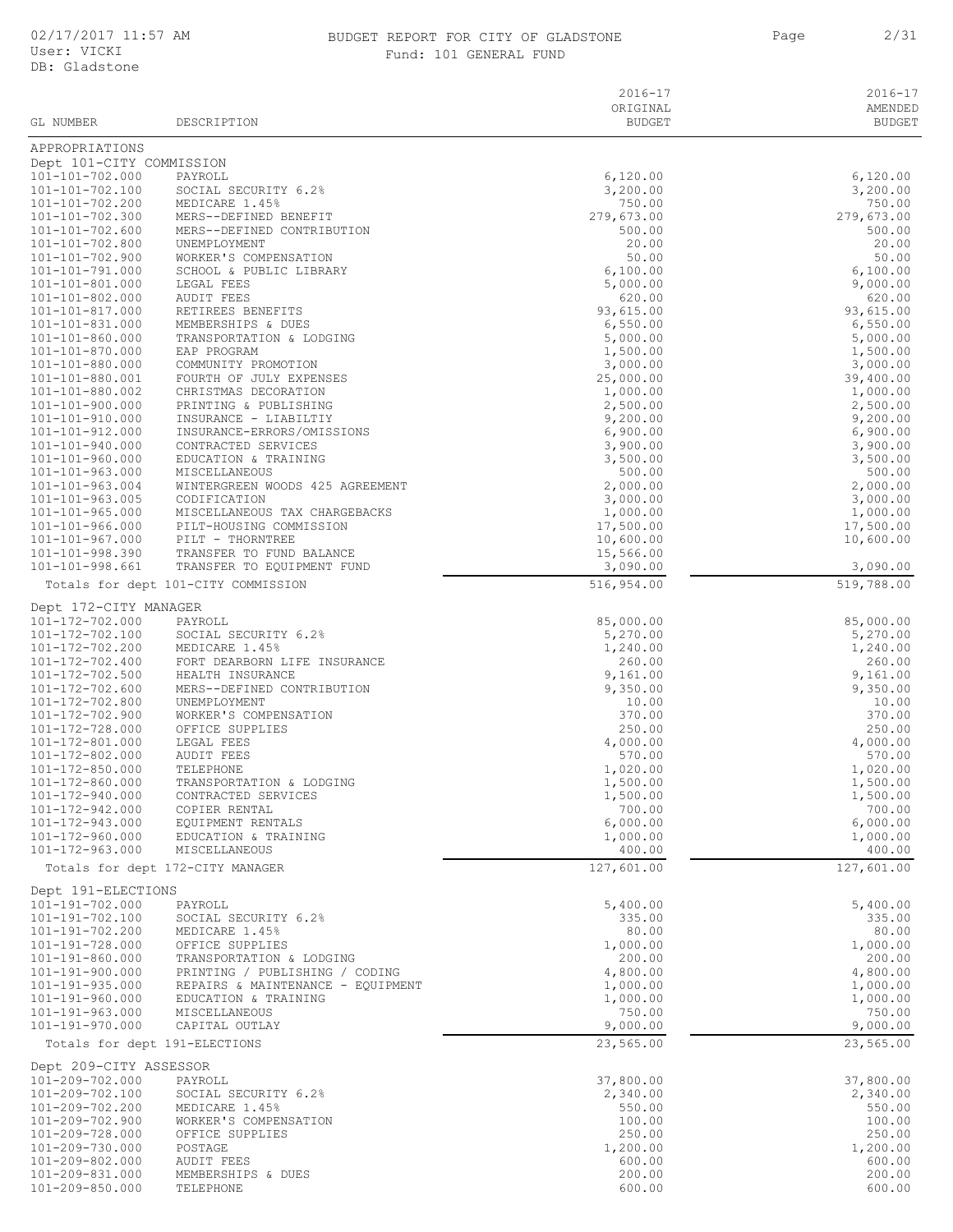#### 02/17/2017 11:57 AM BUDGET REPORT FOR CITY OF GLADSTONE 2/31 Fund: 101 GENERAL FUND

|                                                |                                                            | $2016 - 17$           | $2016 - 17$           |
|------------------------------------------------|------------------------------------------------------------|-----------------------|-----------------------|
|                                                |                                                            | ORIGINAL              | AMENDED               |
| GL NUMBER                                      | DESCRIPTION                                                | <b>BUDGET</b>         | <b>BUDGET</b>         |
| APPROPRIATIONS                                 |                                                            |                       |                       |
| Dept 101-CITY COMMISSION                       |                                                            |                       |                       |
| 101-101-702.000                                | PAYROLL                                                    | 6,120.00              | 6,120.00              |
| 101-101-702.100<br>101-101-702.200             | SOCIAL SECURITY 6.2%<br>MEDICARE 1.45%                     | 3,200.00<br>750.00    | 3,200.00<br>750.00    |
| 101-101-702.300                                | MERS--DEFINED BENEFIT                                      | 279,673.00            | 279,673.00            |
| 101-101-702.600                                | MERS--DEFINED CONTRIBUTION                                 | 500.00                | 500.00                |
| 101-101-702.800                                | UNEMPLOYMENT                                               | 20.00                 | 20.00                 |
| 101-101-702.900<br>101-101-791.000             | WORKER'S COMPENSATION<br>SCHOOL & PUBLIC LIBRARY           | 50.00<br>6,100.00     | 50.00<br>6,100.00     |
| 101-101-801.000                                | LEGAL FEES                                                 | 5,000.00              | 9,000.00              |
| 101-101-802.000                                | <b>AUDIT FEES</b>                                          | 620.00                | 620.00                |
| 101-101-817.000                                | RETIREES BENEFITS                                          | 93,615.00             | 93,615.00             |
| 101-101-831.000                                | MEMBERSHIPS & DUES                                         | 6,550.00              | 6,550.00              |
| 101-101-860.000<br>101-101-870.000             | TRANSPORTATION & LODGING<br>EAP PROGRAM                    | 5,000.00<br>1,500.00  | 5,000.00<br>1,500.00  |
| 101-101-880.000                                | COMMUNITY PROMOTION                                        | 3,000.00              | 3,000.00              |
| 101-101-880.001                                | FOURTH OF JULY EXPENSES                                    | 25,000.00             | 39,400.00             |
| 101-101-880.002                                | CHRISTMAS DECORATION                                       | 1,000.00              | 1,000.00              |
| 101-101-900.000<br>101-101-910.000             | PRINTING & PUBLISHING<br>INSURANCE - LIABILTIY             | 2,500.00<br>9,200.00  | 2,500.00              |
| 101-101-912.000                                | INSURANCE-ERRORS/OMISSIONS                                 | 6,900.00              | 9,200.00<br>6,900.00  |
| 101-101-940.000                                | CONTRACTED SERVICES                                        | 3,900.00              | 3,900.00              |
| $101 - 101 - 960.000$                          | EDUCATION & TRAINING                                       | 3,500.00              | 3,500.00              |
| $101 - 101 - 963.000$                          | MISCELLANEOUS                                              | 500.00                | 500.00                |
| $101 - 101 - 963.004$                          | WINTERGREEN WOODS 425 AGREEMENT                            | 2,000.00              | 2,000.00              |
| $101 - 101 - 963.005$                          | CODIFICATION                                               | 3,000.00              | 3,000.00              |
| $101 - 101 - 965.000$<br>$101 - 101 - 966.000$ | MISCELLANEOUS TAX CHARGEBACKS<br>PILT-HOUSING COMMISSION   | 1,000.00<br>17,500.00 | 1,000.00<br>17,500.00 |
| 101-101-967.000                                | PILT - THORNTREE                                           | 10,600.00             | 10,600.00             |
| 101-101-998.390                                | TRANSFER TO FUND BALANCE                                   | 15,566.00             |                       |
| 101-101-998.661                                | TRANSFER TO EQUIPMENT FUND                                 | 3,090.00              | 3,090.00              |
|                                                | Totals for dept 101-CITY COMMISSION                        | 516,954.00            | 519,788.00            |
| Dept 172-CITY MANAGER                          |                                                            |                       |                       |
| 101-172-702.000                                | PAYROLL                                                    | 85,000.00             | 85,000.00             |
| 101-172-702.100                                | SOCIAL SECURITY 6.2%                                       | 5,270.00              | 5,270.00              |
| 101-172-702.200                                | MEDICARE 1.45%                                             | 1,240.00              | 1,240.00              |
| 101-172-702.400                                | FORT DEARBORN LIFE INSURANCE                               | 260.00                | 260.00                |
| 101-172-702.500                                | HEALTH INSURANCE                                           | 9,161.00              | 9,161.00              |
| 101-172-702.600<br>101-172-702.800             | MERS--DEFINED CONTRIBUTION<br>UNEMPLOYMENT                 | 9,350.00<br>10.00     | 9,350.00<br>10.00     |
| 101-172-702.900                                | WORKER'S COMPENSATION                                      | 370.00                | 370.00                |
| 101-172-728.000                                | OFFICE SUPPLIES                                            | 250.00                | 250.00                |
| 101-172-801.000                                | LEGAL FEES                                                 | 4,000.00              | 4,000.00              |
| 101-172-802.000                                | AUDIT FEES                                                 | 570.00                | 570.00                |
| 101-172-850.000                                | TELEPHONE                                                  | 1,020.00              | 1,020.00              |
| 101-172-860.000<br>101-172-940.000             | TRANSPORTATION & LODGING<br>CONTRACTED SERVICES            | 1,500.00<br>1,500.00  | 1,500.00<br>1,500.00  |
| 101-172-942.000                                | COPIER RENTAL                                              | 700.00                | 700.00                |
| 101-172-943.000                                | EQUIPMENT RENTALS                                          | 6,000.00              | 6,000.00              |
| 101-172-960.000                                | EDUCATION & TRAINING                                       | 1,000.00              | 1,000.00              |
| 101-172-963.000                                | MISCELLANEOUS                                              | 400.00                | 400.00                |
|                                                | Totals for dept 172-CITY MANAGER                           | 127,601.00            | 127,601.00            |
| Dept 191-ELECTIONS                             |                                                            |                       |                       |
| 101-191-702.000                                | PAYROLL                                                    | 5,400.00              | 5,400.00              |
| 101-191-702.100                                | SOCIAL SECURITY 6.2%                                       | 335.00                | 335.00                |
| 101-191-702.200                                | MEDICARE 1.45%                                             | 80.00                 | 80.00                 |
| 101-191-728.000                                | OFFICE SUPPLIES                                            | 1,000.00              | 1,000.00              |
| 101-191-860.000<br>101-191-900.000             | TRANSPORTATION & LODGING<br>PRINTING / PUBLISHING / CODING | 200.00                | 200.00                |
| $101 - 191 - 935.000$                          | REPAIRS & MAINTENANCE - EQUIPMENT                          | 4,800.00<br>1,000.00  | 4,800.00<br>1,000.00  |
| 101-191-960.000                                | EDUCATION & TRAINING                                       | 1,000.00              | 1,000.00              |
| 101-191-963.000                                | MISCELLANEOUS                                              | 750.00                | 750.00                |
| 101-191-970.000                                | CAPITAL OUTLAY                                             | 9,000.00              | 9,000.00              |
| Totals for dept 191-ELECTIONS                  |                                                            | 23,565.00             | 23,565.00             |
| Dept 209-CITY ASSESSOR                         |                                                            |                       |                       |
| 101-209-702.000                                | PAYROLL                                                    | 37,800.00             | 37,800.00             |
| 101-209-702.100                                | SOCIAL SECURITY 6.2%                                       | 2,340.00              | 2,340.00              |
| 101-209-702.200                                | MEDICARE 1.45%                                             | 550.00                | 550.00                |
| 101-209-702.900                                | WORKER'S COMPENSATION                                      | 100.00                | 100.00                |
| 101-209-728.000                                | OFFICE SUPPLIES                                            | 250.00                | 250.00                |
| 101-209-730.000                                | POSTAGE                                                    | 1,200.00              | 1,200.00              |
| 101-209-802.000<br>101-209-831.000             | AUDIT FEES<br>MEMBERSHIPS & DUES                           | 600.00<br>200.00      | 600.00<br>200.00      |
| 101-209-850.000                                | TELEPHONE                                                  | 600.00                | 600.00                |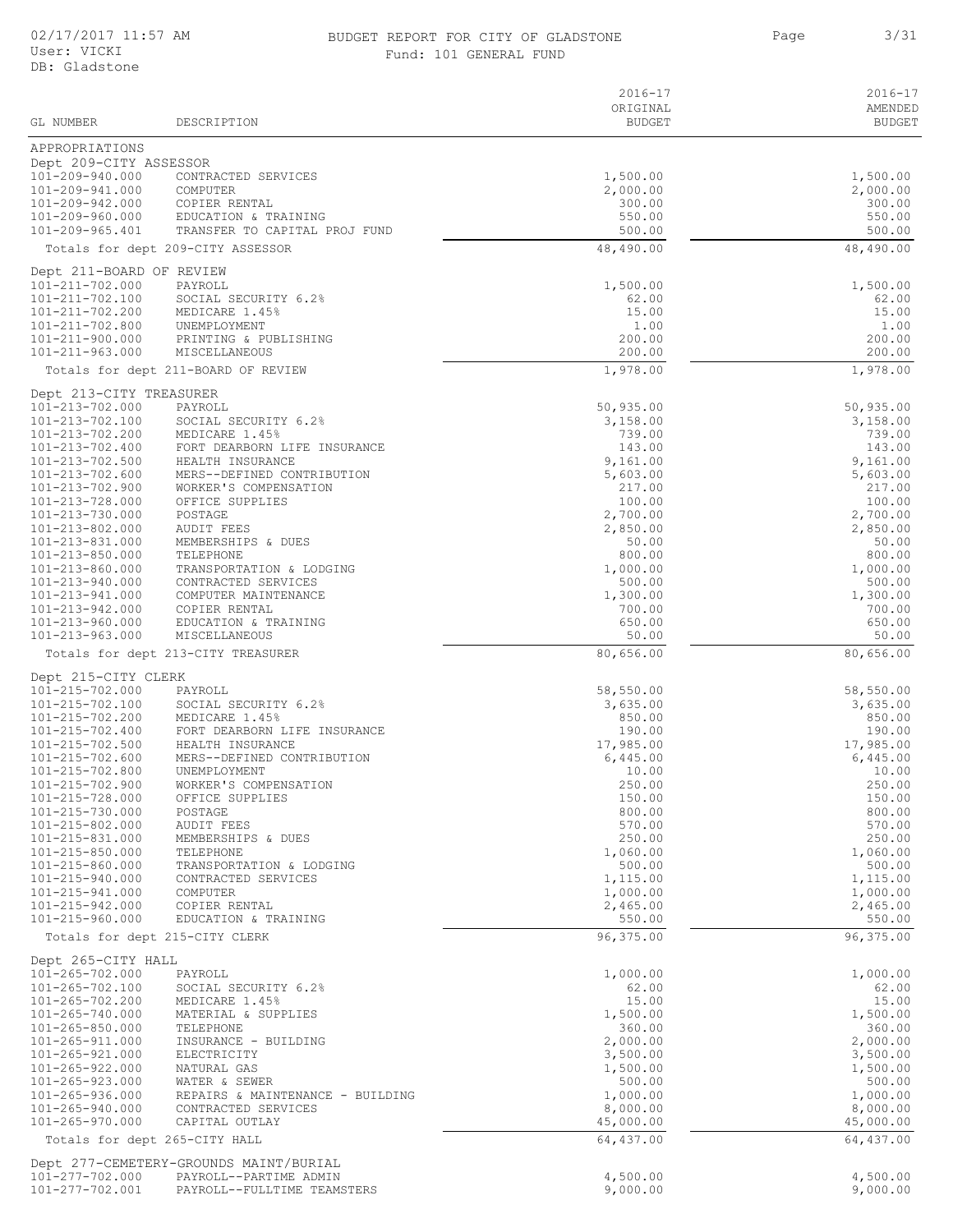#### 02/17/2017 11:57 AM BUDGET REPORT FOR CITY OF GLADSTONE Page BUDGET REPORT FOR CITY OF GLADSTONE **3/31** Fund: 101 GENERAL FUND

|                                                  |                                                                  | $2016 - 17$<br>ORIGINAL | $2016 - 17$<br>AMENDED |
|--------------------------------------------------|------------------------------------------------------------------|-------------------------|------------------------|
| <b>GL NUMBER</b>                                 | DESCRIPTION                                                      | <b>BUDGET</b>           | <b>BUDGET</b>          |
| APPROPRIATIONS                                   |                                                                  |                         |                        |
| Dept 209-CITY ASSESSOR<br>101-209-940.000        | CONTRACTED SERVICES                                              | 1,500.00                | 1,500.00               |
| 101-209-941.000                                  | COMPUTER                                                         | 2,000.00                | 2,000.00               |
| 101-209-942.000<br>101-209-960.000               | COPIER RENTAL<br>EDUCATION & TRAINING                            | 300.00<br>550.00        | 300.00<br>550.00       |
| 101-209-965.401                                  | TRANSFER TO CAPITAL PROJ FUND                                    | 500.00                  | 500.00                 |
|                                                  | Totals for dept 209-CITY ASSESSOR                                | 48,490.00               | 48,490.00              |
| Dept 211-BOARD OF REVIEW                         |                                                                  |                         |                        |
| 101-211-702.000                                  | PAYROLL                                                          | 1,500.00                | 1,500.00               |
| 101-211-702.100<br>101-211-702.200               | SOCIAL SECURITY 6.2%<br>MEDICARE 1.45%                           | 62.00<br>15.00          | 62.00<br>15.00         |
| 101-211-702.800                                  | UNEMPLOYMENT                                                     | 1.00                    | 1.00                   |
| 101-211-900.000<br>101-211-963.000               | PRINTING & PUBLISHING<br>MISCELLANEOUS                           | 200.00<br>200.00        | 200.00<br>200.00       |
|                                                  | Totals for dept 211-BOARD OF REVIEW                              | 1,978.00                | 1,978.00               |
| Dept 213-CITY TREASURER                          |                                                                  |                         |                        |
| 101-213-702.000                                  | PAYROLL                                                          | 50,935.00               | 50,935.00              |
| $101 - 213 - 702.100$<br>101-213-702.200         | SOCIAL SECURITY 6.2%<br>MEDICARE 1.45%                           | 3,158.00<br>739.00      | 3,158.00<br>739.00     |
| 101-213-702.400                                  | FORT DEARBORN LIFE INSURANCE                                     | 143.00                  | 143.00                 |
| 101-213-702.500<br>101-213-702.600               | HEALTH INSURANCE<br>MERS--DEFINED CONTRIBUTION                   | 9,161.00<br>5,603.00    | 9,161.00<br>5,603.00   |
| 101-213-702.900                                  | WORKER'S COMPENSATION                                            | 217.00                  | 217.00                 |
| 101-213-728.000                                  | OFFICE SUPPLIES                                                  | 100.00                  | 100.00                 |
| 101-213-730.000<br>101-213-802.000               | POSTAGE<br><b>AUDIT FEES</b>                                     | 2,700.00<br>2,850.00    | 2,700.00<br>2,850.00   |
| 101-213-831.000                                  | MEMBERSHIPS & DUES                                               | 50.00                   | 50.00                  |
| 101-213-850.000<br>101-213-860.000               | TELEPHONE<br>TRANSPORTATION & LODGING                            | 800.00<br>1,000.00      | 800.00<br>1,000.00     |
| 101-213-940.000                                  | CONTRACTED SERVICES                                              | 500.00                  | 500.00                 |
| 101-213-941.000                                  | COMPUTER MAINTENANCE                                             | 1,300.00                | 1,300.00               |
| 101-213-942.000<br>101-213-960.000               | COPIER RENTAL<br>EDUCATION & TRAINING                            | 700.00<br>650.00        | 700.00<br>650.00       |
| 101-213-963.000                                  | MISCELLANEOUS                                                    | 50.00                   | 50.00                  |
|                                                  | Totals for dept 213-CITY TREASURER                               | 80,656.00               | 80,656.00              |
| Dept 215-CITY CLERK                              | PAYROLL                                                          |                         |                        |
| 101-215-702.000<br>101-215-702.100               | SOCIAL SECURITY 6.2%                                             | 58,550.00<br>3,635.00   | 58,550.00<br>3,635.00  |
| 101-215-702.200                                  | MEDICARE 1.45%                                                   | 850.00                  | 850.00                 |
| 101-215-702.400<br>101-215-702.500               | FORT DEARBORN LIFE INSURANCE<br>HEALTH INSURANCE                 | 190.00<br>17,985.00     | 190.00<br>17,985.00    |
| 101-215-702.600                                  | MERS--DEFINED CONTRIBUTION                                       | 6,445.00                | 6,445.00               |
| 101-215-702.800<br>101-215-702.900               | UNEMPLOYMENT<br>WORKER'S COMPENSATION                            | 10.00<br>250.00         | 10.00<br>250.00        |
| 101-215-728.000                                  | OFFICE SUPPLIES                                                  | 150.00                  | 150.00                 |
| 101-215-730.000                                  | POSTAGE                                                          | 800.00                  | 800.00                 |
| 101-215-802.000<br>$101 - 215 - 831.000$         | AUDIT FEES<br>MEMBERSHIPS & DUES                                 | 570.00<br>250.00        | 570.00<br>250.00       |
| 101-215-850.000                                  | TELEPHONE                                                        | 1,060.00                | 1,060.00               |
| 101-215-860.000<br>101-215-940.000               | TRANSPORTATION & LODGING<br>CONTRACTED SERVICES                  | 500.00<br>1,115.00      | 500.00<br>1,115.00     |
| 101-215-941.000                                  | COMPUTER                                                         | 1,000.00                | 1,000.00               |
| 101-215-942.000<br>101-215-960.000               | COPIER RENTAL<br>EDUCATION & TRAINING                            | 2,465.00<br>550.00      | 2,465.00<br>550.00     |
| Totals for dept 215-CITY CLERK                   |                                                                  | 96,375.00               | 96,375.00              |
| Dept 265-CITY HALL                               |                                                                  |                         |                        |
| $101 - 265 - 702.000$                            | PAYROLL                                                          | 1,000.00                | 1,000.00               |
| 101-265-702.100<br>101-265-702.200               | SOCIAL SECURITY 6.2%<br>MEDICARE 1.45%                           | 62.00<br>15.00          | 62.00<br>15.00         |
| 101-265-740.000                                  | MATERIAL & SUPPLIES                                              | 1,500.00                | 1,500.00               |
| $101 - 265 - 850.000$<br>101-265-911.000         | TELEPHONE<br>INSURANCE - BUILDING                                | 360.00<br>2,000.00      | 360.00<br>2,000.00     |
| 101-265-921.000                                  | ELECTRICITY                                                      | 3,500.00                | 3,500.00               |
| 101-265-922.000<br>$101 - 265 - 923.000$         | NATURAL GAS<br>WATER & SEWER                                     | 1,500.00<br>500.00      | 1,500.00<br>500.00     |
| 101-265-936.000                                  | REPAIRS & MAINTENANCE - BUILDING                                 | 1,000.00                | 1,000.00               |
| 101-265-940.000                                  | CONTRACTED SERVICES                                              | 8,000.00                | 8,000.00               |
| 101-265-970.000<br>Totals for dept 265-CITY HALL | CAPITAL OUTLAY                                                   | 45,000.00<br>64,437.00  | 45,000.00<br>64,437.00 |
|                                                  |                                                                  |                         |                        |
| 101-277-702.000                                  | Dept 277-CEMETERY-GROUNDS MAINT/BURIAL<br>PAYROLL--PARTIME ADMIN | 4,500.00                | 4,500.00               |
| 101-277-702.001                                  | PAYROLL--FULLTIME TEAMSTERS                                      | 9,000.00                | 9,000.00               |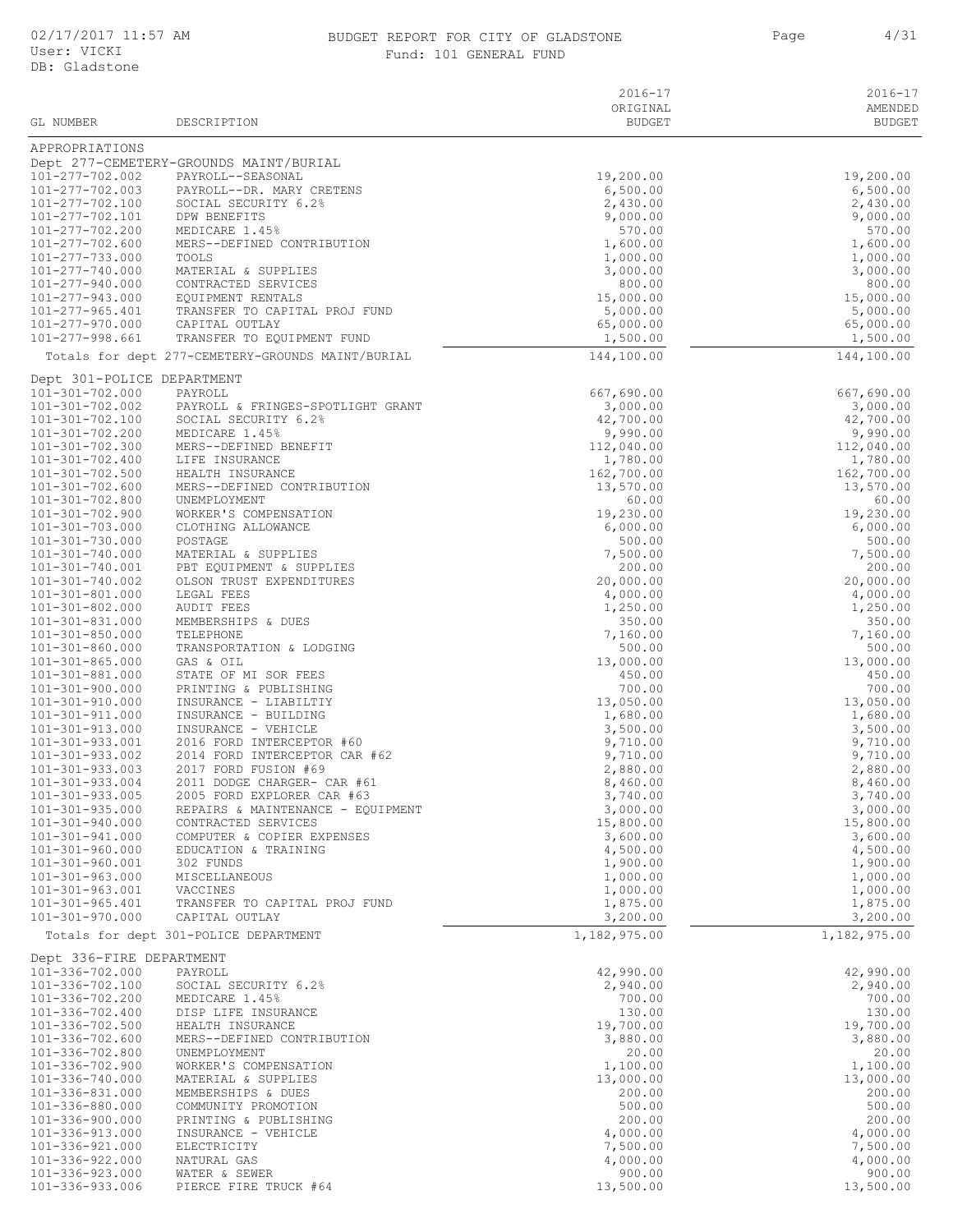## BUDGET REPORT FOR CITY OF GLADSTONE FOR A Page 4/31 Fund: 101 GENERAL FUND

| GL NUMBER                                      | DESCRIPTION                                               | $2016 - 17$<br>ORIGINAL<br>BUDGET | $2016 - 17$<br>AMENDED<br><b>BUDGET</b> |
|------------------------------------------------|-----------------------------------------------------------|-----------------------------------|-----------------------------------------|
| APPROPRIATIONS                                 |                                                           |                                   |                                         |
|                                                | Dept 277-CEMETERY-GROUNDS MAINT/BURIAL                    |                                   |                                         |
| 101-277-702.002                                | PAYROLL--SEASONAL                                         | 19,200.00                         | 19,200.00                               |
| 101-277-702.003<br>101-277-702.100             | PAYROLL--DR. MARY CRETENS<br>SOCIAL SECURITY 6.2%         | 6,500.00<br>2,430.00              | 6,500.00<br>2,430.00                    |
| 101-277-702.101                                | DPW BENEFITS                                              | 9,000.00                          | 9,000.00                                |
| 101-277-702.200                                | MEDICARE 1.45%                                            | 570.00                            | 570.00                                  |
| 101-277-702.600                                | MERS--DEFINED CONTRIBUTION                                | 1,600.00                          | 1,600.00                                |
| 101-277-733.000<br>101-277-740.000             | TOOLS<br>MATERIAL & SUPPLIES                              | 1,000.00<br>3,000.00              | 1,000.00<br>3,000.00                    |
| 101-277-940.000                                | CONTRACTED SERVICES                                       | 800.00                            | 800.00                                  |
| 101-277-943.000                                | EQUIPMENT RENTALS                                         | 15,000.00                         | 15,000.00                               |
| $101 - 277 - 965.401$<br>101-277-970.000       | TRANSFER TO CAPITAL PROJ FUND<br>CAPITAL OUTLAY           | 5,000.00<br>65,000.00             | 5,000.00<br>65,000.00                   |
| 101-277-998.661                                | TRANSFER TO EQUIPMENT FUND                                | 1,500.00                          | 1,500.00                                |
|                                                | Totals for dept 277-CEMETERY-GROUNDS MAINT/BURIAL         | 144,100.00                        | 144,100.00                              |
| Dept 301-POLICE DEPARTMENT                     |                                                           |                                   |                                         |
| 101-301-702.000                                | PAYROLL                                                   | 667,690.00                        | 667,690.00                              |
| 101-301-702.002                                | PAYROLL & FRINGES-SPOTLIGHT GRANT                         | 3,000.00                          | 3,000.00                                |
| 101-301-702.100<br>101-301-702.200             | SOCIAL SECURITY 6.2%<br>MEDICARE 1.45%                    | 42,700.00<br>9,990.00             | 42,700.00<br>9,990.00                   |
| 101-301-702.300                                | MERS--DEFINED BENEFIT                                     | 112,040.00                        | 112,040.00                              |
| 101-301-702.400                                | LIFE INSURANCE                                            | 1,780.00                          | 1,780.00                                |
| 101-301-702.500<br>101-301-702.600             | HEALTH INSURANCE<br>MERS--DEFINED CONTRIBUTION            | 162,700.00<br>13,570.00           | 162,700.00                              |
| 101-301-702.800                                | UNEMPLOYMENT                                              | 60.00                             | 13,570.00<br>60.00                      |
| 101-301-702.900                                | WORKER'S COMPENSATION                                     | 19,230.00                         | 19,230.00                               |
| 101-301-703.000                                | CLOTHING ALLOWANCE                                        | 6,000.00                          | 6,000.00                                |
| 101-301-730.000<br>101-301-740.000             | POSTAGE<br>MATERIAL & SUPPLIES                            | 500.00<br>7,500.00                | 500.00<br>7,500.00                      |
| 101-301-740.001                                | PBT EQUIPMENT & SUPPLIES                                  | 200.00                            | 200.00                                  |
| 101-301-740.002                                | OLSON TRUST EXPENDITURES                                  | 20,000.00                         | 20,000.00                               |
| 101-301-801.000<br>101-301-802.000             | LEGAL FEES                                                | 4,000.00                          | 4,000.00<br>1,250.00                    |
| 101-301-831.000                                | AUDIT FEES<br>MEMBERSHIPS & DUES                          | 1,250.00<br>350.00                | 350.00                                  |
| $101 - 301 - 850.000$                          | TELEPHONE                                                 | 7,160.00                          | 7,160.00                                |
| 101-301-860.000                                | TRANSPORTATION & LODGING                                  | 500.00                            | 500.00                                  |
| $101 - 301 - 865.000$<br>101-301-881.000       | GAS & OIL<br>STATE OF MI SOR FEES                         | 13,000.00<br>450.00               | 13,000.00<br>450.00                     |
| 101-301-900.000                                | PRINTING & PUBLISHING                                     | 700.00                            | 700.00                                  |
| 101-301-910.000                                | INSURANCE - LIABILTIY                                     | 13,050.00                         | 13,050.00                               |
| 101-301-911.000<br>$101 - 301 - 913.000$       | INSURANCE - BUILDING<br>INSURANCE - VEHICLE               | 1,680.00<br>3,500.00              | 1,680.00<br>3,500.00                    |
| 101-301-933.001                                | 2016 FORD INTERCEPTOR #60                                 | 9,710.00                          | 9,710.00                                |
| 101-301-933.002                                | 2014 FORD INTERCEPTOR CAR #62                             | 9,710.00                          | 9,710.00                                |
| $101 - 301 - 933.003$                          | 2017 FORD FUSION #69                                      | 2,880.00                          | 2,880.00<br>8,460.00                    |
| $101 - 301 - 933.004$<br>$101 - 301 - 933.005$ | 2011 DODGE CHARGER- CAR #61<br>2005 FORD EXPLORER CAR #63 | 8,460.00<br>3,740.00              | 3,740.00                                |
| $101 - 301 - 935.000$                          | REPAIRS & MAINTENANCE - EQUIPMENT                         | 3,000.00                          | 3,000.00                                |
| 101-301-940.000                                | CONTRACTED SERVICES                                       | 15,800.00                         | 15,800.00                               |
| 101-301-941.000<br>101-301-960.000             | COMPUTER & COPIER EXPENSES<br>EDUCATION & TRAINING        | 3,600.00<br>4,500.00              | 3,600.00<br>4,500.00                    |
| 101-301-960.001                                | 302 FUNDS                                                 | 1,900.00                          | 1,900.00                                |
| $101 - 301 - 963.000$                          | MISCELLANEOUS                                             | 1,000.00                          | 1,000.00                                |
| $101 - 301 - 963.001$<br>$101 - 301 - 965.401$ | VACCINES<br>TRANSFER TO CAPITAL PROJ FUND                 | 1,000.00<br>1,875.00              | 1,000.00<br>1,875.00                    |
| 101-301-970.000                                | CAPITAL OUTLAY                                            | 3,200.00                          | 3,200.00                                |
|                                                | Totals for dept 301-POLICE DEPARTMENT                     | 1,182,975.00                      | 1,182,975.00                            |
| Dept 336-FIRE DEPARTMENT                       |                                                           |                                   |                                         |
| 101-336-702.000                                | PAYROLL                                                   | 42,990.00                         | 42,990.00                               |
| 101-336-702.100<br>101-336-702.200             | SOCIAL SECURITY 6.2%<br>MEDICARE 1.45%                    | 2,940.00<br>700.00                | 2,940.00<br>700.00                      |
| 101-336-702.400                                | DISP LIFE INSURANCE                                       | 130.00                            | 130.00                                  |
| 101-336-702.500                                | HEALTH INSURANCE                                          | 19,700.00                         | 19,700.00                               |
| 101-336-702.600                                | MERS--DEFINED CONTRIBUTION                                | 3,880.00                          | 3,880.00                                |
| 101-336-702.800<br>101-336-702.900             | UNEMPLOYMENT<br>WORKER'S COMPENSATION                     | 20.00<br>1,100.00                 | 20.00<br>1,100.00                       |
| 101-336-740.000                                | MATERIAL & SUPPLIES                                       | 13,000.00                         | 13,000.00                               |
| 101-336-831.000                                | MEMBERSHIPS & DUES                                        | 200.00                            | 200.00                                  |
| 101-336-880.000<br>101-336-900.000             | COMMUNITY PROMOTION<br>PRINTING & PUBLISHING              | 500.00<br>200.00                  | 500.00<br>200.00                        |
| 101-336-913.000                                | INSURANCE - VEHICLE                                       | 4,000.00                          | 4,000.00                                |
| 101-336-921.000                                | ELECTRICITY                                               | 7,500.00                          | 7,500.00                                |
| 101-336-922.000<br>101-336-923.000             | NATURAL GAS<br>WATER & SEWER                              | 4,000.00<br>900.00                | 4,000.00<br>900.00                      |
| 101-336-933.006                                | PIERCE FIRE TRUCK #64                                     | 13,500.00                         | 13,500.00                               |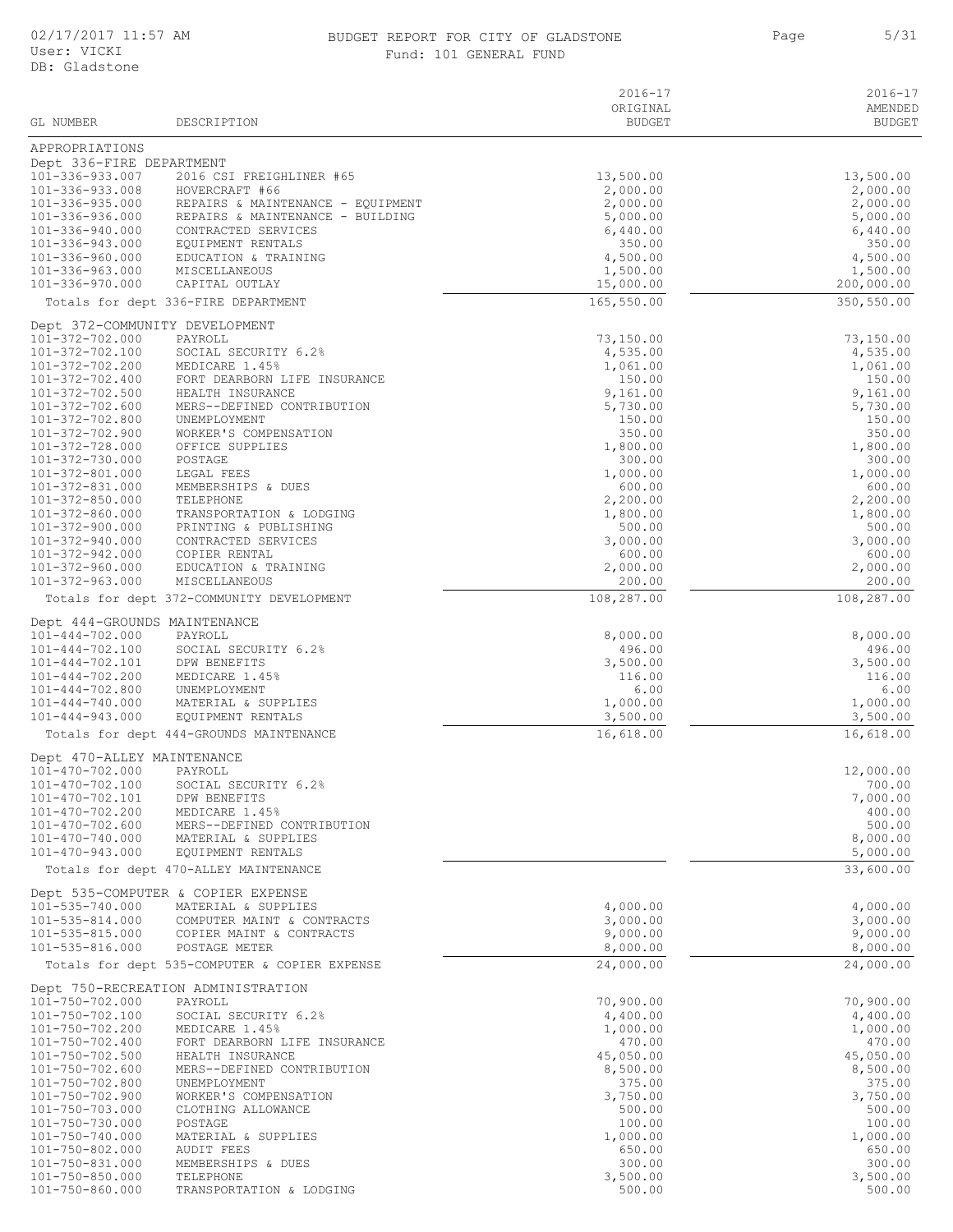#### 02/17/2017 11:57 AM BUDGET REPORT FOR CITY OF GLADSTONE 5/31 Fund: 101 GENERAL FUND

| GL NUMBER                                      | DESCRIPTION                                                    | $2016 - 17$<br>ORIGINAL<br>BUDGET | $2016 - 17$<br>AMENDED<br><b>BUDGET</b> |
|------------------------------------------------|----------------------------------------------------------------|-----------------------------------|-----------------------------------------|
| APPROPRIATIONS                                 |                                                                |                                   |                                         |
| Dept 336-FIRE DEPARTMENT                       |                                                                |                                   |                                         |
| $101 - 336 - 933.007$                          | 2016 CSI FREIGHLINER #65                                       | 13,500.00                         | 13,500.00                               |
| 101-336-933.008<br>101-336-935.000             | HOVERCRAFT #66<br>REPAIRS & MAINTENANCE - EQUIPMENT            | 2,000.00<br>2,000.00              | 2,000.00<br>2,000.00                    |
| 101-336-936.000                                | REPAIRS & MAINTENANCE - BUILDING                               | 5,000.00                          | 5,000.00                                |
| 101-336-940.000                                | CONTRACTED SERVICES                                            | 6,440.00                          | 6,440.00                                |
| 101-336-943.000<br>101-336-960.000             | EQUIPMENT RENTALS<br>EDUCATION & TRAINING                      | 350.00<br>4,500.00                | 350.00<br>4,500.00                      |
| 101-336-963.000                                | MISCELLANEOUS                                                  | 1,500.00                          | 1,500.00                                |
| $101 - 336 - 970.000$                          | CAPITAL OUTLAY                                                 | 15,000.00                         | 200,000.00                              |
|                                                | Totals for dept 336-FIRE DEPARTMENT                            | 165,550.00                        | 350,550.00                              |
| Dept 372-COMMUNITY DEVELOPMENT                 |                                                                |                                   |                                         |
| 101-372-702.000<br>101-372-702.100             | PAYROLL<br>SOCIAL SECURITY 6.2%                                | 73,150.00<br>4,535.00             | 73,150.00<br>4,535.00                   |
| 101-372-702.200                                | MEDICARE 1.45%                                                 | 1,061.00                          | 1,061.00                                |
| 101-372-702.400                                | FORT DEARBORN LIFE INSURANCE                                   | 150.00                            | 150.00                                  |
| 101-372-702.500<br>101-372-702.600             | HEALTH INSURANCE<br>MERS--DEFINED CONTRIBUTION                 | 9,161.00<br>5,730.00              | 9,161.00<br>5,730.00                    |
| 101-372-702.800                                | UNEMPLOYMENT                                                   | 150.00                            | 150.00                                  |
| 101-372-702.900                                | WORKER'S COMPENSATION                                          | 350.00                            | 350.00                                  |
| 101-372-728.000<br>101-372-730.000             | OFFICE SUPPLIES<br>POSTAGE                                     | 1,800.00<br>300.00                | 1,800.00<br>300.00                      |
| 101-372-801.000                                | LEGAL FEES                                                     | 1,000.00                          | 1,000.00                                |
| 101-372-831.000                                | MEMBERSHIPS & DUES                                             | 600.00                            | 600.00                                  |
| $101 - 372 - 850.000$<br>101-372-860.000       | TELEPHONE<br>TRANSPORTATION & LODGING                          | 2,200.00<br>1,800.00              | 2,200.00<br>1,800.00                    |
| 101-372-900.000                                | PRINTING & PUBLISHING                                          | 500.00                            | 500.00                                  |
| 101-372-940.000                                | CONTRACTED SERVICES                                            | 3,000.00                          | 3,000.00                                |
| 101-372-942.000<br>101-372-960.000             | COPIER RENTAL<br>EDUCATION & TRAINING                          | 600.00<br>2,000.00                | 600.00<br>2,000.00                      |
| $101 - 372 - 963.000$                          | MISCELLANEOUS                                                  | 200.00                            | 200.00                                  |
|                                                | Totals for dept 372-COMMUNITY DEVELOPMENT                      | 108,287.00                        | 108,287.00                              |
| Dept 444-GROUNDS MAINTENANCE                   |                                                                |                                   |                                         |
| $101 - 444 - 702.000$                          | PAYROLL                                                        | 8,000.00                          | 8,000.00                                |
| $101 - 444 - 702.100$<br>101-444-702.101       | SOCIAL SECURITY 6.2%<br>DPW BENEFITS                           | 496.00<br>3,500.00                | 496.00<br>3,500.00                      |
| $101 - 444 - 702.200$                          | MEDICARE 1.45%                                                 | 116.00                            | 116.00                                  |
| $101 - 444 - 702.800$                          | UNEMPLOYMENT                                                   | 6.00                              | 6.00                                    |
| $101 - 444 - 740.000$<br>$101 - 444 - 943.000$ | MATERIAL & SUPPLIES<br>EQUIPMENT RENTALS                       | 1,000.00<br>3,500.00              | 1,000.00<br>3,500.00                    |
|                                                | Totals for dept 444-GROUNDS MAINTENANCE                        | 16,618.00                         | 16,618.00                               |
| Dept 470-ALLEY MAINTENANCE                     |                                                                |                                   |                                         |
| 101-470-702.000                                | PAYROLL                                                        |                                   | 12,000.00                               |
| 101-470-702.100                                | SOCIAL SECURITY 6.2%                                           |                                   | 700.00                                  |
| 101-470-702.101<br>101-470-702.200             | DPW BENEFITS<br>MEDICARE 1.45%                                 |                                   | 7,000.00<br>400.00                      |
| 101-470-702.600                                | MERS--DEFINED CONTRIBUTION                                     |                                   | 500.00                                  |
| 101-470-740.000                                | MATERIAL & SUPPLIES                                            |                                   | 8,000.00                                |
| 101-470-943.000                                | EQUIPMENT RENTALS<br>Totals for dept 470-ALLEY MAINTENANCE     |                                   | 5,000.00<br>33,600.00                   |
|                                                |                                                                |                                   |                                         |
| 101-535-740.000                                | Dept 535-COMPUTER & COPIER EXPENSE<br>MATERIAL & SUPPLIES      | 4,000.00                          | 4,000.00                                |
| 101-535-814.000                                | COMPUTER MAINT & CONTRACTS                                     | 3,000.00                          | 3,000.00                                |
| 101-535-815.000                                | COPIER MAINT & CONTRACTS                                       | 9,000.00                          | 9,000.00                                |
| 101-535-816.000                                | POSTAGE METER<br>Totals for dept 535-COMPUTER & COPIER EXPENSE | 8,000.00<br>24,000.00             | 8,000.00<br>24,000.00                   |
|                                                |                                                                |                                   |                                         |
| 101-750-702.000                                | Dept 750-RECREATION ADMINISTRATION<br>PAYROLL                  | 70,900.00                         | 70,900.00                               |
| 101-750-702.100                                | SOCIAL SECURITY 6.2%                                           | 4,400.00                          | 4,400.00                                |
| 101-750-702.200                                | MEDICARE 1.45%                                                 | 1,000.00                          | 1,000.00                                |
| 101-750-702.400<br>101-750-702.500             | FORT DEARBORN LIFE INSURANCE<br>HEALTH INSURANCE               | 470.00<br>45,050.00               | 470.00<br>45,050.00                     |
| 101-750-702.600                                | MERS--DEFINED CONTRIBUTION                                     | 8,500.00                          | 8,500.00                                |
| 101-750-702.800                                | UNEMPLOYMENT                                                   | 375.00                            | 375.00                                  |
| 101-750-702.900<br>101-750-703.000             | WORKER'S COMPENSATION<br>CLOTHING ALLOWANCE                    | 3,750.00<br>500.00                | 3,750.00<br>500.00                      |
| 101-750-730.000                                | POSTAGE                                                        | 100.00                            | 100.00                                  |
| 101-750-740.000                                | MATERIAL & SUPPLIES                                            | 1,000.00                          | 1,000.00                                |
| 101-750-802.000<br>101-750-831.000             | AUDIT FEES<br>MEMBERSHIPS & DUES                               | 650.00<br>300.00                  | 650.00<br>300.00                        |
| 101-750-850.000                                | TELEPHONE                                                      | 3,500.00                          | 3,500.00                                |

101-750-860.000 TRANSPORTATION & LODGING 500.00 500.00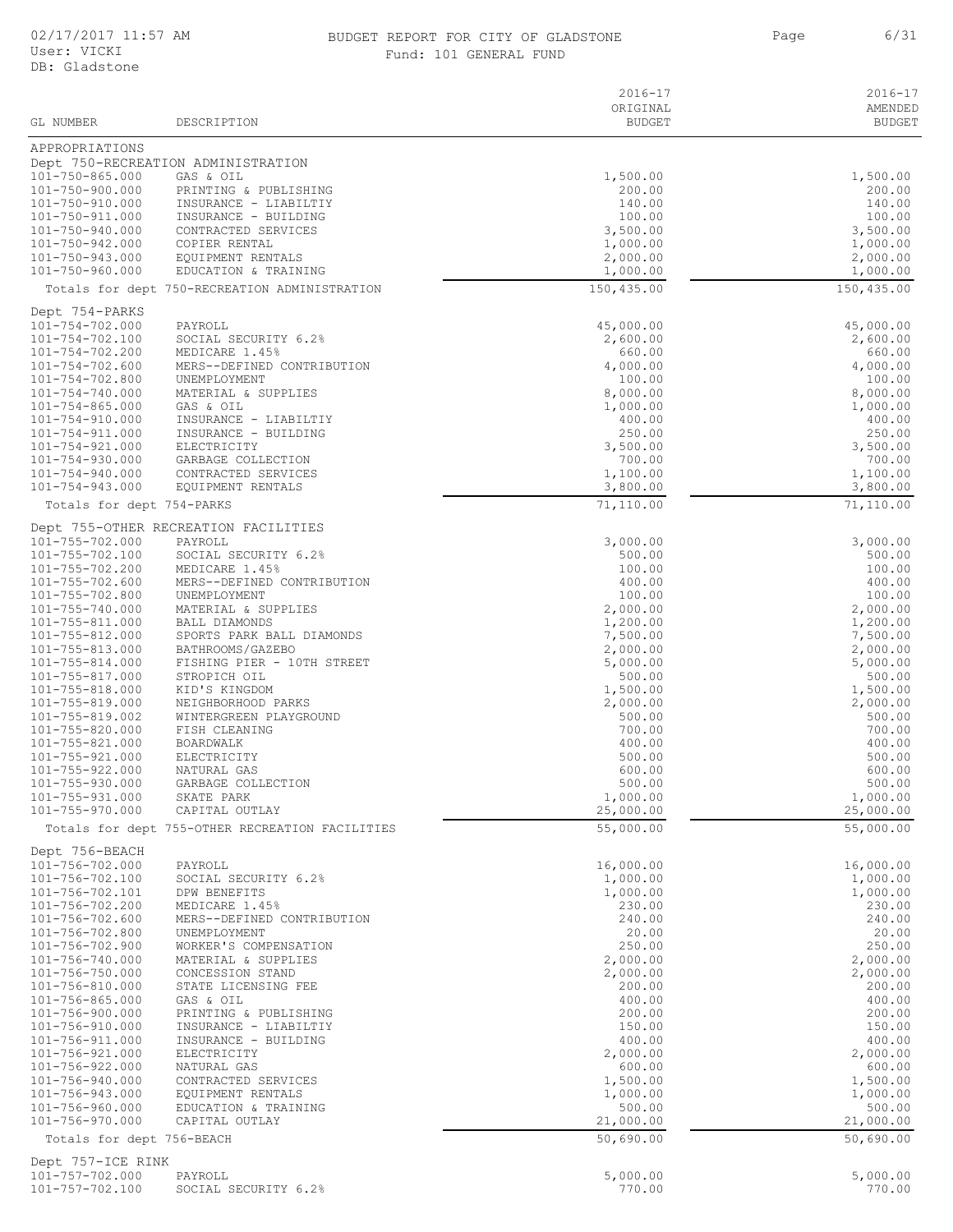#### 02/17/2017 11:57 AM BUDGET REPORT FOR CITY OF GLADSTONE 6/31 Fund: 101 GENERAL FUND

Page 6/31

|                                    |                                                 | $2016 - 17$               | $2016 - 17$              |
|------------------------------------|-------------------------------------------------|---------------------------|--------------------------|
| GL NUMBER                          | DESCRIPTION                                     | ORIGINAL<br><b>BUDGET</b> | AMENDED<br><b>BUDGET</b> |
|                                    |                                                 |                           |                          |
| APPROPRIATIONS                     | Dept 750-RECREATION ADMINISTRATION              |                           |                          |
| 101-750-865.000                    | GAS & OIL                                       | 1,500.00                  | 1,500.00                 |
| 101-750-900.000                    | PRINTING & PUBLISHING                           | 200.00                    | 200.00                   |
| 101-750-910.000<br>101-750-911.000 | INSURANCE - LIABILTIY<br>INSURANCE - BUILDING   | 140.00<br>100.00          | 140.00<br>100.00         |
| 101-750-940.000                    | CONTRACTED SERVICES                             | 3,500.00                  | 3,500.00                 |
| 101-750-942.000                    | COPIER RENTAL                                   | 1,000.00                  | 1,000.00                 |
| 101-750-943.000<br>101-750-960.000 | EQUIPMENT RENTALS<br>EDUCATION & TRAINING       | 2,000.00                  | 2,000.00                 |
|                                    | Totals for dept 750-RECREATION ADMINISTRATION   | 1,000.00<br>150,435.00    | 1,000.00<br>150,435.00   |
|                                    |                                                 |                           |                          |
| Dept 754-PARKS<br>101-754-702.000  | PAYROLL                                         | 45,000.00                 | 45,000.00                |
| 101-754-702.100                    | SOCIAL SECURITY 6.2%                            | 2,600.00                  | 2,600.00                 |
| 101-754-702.200                    | MEDICARE 1.45%                                  | 660.00                    | 660.00                   |
| 101-754-702.600<br>101-754-702.800 | MERS--DEFINED CONTRIBUTION<br>UNEMPLOYMENT      | 4,000.00<br>100.00        | 4,000.00<br>100.00       |
| 101-754-740.000                    | MATERIAL & SUPPLIES                             | 8,000.00                  | 8,000.00                 |
| $101 - 754 - 865.000$              | GAS & OIL                                       | 1,000.00                  | 1,000.00                 |
| 101-754-910.000                    | INSURANCE - LIABILTIY                           | 400.00                    | 400.00                   |
| 101-754-911.000<br>101-754-921.000 | INSURANCE - BUILDING<br>ELECTRICITY             | 250.00<br>3,500.00        | 250.00<br>3,500.00       |
| $101 - 754 - 930.000$              | GARBAGE COLLECTION                              | 700.00                    | 700.00                   |
| 101-754-940.000                    | CONTRACTED SERVICES                             | 1,100.00                  | 1,100.00                 |
| 101-754-943.000                    | EQUIPMENT RENTALS                               | 3,800.00                  | 3,800.00                 |
| Totals for dept 754-PARKS          |                                                 | 71,110.00                 | 71,110.00                |
| 101-755-702.000                    | Dept 755-OTHER RECREATION FACILITIES<br>PAYROLL | 3,000.00                  | 3,000.00                 |
| 101-755-702.100                    | SOCIAL SECURITY 6.2%                            | 500.00                    | 500.00                   |
| 101-755-702.200                    | MEDICARE 1.45%                                  | 100.00                    | 100.00                   |
| 101-755-702.600                    | MERS--DEFINED CONTRIBUTION                      | 400.00                    | 400.00                   |
| 101-755-702.800<br>101-755-740.000 | UNEMPLOYMENT<br>MATERIAL & SUPPLIES             | 100.00<br>2,000.00        | 100.00<br>2,000.00       |
| 101-755-811.000                    | BALL DIAMONDS                                   | 1,200.00                  | 1,200.00                 |
| 101-755-812.000                    | SPORTS PARK BALL DIAMONDS                       | 7,500.00                  | 7,500.00                 |
| 101-755-813.000<br>101-755-814.000 | BATHROOMS/GAZEBO<br>FISHING PIER - 10TH STREET  | 2,000.00<br>5,000.00      | 2,000.00<br>5,000.00     |
| 101-755-817.000                    | STROPICH OIL                                    | 500.00                    | 500.00                   |
| 101-755-818.000                    | KID'S KINGDOM                                   | 1,500.00                  | 1,500.00                 |
| 101-755-819.000<br>101-755-819.002 | NEIGHBORHOOD PARKS<br>WINTERGREEN PLAYGROUND    | 2,000.00<br>500.00        | 2,000.00<br>500.00       |
| 101-755-820.000                    | FISH CLEANING                                   | 700.00                    | 700.00                   |
| 101-755-821.000                    | BOARDWALK                                       | 400.00                    | 400.00                   |
| $101 - 755 - 921.000$              | ELECTRICITY                                     | 500.00                    | 500.00                   |
| 101-755-922.000<br>101-755-930.000 | NATURAL GAS<br>GARBAGE COLLECTION               | 600.00<br>500.00          | 600.00<br>500.00         |
| 101-755-931.000                    | SKATE PARK                                      | 1,000.00                  | 1,000.00                 |
| 101-755-970.000                    | CAPITAL OUTLAY                                  | 25,000.00                 | 25,000.00                |
|                                    | Totals for dept 755-OTHER RECREATION FACILITIES | 55,000.00                 | 55,000.00                |
| Dept 756-BEACH                     |                                                 |                           |                          |
| 101-756-702.000<br>101-756-702.100 | PAYROLL<br>SOCIAL SECURITY 6.2%                 | 16,000.00<br>1,000.00     | 16,000.00<br>1,000.00    |
| 101-756-702.101                    | DPW BENEFITS                                    | 1,000.00                  | 1,000.00                 |
| 101-756-702.200                    | MEDICARE 1.45%                                  | 230.00                    | 230.00                   |
| 101-756-702.600                    | MERS--DEFINED CONTRIBUTION                      | 240.00                    | 240.00                   |
| 101-756-702.800<br>101-756-702.900 | UNEMPLOYMENT<br>WORKER'S COMPENSATION           | 20.00<br>250.00           | 20.00<br>250.00          |
| 101-756-740.000                    | MATERIAL & SUPPLIES                             | 2,000.00                  | 2,000.00                 |
| 101-756-750.000                    | CONCESSION STAND                                | 2,000.00                  | 2,000.00                 |
| 101-756-810.000<br>101-756-865.000 | STATE LICENSING FEE<br>GAS & OIL                | 200.00<br>400.00          | 200.00<br>400.00         |
| 101-756-900.000                    | PRINTING & PUBLISHING                           | 200.00                    | 200.00                   |
| 101-756-910.000                    | INSURANCE - LIABILTIY                           | 150.00                    | 150.00                   |
| 101-756-911.000                    | INSURANCE - BUILDING                            | 400.00                    | 400.00                   |
| 101-756-921.000<br>101-756-922.000 | ELECTRICITY<br>NATURAL GAS                      | 2,000.00<br>600.00        | 2,000.00<br>600.00       |
| 101-756-940.000                    | CONTRACTED SERVICES                             | 1,500.00                  | 1,500.00                 |
| 101-756-943.000                    | EQUIPMENT RENTALS                               | 1,000.00                  | 1,000.00                 |
| 101-756-960.000<br>101-756-970.000 | EDUCATION & TRAINING<br>CAPITAL OUTLAY          | 500.00<br>21,000.00       | 500.00<br>21,000.00      |
| Totals for dept 756-BEACH          |                                                 | 50,690.00                 | 50,690.00                |
| Dept 757-ICE RINK                  |                                                 |                           |                          |
| 101-757-702.000                    | PAYROLL                                         | 5,000.00                  | 5,000.00                 |
| 101-757-702.100                    | SOCIAL SECURITY 6.2%                            | 770.00                    | 770.00                   |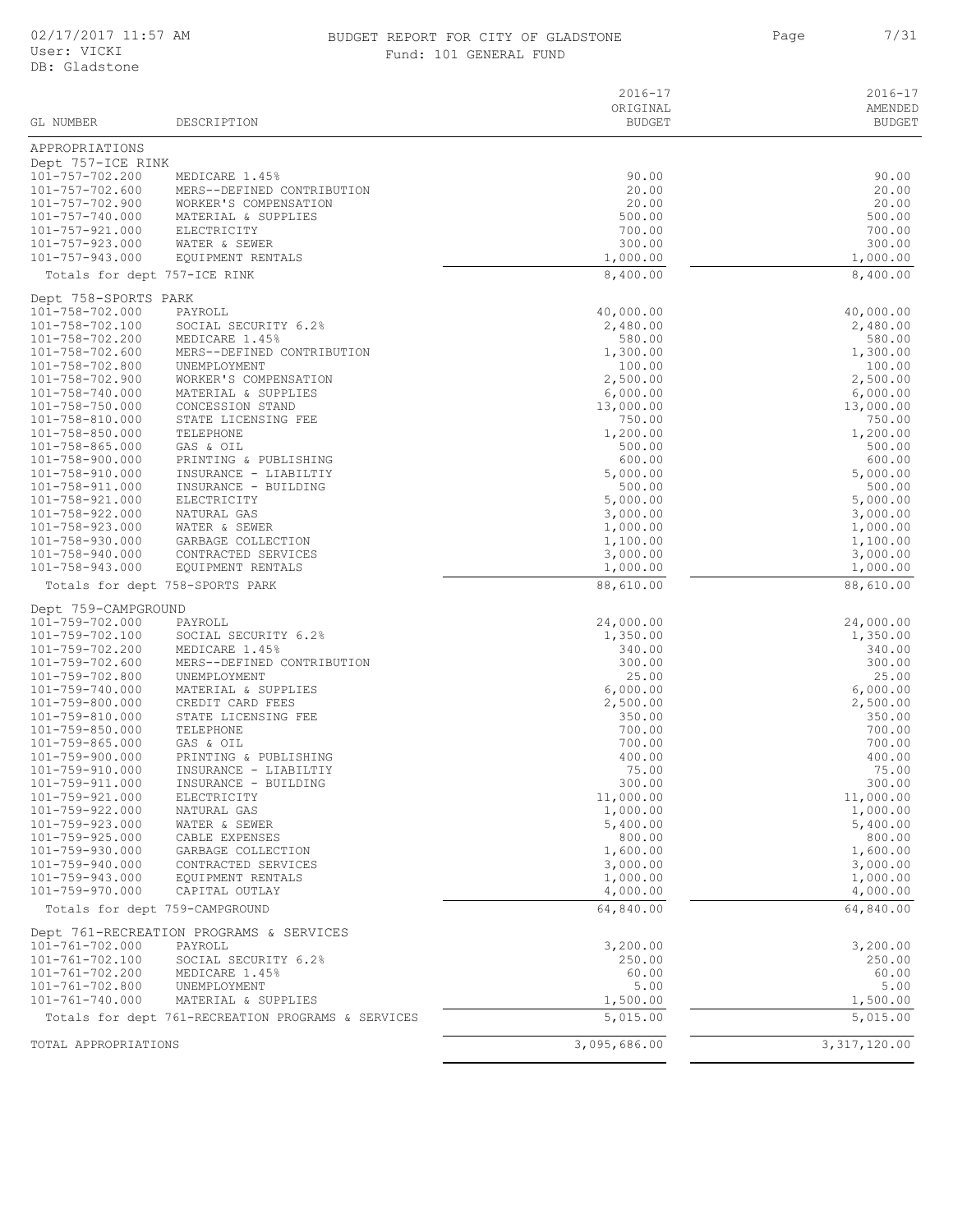#### BUDGET REPORT FOR CITY OF GLADSTONE THE STATE Page of  $7/31$ Fund: 101 GENERAL FUND

Page

| GL NUMBER                                | DESCRIPTION                                         | $2016 - 17$<br>ORIGINAL<br><b>BUDGET</b> | $2016 - 17$<br>AMENDED<br><b>BUDGET</b> |
|------------------------------------------|-----------------------------------------------------|------------------------------------------|-----------------------------------------|
| APPROPRIATIONS                           |                                                     |                                          |                                         |
| Dept 757-ICE RINK                        |                                                     |                                          |                                         |
| 101-757-702.200                          | MEDICARE 1.45%                                      | 90.00                                    | 90.00                                   |
| 101-757-702.600<br>101-757-702.900       | MERS--DEFINED CONTRIBUTION<br>WORKER'S COMPENSATION | 20.00<br>20.00                           | 20.00<br>20.00                          |
| 101-757-740.000                          | MATERIAL & SUPPLIES                                 | 500.00                                   | 500.00                                  |
| 101-757-921.000                          | ELECTRICITY                                         | 700.00                                   | 700.00                                  |
| $101 - 757 - 923.000$                    | WATER & SEWER                                       | 300.00                                   | 300.00                                  |
| 101-757-943.000                          | EQUIPMENT RENTALS                                   | 1,000.00                                 | 1,000.00                                |
| Totals for dept 757-ICE RINK             |                                                     | 8,400.00                                 | 8,400.00                                |
| Dept 758-SPORTS PARK<br>101-758-702.000  | PAYROLL                                             | 40,000.00                                | 40,000.00                               |
| 101-758-702.100                          | SOCIAL SECURITY 6.2%                                | 2,480.00                                 | 2,480.00                                |
| 101-758-702.200                          | MEDICARE 1.45%                                      | 580.00                                   | 580.00                                  |
| 101-758-702.600                          | MERS--DEFINED CONTRIBUTION                          | 1,300.00                                 | 1,300.00                                |
| 101-758-702.800<br>101-758-702.900       | UNEMPLOYMENT<br>WORKER'S COMPENSATION               | 100.00<br>2,500.00                       | 100.00<br>2,500.00                      |
| 101-758-740.000                          | MATERIAL & SUPPLIES                                 | 6,000.00                                 | 6,000.00                                |
| 101-758-750.000                          | CONCESSION STAND                                    | 13,000.00                                | 13,000.00                               |
| 101-758-810.000                          | STATE LICENSING FEE                                 | 750.00                                   | 750.00                                  |
| 101-758-850.000<br>$101 - 758 - 865.000$ | TELEPHONE<br>GAS & OIL                              | 1,200.00<br>500.00                       | 1,200.00<br>500.00                      |
| 101-758-900.000                          | PRINTING & PUBLISHING                               | 600.00                                   | 600.00                                  |
| 101-758-910.000                          | INSURANCE - LIABILTIY                               | 5,000.00                                 | 5,000.00                                |
| 101-758-911.000                          | INSURANCE - BUILDING                                | 500.00                                   | 500.00                                  |
| 101-758-921.000<br>$101 - 758 - 922.000$ | ELECTRICITY<br>NATURAL GAS                          | 5,000.00<br>3,000.00                     | 5,000.00                                |
| $101 - 758 - 923.000$                    | WATER & SEWER                                       | 1,000.00                                 | 3,000.00<br>1,000.00                    |
| 101-758-930.000                          | GARBAGE COLLECTION                                  | 1,100.00                                 | 1,100.00                                |
| 101-758-940.000                          | CONTRACTED SERVICES                                 | 3,000.00                                 | 3,000.00                                |
| 101-758-943.000                          | EQUIPMENT RENTALS                                   | 1,000.00                                 | 1,000.00                                |
|                                          | Totals for dept 758-SPORTS PARK                     | 88,610.00                                | 88,610.00                               |
| Dept 759-CAMPGROUND<br>101-759-702.000   | PAYROLL                                             | 24,000.00                                | 24,000.00                               |
| 101-759-702.100                          | SOCIAL SECURITY 6.2%                                | 1,350.00                                 | 1,350.00                                |
| 101-759-702.200                          | MEDICARE 1.45%                                      | 340.00                                   | 340.00                                  |
| 101-759-702.600                          | MERS--DEFINED CONTRIBUTION                          | 300.00                                   | 300.00                                  |
| 101-759-702.800<br>101-759-740.000       | UNEMPLOYMENT<br>MATERIAL & SUPPLIES                 | 25.00<br>6,000.00                        | 25.00<br>6,000.00                       |
| 101-759-800.000                          | CREDIT CARD FEES                                    | 2,500.00                                 | 2,500.00                                |
| 101-759-810.000                          | STATE LICENSING FEE                                 | 350.00                                   | 350.00                                  |
| 101-759-850.000                          | TELEPHONE                                           | 700.00                                   | 700.00                                  |
| 101-759-865.000<br>101-759-900.000       | GAS & OIL<br>PRINTING & PUBLISHING                  | 700.00<br>400.00                         | 700.00<br>400.00                        |
| 101-759-910.000                          | INSURANCE - LIABILTIY                               | 75.00                                    | 75.00                                   |
| 101-759-911.000                          | INSURANCE - BUILDING                                | 300.00                                   | 300.00                                  |
| 101-759-921.000                          | ELECTRICITY                                         | 11,000.00                                | 11,000.00                               |
| 101-759-922.000<br>101-759-923.000       | NATURAL GAS<br>WATER & SEWER                        | 1,000.00<br>5,400.00                     | 1,000.00<br>5,400.00                    |
| 101-759-925.000                          | CABLE EXPENSES                                      | 800.00                                   | 800.00                                  |
| 101-759-930.000                          | GARBAGE COLLECTION                                  | 1,600.00                                 | 1,600.00                                |
| 101-759-940.000                          | CONTRACTED SERVICES                                 | 3,000.00                                 | 3,000.00                                |
| 101-759-943.000<br>101-759-970.000       | EQUIPMENT RENTALS<br>CAPITAL OUTLAY                 | 1,000.00<br>4,000.00                     | 1,000.00<br>4,000.00                    |
| Totals for dept 759-CAMPGROUND           |                                                     | 64,840.00                                | 64,840.00                               |
|                                          | Dept 761-RECREATION PROGRAMS & SERVICES             |                                          |                                         |
| 101-761-702.000                          | PAYROLL                                             | 3,200.00                                 | 3,200.00                                |
| $101 - 761 - 702.100$                    | SOCIAL SECURITY 6.2%                                | 250.00                                   | 250.00                                  |
| 101-761-702.200                          | MEDICARE 1.45%                                      | 60.00                                    | 60.00                                   |
| 101-761-702.800<br>101-761-740.000       | UNEMPLOYMENT<br>MATERIAL & SUPPLIES                 | 5.00<br>1,500.00                         | 5.00<br>1,500.00                        |
|                                          | Totals for dept 761-RECREATION PROGRAMS & SERVICES  | 5,015.00                                 | 5,015.00                                |
| TOTAL APPROPRIATIONS                     |                                                     | 3,095,686.00                             | 3, 317, 120.00                          |
|                                          |                                                     |                                          |                                         |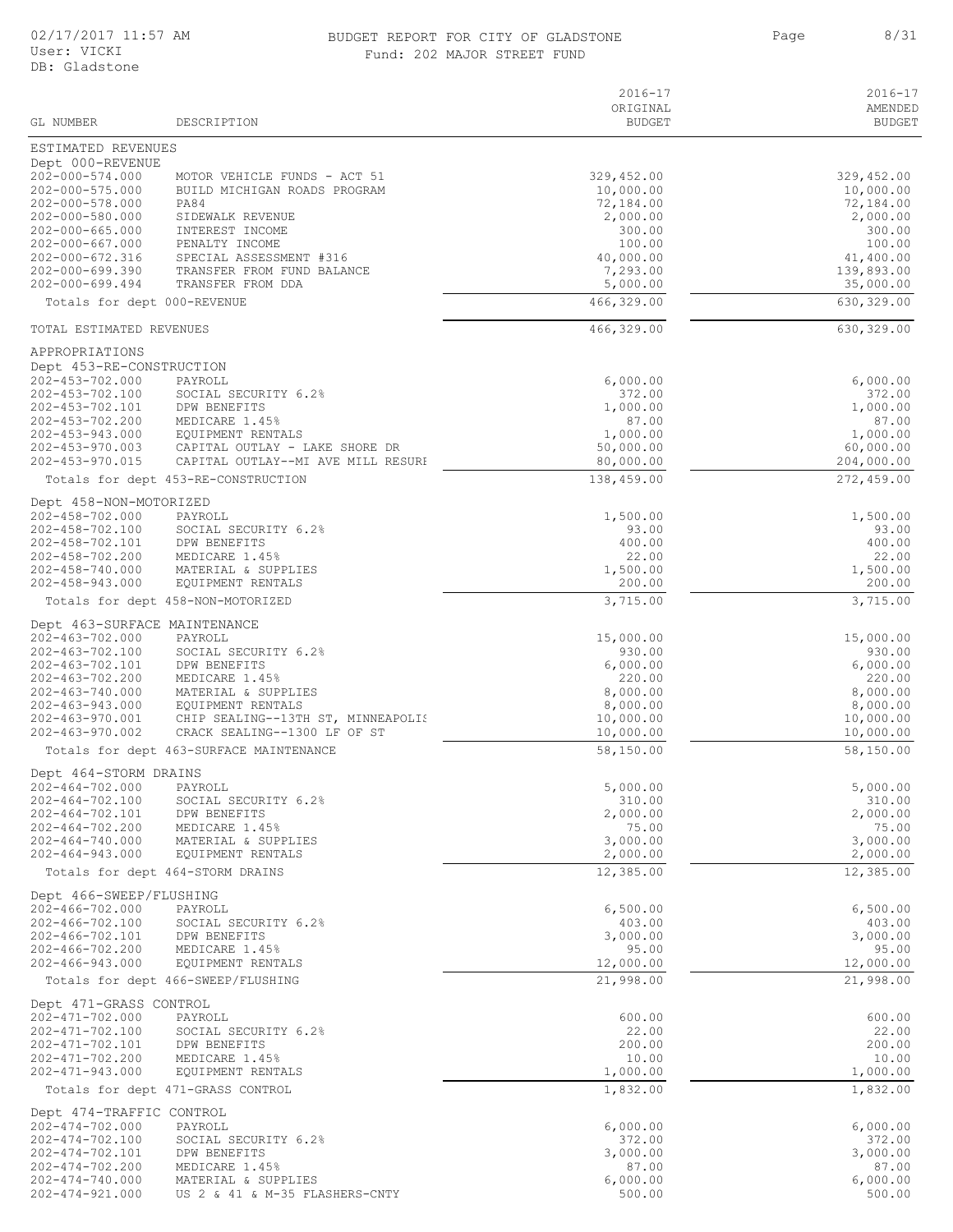#### 02/17/2017 11:57 AM BUDGET REPORT FOR CITY OF GLADSTONE 8/31 Fund: 202 MAJOR STREET FUND

Page 8/31

| GL NUMBER                                | DESCRIPTION                                                          | $2016 - 17$<br>ORIGINAL<br><b>BUDGET</b> | $2016 - 17$<br>AMENDED<br><b>BUDGET</b> |
|------------------------------------------|----------------------------------------------------------------------|------------------------------------------|-----------------------------------------|
| ESTIMATED REVENUES                       |                                                                      |                                          |                                         |
| Dept 000-REVENUE                         |                                                                      |                                          |                                         |
| $202 - 000 - 574.000$                    | MOTOR VEHICLE FUNDS - ACT 51                                         | 329,452.00                               | 329,452.00                              |
| $202 - 000 - 575.000$<br>202-000-578.000 | BUILD MICHIGAN ROADS PROGRAM<br><b>PA84</b>                          | 10,000.00<br>72,184.00                   | 10,000.00<br>72,184.00                  |
| 202-000-580.000                          | SIDEWALK REVENUE                                                     | 2,000.00                                 | 2,000.00                                |
| 202-000-665.000                          | INTEREST INCOME                                                      | 300.00                                   | 300.00                                  |
| $202 - 000 - 667.000$                    | PENALTY INCOME                                                       | 100.00                                   | 100.00                                  |
| 202-000-672.316<br>$202 - 000 - 699.390$ | SPECIAL ASSESSMENT #316<br>TRANSFER FROM FUND BALANCE                | 40,000.00<br>7,293.00                    | 41,400.00<br>139,893.00                 |
| $202 - 000 - 699.494$                    | TRANSFER FROM DDA                                                    | 5,000.00                                 | 35,000.00                               |
| Totals for dept 000-REVENUE              |                                                                      | 466,329.00                               | 630,329.00                              |
| TOTAL ESTIMATED REVENUES                 |                                                                      | 466,329.00                               | 630,329.00                              |
| APPROPRIATIONS                           |                                                                      |                                          |                                         |
| Dept 453-RE-CONSTRUCTION                 |                                                                      |                                          |                                         |
| 202-453-702.000                          | PAYROLL                                                              | 6,000.00                                 | 6,000.00                                |
| 202-453-702.100<br>202-453-702.101       | SOCIAL SECURITY 6.2%<br>DPW BENEFITS                                 | 372.00<br>1,000.00                       | 372.00<br>1,000.00                      |
| 202-453-702.200                          | MEDICARE 1.45%                                                       | 87.00                                    | 87.00                                   |
| 202-453-943.000                          | EQUIPMENT RENTALS                                                    | 1,000.00                                 | 1,000.00                                |
| $202 - 453 - 970.003$<br>202-453-970.015 | CAPITAL OUTLAY - LAKE SHORE DR<br>CAPITAL OUTLAY--MI AVE MILL RESURI | 50,000.00<br>80,000.00                   | 60,000.00<br>204,000.00                 |
|                                          | Totals for dept 453-RE-CONSTRUCTION                                  | 138,459.00                               | 272,459.00                              |
| Dept 458-NON-MOTORIZED                   |                                                                      |                                          |                                         |
| $202 - 458 - 702.000$                    | PAYROLL                                                              | 1,500.00                                 | 1,500.00                                |
| 202-458-702.100                          | SOCIAL SECURITY 6.2%                                                 | 93.00                                    | 93.00                                   |
| 202-458-702.101                          | DPW BENEFITS                                                         | 400.00                                   | 400.00                                  |
| 202-458-702.200<br>202-458-740.000       | MEDICARE 1.45%<br>MATERIAL & SUPPLIES                                | 22.00<br>1,500.00                        | 22.00<br>1,500.00                       |
| $202 - 458 - 943.000$                    | EQUIPMENT RENTALS                                                    | 200.00                                   | 200.00                                  |
|                                          | Totals for dept 458-NON-MOTORIZED                                    | 3,715.00                                 | $\overline{3,715.00}$                   |
| Dept 463-SURFACE MAINTENANCE             |                                                                      |                                          |                                         |
| $202 - 463 - 702.000$                    | PAYROLL                                                              | 15,000.00                                | 15,000.00                               |
| 202-463-702.100                          | SOCIAL SECURITY 6.2%                                                 | 930.00                                   | 930.00                                  |
| 202-463-702.101<br>202-463-702.200       | DPW BENEFITS<br>MEDICARE 1.45%                                       | 6,000.00<br>220.00                       | 6,000.00<br>220.00                      |
| 202-463-740.000                          | MATERIAL & SUPPLIES                                                  | 8,000.00                                 | 8,000.00                                |
| 202-463-943.000                          | EQUIPMENT RENTALS                                                    | 8,000.00                                 | 8,000.00                                |
| 202-463-970.001<br>202-463-970.002       | CHIP SEALING--13TH ST, MINNEAPOLIS<br>CRACK SEALING--1300 LF OF ST   | 10,000.00<br>10,000.00                   | 10,000.00<br>10,000.00                  |
|                                          | Totals for dept 463-SURFACE MAINTENANCE                              | 58,150.00                                | 58,150.00                               |
| Dept 464-STORM DRAINS                    |                                                                      |                                          |                                         |
| 202-464-702.000                          | PAYROLL                                                              | 5,000.00                                 | 5,000.00                                |
| $202 - 464 - 702.100$                    | SOCIAL SECURITY 6.2%                                                 | 310.00                                   | 310.00                                  |
| 202-464-702.101<br>$202 - 464 - 702.200$ | DPW BENEFITS<br>MEDICARE 1.45%                                       | 2,000.00<br>75.00                        | 2,000.00<br>75.00                       |
| $202 - 464 - 740.000$                    | MATERIAL & SUPPLIES                                                  | 3,000.00                                 | 3,000.00                                |
| $202 - 464 - 943.000$                    | EQUIPMENT RENTALS                                                    | 2,000.00                                 | 2,000.00                                |
|                                          | Totals for dept 464-STORM DRAINS                                     | 12,385.00                                | 12,385.00                               |
| Dept 466-SWEEP/FLUSHING                  |                                                                      |                                          |                                         |
| $202 - 466 - 702.000$<br>202-466-702.100 | PAYROLL<br>SOCIAL SECURITY 6.2%                                      | 6,500.00<br>403.00                       | 6,500.00<br>403.00                      |
| 202-466-702.101                          | DPW BENEFITS                                                         | 3,000.00                                 | 3,000.00                                |
| $202 - 466 - 702.200$                    | MEDICARE 1.45%                                                       | 95.00                                    | 95.00                                   |
| $202 - 466 - 943.000$                    | EQUIPMENT RENTALS<br>Totals for dept 466-SWEEP/FLUSHING              | 12,000.00<br>21,998.00                   | 12,000.00<br>21,998.00                  |
| Dept 471-GRASS CONTROL                   |                                                                      |                                          |                                         |
| 202-471-702.000                          | PAYROLL                                                              | 600.00                                   | 600.00                                  |
| 202-471-702.100                          | SOCIAL SECURITY 6.2%                                                 | 22.00                                    | 22.00                                   |
| 202-471-702.101                          | DPW BENEFITS                                                         | 200.00                                   | 200.00                                  |
| 202-471-702.200<br>202-471-943.000       | MEDICARE 1.45%<br>EQUIPMENT RENTALS                                  | 10.00<br>1,000.00                        | 10.00<br>1,000.00                       |
|                                          | Totals for dept 471-GRASS CONTROL                                    | 1,832.00                                 | 1,832.00                                |
| Dept 474-TRAFFIC CONTROL                 |                                                                      |                                          |                                         |
| $202 - 474 - 702.000$                    | PAYROLL                                                              | 6,000.00                                 | 6,000.00                                |
| 202-474-702.100<br>202-474-702.101       | SOCIAL SECURITY 6.2%                                                 | 372.00                                   | 372.00                                  |
| $202 - 474 - 702.200$                    | DPW BENEFITS<br>MEDICARE 1.45%                                       | 3,000.00<br>87.00                        | 3,000.00<br>87.00                       |
| $202 - 474 - 740.000$                    | MATERIAL & SUPPLIES                                                  | 6,000.00                                 | 6,000.00                                |
| 202-474-921.000                          | US 2 & 41 & M-35 FLASHERS-CNTY                                       | 500.00                                   | 500.00                                  |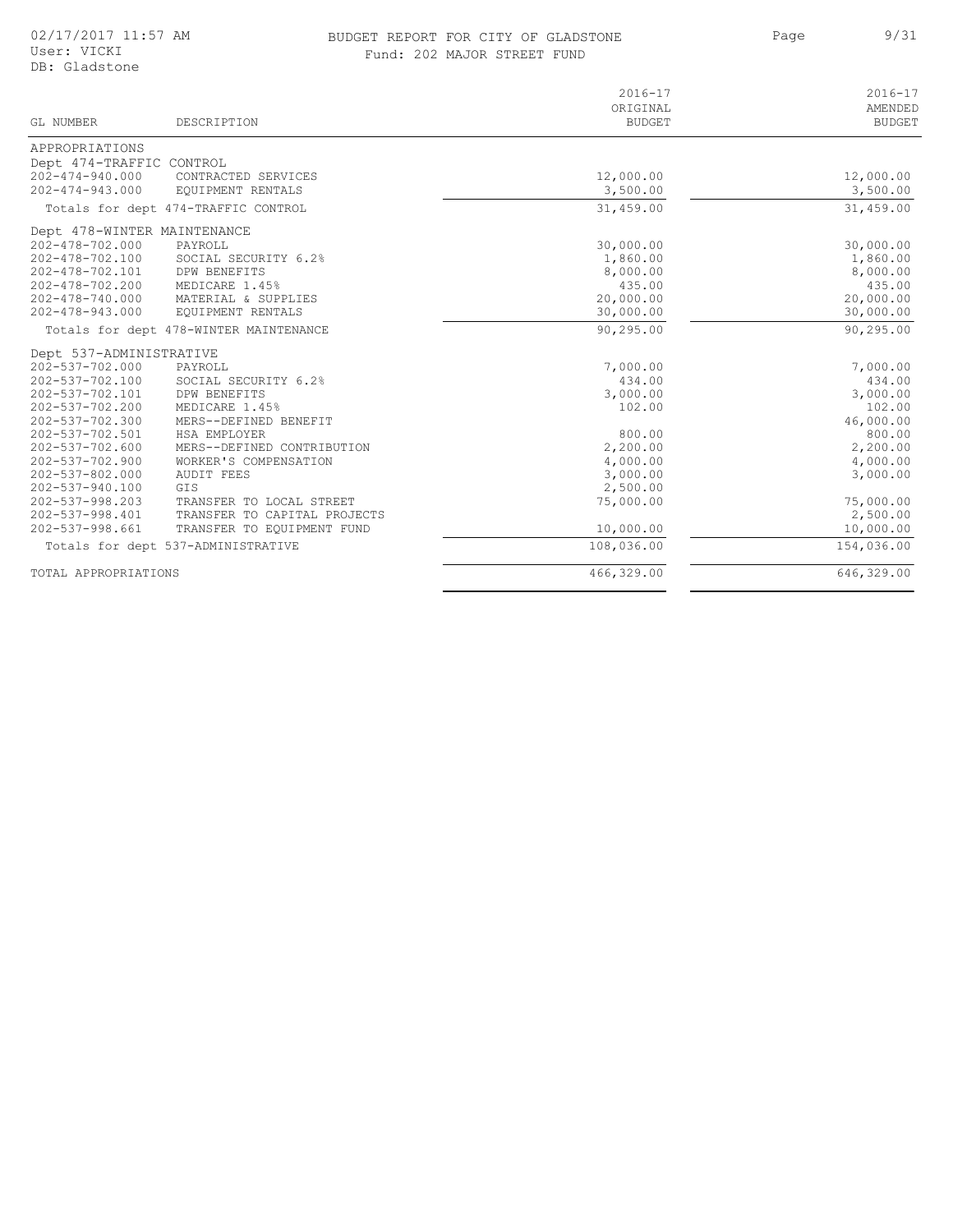## BUDGET REPORT FOR CITY OF GLADSTONE FOR SAMING Page that the 9/31 Fund: 202 MAJOR STREET FUND

Page 9/31

| $\sim$      |  |  |
|-------------|--|--|
| <b>FUND</b> |  |  |

| GL NUMBER                   | DESCRIPTION                            | $2016 - 17$<br>ORIGINAL<br><b>BUDGET</b> | $2016 - 17$<br>AMENDED<br><b>BUDGET</b> |
|-----------------------------|----------------------------------------|------------------------------------------|-----------------------------------------|
| APPROPRIATIONS              |                                        |                                          |                                         |
| Dept 474-TRAFFIC CONTROL    |                                        |                                          |                                         |
| $202 - 474 - 940.000$       | CONTRACTED SERVICES                    | 12,000.00                                | 12,000.00                               |
| 202-474-943.000             | EQUIPMENT RENTALS                      | 3,500.00                                 | 3,500.00                                |
|                             | Totals for dept 474-TRAFFIC CONTROL    | 31,459.00                                | 31,459.00                               |
| Dept 478-WINTER MAINTENANCE |                                        |                                          |                                         |
| 202-478-702.000             | PAYROLL                                | 30,000.00                                | 30,000.00                               |
| 202-478-702.100             | SOCIAL SECURITY 6.2%                   | 1,860.00                                 | 1,860.00                                |
| 202-478-702.101             | DPW BENEFITS                           | 8,000.00                                 | 8,000.00                                |
| 202-478-702.200             | MEDICARE 1.45%                         | 435.00                                   | 435.00                                  |
| 202-478-740.000             | MATERIAL & SUPPLIES                    | 20,000.00                                | 20,000.00                               |
| $202 - 478 - 943.000$       | EQUIPMENT RENTALS                      | 30,000.00                                | 30,000.00                               |
|                             | Totals for dept 478-WINTER MAINTENANCE | 90,295.00                                | 90,295.00                               |
| Dept 537-ADMINISTRATIVE     |                                        |                                          |                                         |
| 202-537-702.000             | PAYROLL                                | 7,000.00                                 | 7,000.00                                |
| 202-537-702.100             | SOCIAL SECURITY 6.2%                   | 434.00                                   | 434.00                                  |
| 202-537-702.101             | DPW BENEFITS                           | 3,000.00                                 | 3,000.00                                |
| 202-537-702.200             | MEDICARE 1.45%                         | 102.00                                   | 102.00                                  |
| 202-537-702.300             | MERS--DEFINED BENEFIT                  |                                          | 46,000.00                               |
| 202-537-702.501             | HSA EMPLOYER                           | 800.00                                   | 800.00                                  |
| 202-537-702.600             | MERS--DEFINED CONTRIBUTION             | 2,200.00                                 | 2,200.00                                |
| $202 - 537 - 702.900$       | WORKER'S COMPENSATION                  | 4,000.00                                 | 4,000.00                                |
| 202-537-802.000             | <b>AUDIT FEES</b>                      | 3,000.00                                 | 3,000.00                                |
| 202-537-940.100             | GIS                                    | 2,500.00                                 |                                         |
| 202-537-998.203             | TRANSFER TO LOCAL STREET               | 75,000.00                                | 75,000.00                               |
| 202-537-998.401             | TRANSFER TO CAPITAL PROJECTS           |                                          | 2,500.00                                |
| 202-537-998.661             | TRANSFER TO EOUIPMENT FUND             | 10,000.00                                | 10,000.00                               |
|                             | Totals for dept 537-ADMINISTRATIVE     | 108,036.00                               | 154,036.00                              |
| TOTAL APPROPRIATIONS        |                                        | 466,329.00                               | 646,329.00                              |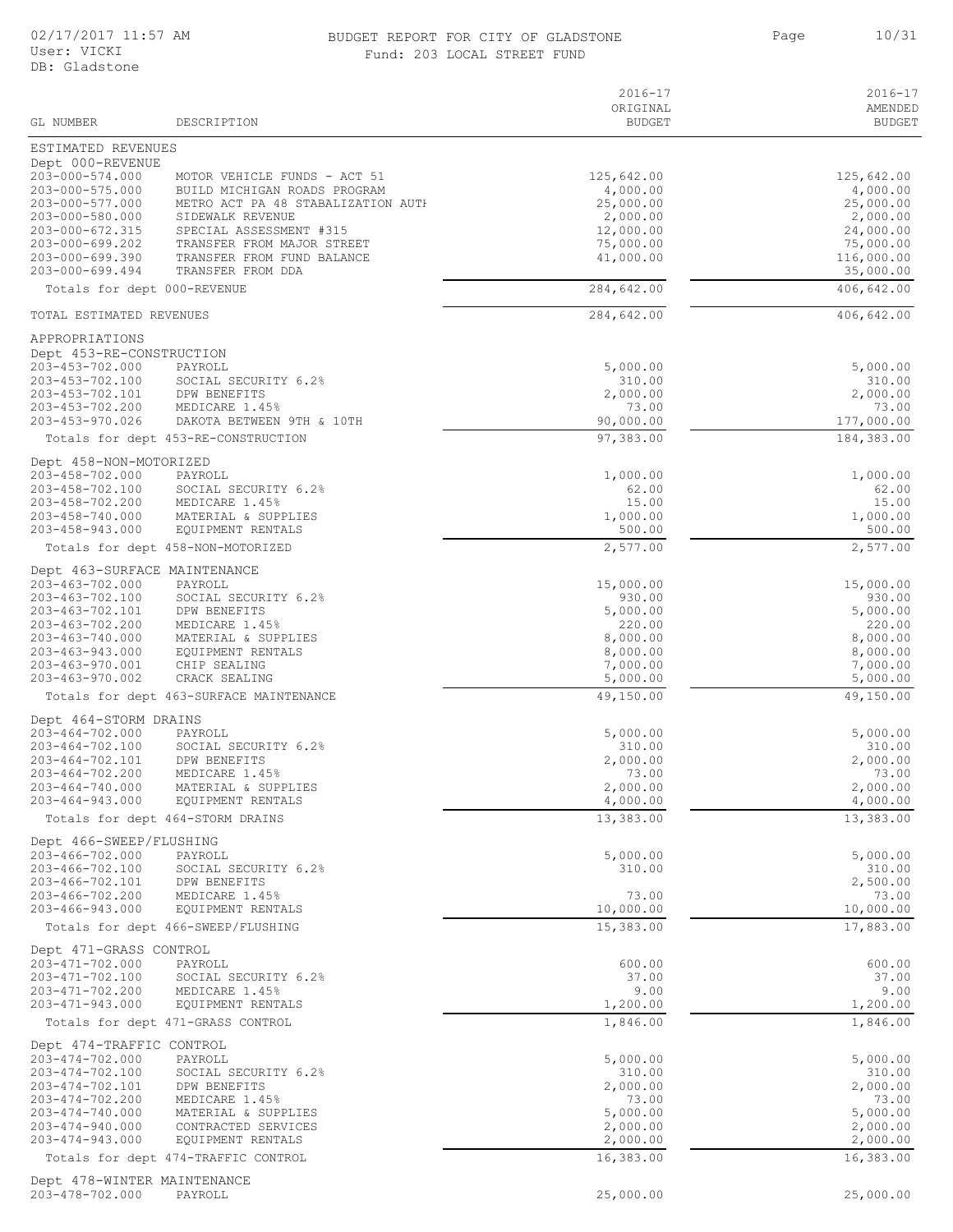## BUDGET REPORT FOR CITY OF GLADSTONE 10/31 Fund: 203 LOCAL STREET FUND

Page 10/31

|  | 203 LOCAL STREET FUND |  |
|--|-----------------------|--|
|  |                       |  |

| GL NUMBER                                      | DESCRIPTION                                                  | $2016 - 17$<br>ORIGINAL<br><b>BUDGET</b> | $2016 - 17$<br>AMENDED<br><b>BUDGET</b> |
|------------------------------------------------|--------------------------------------------------------------|------------------------------------------|-----------------------------------------|
| ESTIMATED REVENUES                             |                                                              |                                          |                                         |
| Dept 000-REVENUE                               |                                                              |                                          |                                         |
| 203-000-574.000<br>203-000-575.000             | MOTOR VEHICLE FUNDS - ACT 51<br>BUILD MICHIGAN ROADS PROGRAM | 125,642.00<br>4,000.00                   | 125,642.00<br>4,000.00                  |
| 203-000-577.000                                | METRO ACT PA 48 STABALIZATION AUTH                           | 25,000.00                                | 25,000.00                               |
| 203-000-580.000                                | SIDEWALK REVENUE                                             | 2,000.00                                 | 2,000.00                                |
| 203-000-672.315<br>203-000-699.202             | SPECIAL ASSESSMENT #315<br>TRANSFER FROM MAJOR STREET        | 12,000.00<br>75,000.00                   | 24,000.00<br>75,000.00                  |
| 203-000-699.390                                | TRANSFER FROM FUND BALANCE                                   | 41,000.00                                | 116,000.00                              |
| 203-000-699.494<br>Totals for dept 000-REVENUE | TRANSFER FROM DDA                                            | 284,642.00                               | 35,000.00<br>406,642.00                 |
| TOTAL ESTIMATED REVENUES                       |                                                              | 284,642.00                               | 406,642.00                              |
|                                                |                                                              |                                          |                                         |
| APPROPRIATIONS<br>Dept 453-RE-CONSTRUCTION     |                                                              |                                          |                                         |
| 203-453-702.000                                | PAYROLL                                                      | 5,000.00                                 | 5,000.00                                |
| 203-453-702.100<br>203-453-702.101             | SOCIAL SECURITY 6.2%<br>DPW BENEFITS                         | 310.00<br>2,000.00                       | 310.00<br>2,000.00                      |
| 203-453-702.200                                | MEDICARE 1.45%                                               | 73.00                                    | 73.00                                   |
| 203-453-970.026                                | DAKOTA BETWEEN 9TH & 10TH                                    | 90,000.00                                | 177,000.00                              |
|                                                | Totals for dept 453-RE-CONSTRUCTION                          | 97,383.00                                | 184,383.00                              |
| Dept 458-NON-MOTORIZED                         |                                                              |                                          |                                         |
| 203-458-702.000<br>203-458-702.100             | PAYROLL<br>SOCIAL SECURITY 6.2%                              | 1,000.00<br>62.00                        | 1,000.00<br>62.00                       |
| 203-458-702.200                                | MEDICARE 1.45%                                               | 15.00                                    | 15.00                                   |
| 203-458-740.000<br>203-458-943.000             | MATERIAL & SUPPLIES<br>EQUIPMENT RENTALS                     | 1,000.00<br>500.00                       | 1,000.00<br>500.00                      |
|                                                | Totals for dept 458-NON-MOTORIZED                            | 2,577.00                                 | 2,577.00                                |
| Dept 463-SURFACE MAINTENANCE                   |                                                              |                                          |                                         |
| 203-463-702.000                                | PAYROLL                                                      | 15,000.00                                | 15,000.00                               |
| 203-463-702.100<br>203-463-702.101             | SOCIAL SECURITY 6.2%<br>DPW BENEFITS                         | 930.00<br>5,000.00                       | 930.00<br>5,000.00                      |
| 203-463-702.200                                | MEDICARE 1.45%                                               | 220.00                                   | 220.00                                  |
| 203-463-740.000                                | MATERIAL & SUPPLIES                                          | 8,000.00                                 | 8,000.00                                |
| 203-463-943.000<br>203-463-970.001             | EQUIPMENT RENTALS<br>CHIP SEALING                            | 8,000.00<br>7,000.00                     | 8,000.00<br>7,000.00                    |
| 203-463-970.002                                | CRACK SEALING                                                | 5,000.00                                 | 5,000.00                                |
|                                                | Totals for dept 463-SURFACE MAINTENANCE                      | 49,150.00                                | 49,150.00                               |
| Dept 464-STORM DRAINS                          |                                                              |                                          |                                         |
| 203-464-702.000<br>203-464-702.100             | PAYROLL<br>SOCIAL SECURITY 6.2%                              | 5,000.00<br>310.00                       | 5,000.00<br>310.00                      |
| 203-464-702.101                                | DPW BENEFITS                                                 | 2,000.00                                 | 2,000.00                                |
| 203-464-702.200                                | MEDICARE 1.45%                                               | 73.00                                    | 73.00                                   |
| $203 - 464 - 740.000$<br>203-464-943.000       | MATERIAL & SUPPLIES<br>EQUIPMENT RENTALS                     | 2,000.00<br>4,000.00                     | 2,000.00<br>4,000.00                    |
|                                                | Totals for dept 464-STORM DRAINS                             | 13,383.00                                | 13,383.00                               |
| Dept 466-SWEEP/FLUSHING                        |                                                              |                                          |                                         |
| 203-466-702.000<br>203-466-702.100             | PAYROLL                                                      | 5,000.00                                 | 5,000.00                                |
| 203-466-702.101                                | SOCIAL SECURITY 6.2%<br>DPW BENEFITS                         | 310.00                                   | 310.00<br>2,500.00                      |
| 203-466-702.200                                | MEDICARE 1.45%                                               | 73.00                                    | 73.00                                   |
| $203 - 466 - 943.000$                          | EQUIPMENT RENTALS                                            | 10,000.00                                | 10,000.00                               |
|                                                | Totals for dept 466-SWEEP/FLUSHING                           | 15,383.00                                | 17,883.00                               |
| Dept 471-GRASS CONTROL<br>203-471-702.000      | PAYROLL                                                      | 600.00                                   | 600.00                                  |
| 203-471-702.100                                | SOCIAL SECURITY 6.2%                                         | 37.00                                    | 37.00                                   |
| 203-471-702.200                                | MEDICARE 1.45%                                               | 9.00                                     | 9.00                                    |
| 203-471-943.000                                | EQUIPMENT RENTALS                                            | 1,200.00                                 | 1,200.00                                |
|                                                | Totals for dept 471-GRASS CONTROL                            | 1,846.00                                 | 1,846.00                                |
| Dept 474-TRAFFIC CONTROL<br>203-474-702.000    | PAYROLL                                                      | 5,000.00                                 | 5,000.00                                |
| 203-474-702.100                                | SOCIAL SECURITY 6.2%                                         | 310.00                                   | 310.00                                  |
| 203-474-702.101<br>203-474-702.200             | DPW BENEFITS<br>MEDICARE 1.45%                               | 2,000.00<br>73.00                        | 2,000.00<br>73.00                       |
| 203-474-740.000                                | MATERIAL & SUPPLIES                                          | 5,000.00                                 | 5,000.00                                |
| 203-474-940.000                                | CONTRACTED SERVICES                                          | 2,000.00                                 | 2,000.00                                |
| $203 - 474 - 943.000$                          | EQUIPMENT RENTALS                                            | 2,000.00                                 | 2,000.00                                |
|                                                | Totals for dept 474-TRAFFIC CONTROL                          | 16,383.00                                | 16,383.00                               |

Dept 478-WINTER MAINTENANCE 203-478-702.000 PAYROLL 25,000.00 25,000.00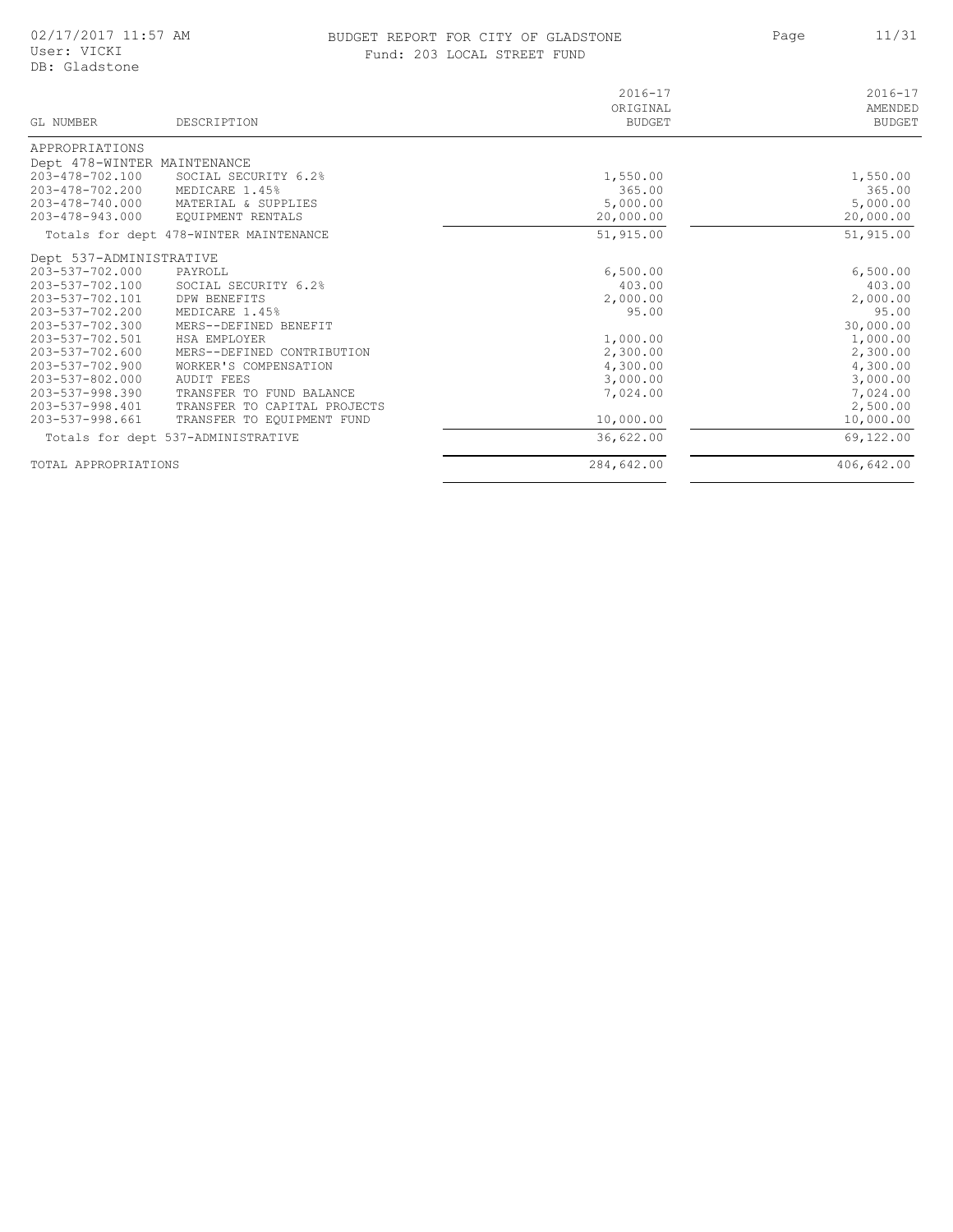## BUDGET REPORT FOR CITY OF GLADSTONE 11/31 Fund: 203 LOCAL STREET FUND

Page

 $\overline{\phantom{a}}$ 

| GL NUMBER                   | DESCRIPTION                            | $2016 - 17$<br>ORIGINAL<br><b>BUDGET</b> | $2016 - 17$<br>AMENDED<br><b>BUDGET</b> |
|-----------------------------|----------------------------------------|------------------------------------------|-----------------------------------------|
| APPROPRIATIONS              |                                        |                                          |                                         |
| Dept 478-WINTER MAINTENANCE |                                        |                                          |                                         |
| 203-478-702.100             | SOCIAL SECURITY 6.2%                   | 1,550.00                                 | 1,550.00                                |
| 203-478-702.200             | MEDICARE 1.45%                         | 365.00                                   | 365.00                                  |
| 203-478-740.000             | MATERIAL & SUPPLIES                    | 5,000.00                                 | 5,000.00                                |
| 203-478-943.000             | EQUIPMENT RENTALS                      | 20,000.00                                | 20,000.00                               |
|                             | Totals for dept 478-WINTER MAINTENANCE | 51,915.00                                | 51,915.00                               |
| Dept 537-ADMINISTRATIVE     |                                        |                                          |                                         |
| 203-537-702.000             | PAYROLL                                | 6,500.00                                 | 6,500.00                                |
| 203-537-702.100             | SOCIAL SECURITY 6.2%                   | 403.00                                   | 403.00                                  |
| 203-537-702.101             | DPW BENEFITS                           | 2,000.00                                 | 2,000.00                                |
| 203-537-702.200             | MEDICARE 1.45%                         | 95.00                                    | 95.00                                   |
| 203-537-702.300             | MERS--DEFINED BENEFIT                  |                                          | 30,000.00                               |
| 203-537-702.501             | HSA EMPLOYER                           | 1,000.00                                 | 1,000.00                                |
| 203-537-702.600             | MERS--DEFINED CONTRIBUTION             | 2,300.00                                 | 2,300.00                                |
| 203-537-702.900             | WORKER'S COMPENSATION                  | 4,300.00                                 | 4,300.00                                |
| 203-537-802.000             | <b>AUDIT FEES</b>                      | 3,000.00                                 | 3,000.00                                |
| 203-537-998.390             | TRANSFER TO FUND BALANCE               | 7,024.00                                 | 7,024.00                                |
| 203-537-998.401             | TRANSFER TO CAPITAL PROJECTS           |                                          | 2,500.00                                |
| 203-537-998.661             | TRANSFER TO EOUIPMENT FUND             | 10,000.00                                | 10,000.00                               |
|                             | Totals for dept 537-ADMINISTRATIVE     | 36,622.00                                | 69,122.00                               |
| TOTAL APPROPRIATIONS        |                                        | 284,642.00                               | 406,642.00                              |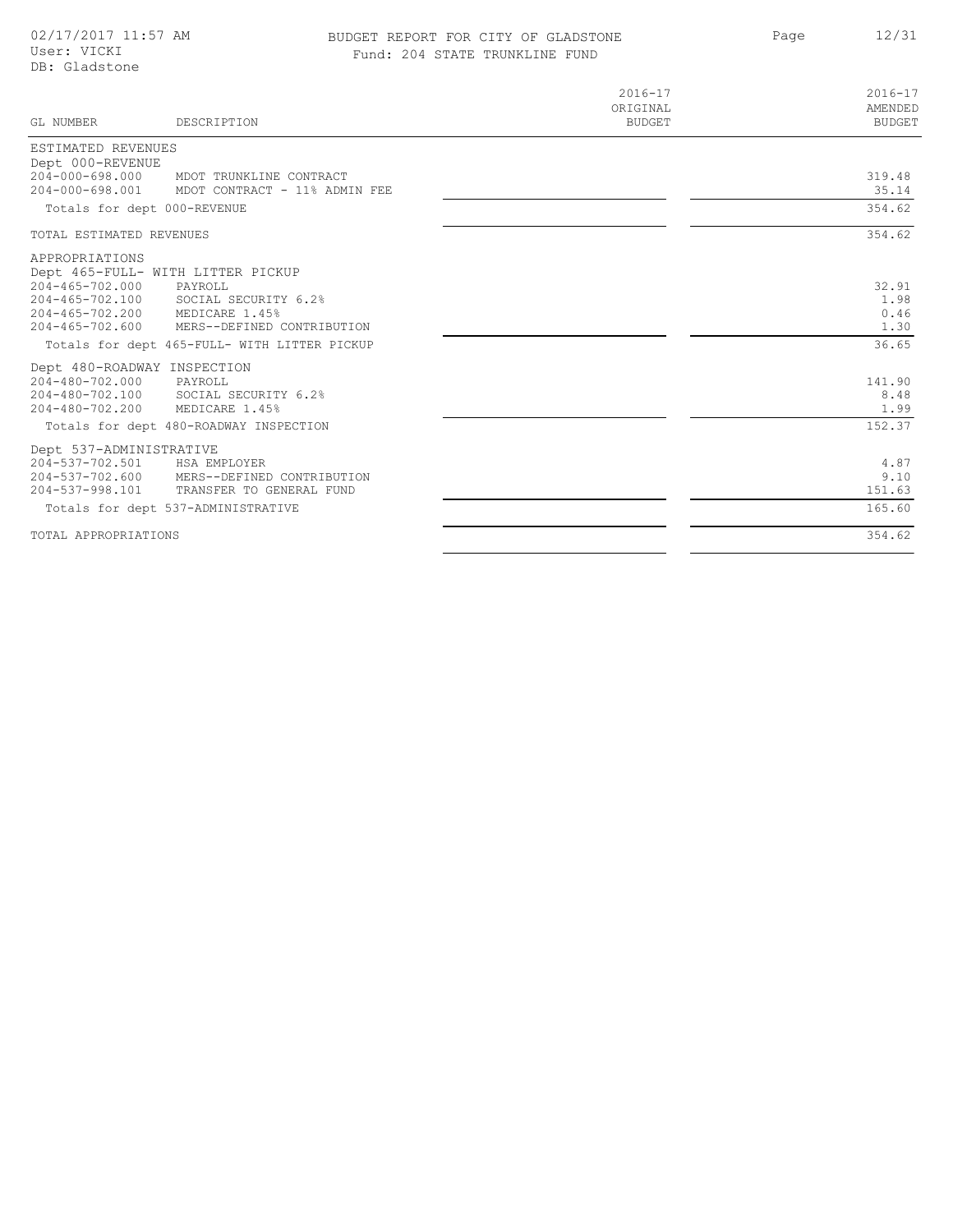## BUDGET REPORT FOR CITY OF GLADSTONE 12/31 Fund: 204 STATE TRUNKLINE FUND

Page

| GL NUMBER                | DESCRIPTION                                  | $2016 - 17$<br>ORIGINAL<br><b>BUDGET</b> | $2016 - 17$<br>AMENDED<br><b>BUDGET</b> |
|--------------------------|----------------------------------------------|------------------------------------------|-----------------------------------------|
| ESTIMATED REVENUES       |                                              |                                          |                                         |
| Dept 000-REVENUE         |                                              |                                          |                                         |
| $204 - 000 - 698.000$    | MDOT TRUNKLINE CONTRACT                      |                                          | 319.48                                  |
| $204 - 000 - 698.001$    | MDOT CONTRACT - 11% ADMIN FEE                |                                          | 35.14                                   |
|                          | Totals for dept 000-REVENUE                  |                                          | 354.62                                  |
| TOTAL ESTIMATED REVENUES |                                              |                                          | 354.62                                  |
| APPROPRIATIONS           |                                              |                                          |                                         |
|                          | Dept 465-FULL- WITH LITTER PICKUP            |                                          |                                         |
| $204 - 465 - 702.000$    | PAYROLL                                      |                                          | 32.91                                   |
|                          | 204-465-702.100 SOCIAL SECURITY 6.2%         |                                          | 1.98                                    |
| $204 - 465 - 702.200$    | MEDICARE 1.45%                               |                                          | 0.46                                    |
| $204 - 465 - 702.600$    | MERS--DEFINED CONTRIBUTION                   |                                          | 1.30                                    |
|                          | Totals for dept 465-FULL- WITH LITTER PICKUP |                                          | 36.65                                   |
|                          | Dept 480-ROADWAY INSPECTION                  |                                          |                                         |
| 204-480-702.000          | PAYROLL                                      |                                          | 141.90                                  |
| 204-480-702.100          | SOCIAL SECURITY 6.2%                         |                                          | 8.48                                    |
| $204 - 480 - 702.200$    | MEDICARE 1.45%                               |                                          | 1.99                                    |
|                          | Totals for dept 480-ROADWAY INSPECTION       |                                          | 152.37                                  |
| Dept 537-ADMINISTRATIVE  |                                              |                                          |                                         |
| 204-537-702.501          | HSA EMPLOYER                                 |                                          | 4.87                                    |
|                          | 204-537-702.600 MERS--DEFINED CONTRIBUTION   |                                          | 9.10                                    |
| 204-537-998.101          | TRANSFER TO GENERAL FUND                     |                                          | 151.63                                  |
|                          | Totals for dept 537-ADMINISTRATIVE           |                                          | 165.60                                  |
| TOTAL APPROPRIATIONS     |                                              |                                          | 354.62                                  |

 $\overline{\phantom{a}}$ 

 $\overline{\phantom{0}}$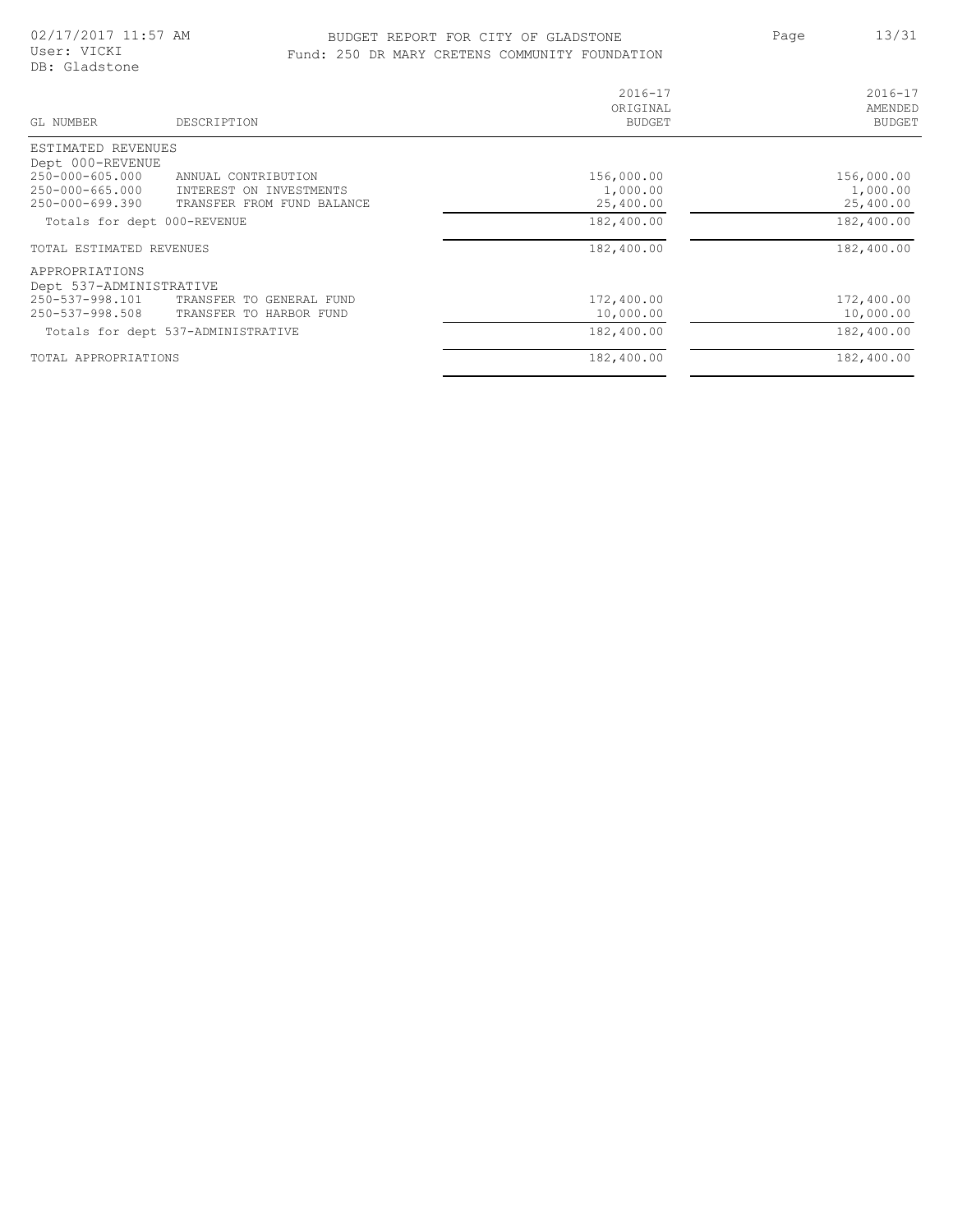## BUDGET REPORT FOR CITY OF GLADSTONE 13/31 Fund: 250 DR MARY CRETENS COMMUNITY FOUNDATION

Page 13/31

| $2016 - 17$<br>ORIGINAL<br>BUDGET | $2016 - 17$<br>AMENDED<br><b>BUDGET</b>             |
|-----------------------------------|-----------------------------------------------------|
| 156,000.00<br>1,000.00            | 156,000.00<br>1,000.00                              |
| 182,400.00                        | 25,400.00<br>182,400.00                             |
|                                   | 182,400.00                                          |
| 10,000.00                         | 172,400.00<br>10,000.00                             |
| 182,400.00                        | 182,400.00<br>182,400.00                            |
|                                   | 25,400.00<br>182,400.00<br>172,400.00<br>182,400.00 |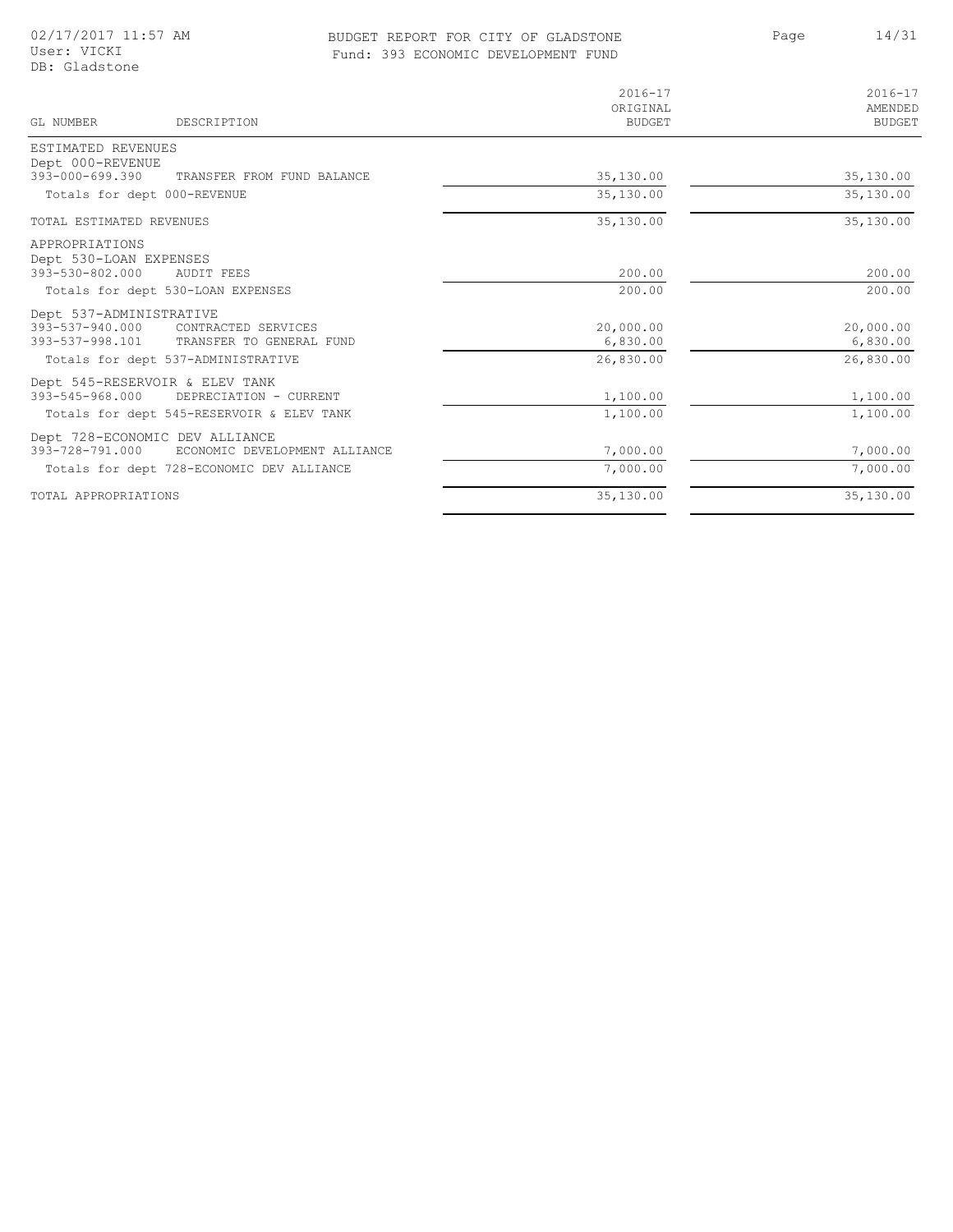## BUDGET REPORT FOR CITY OF GLADSTONE 14/31 Fund: 393 ECONOMIC DEVELOPMENT FUND

Page

| GL NUMBER<br>DESCRIPTION                                                                                      | $2016 - 17$<br>ORIGINAL<br><b>BUDGET</b> | $2016 - 17$<br>AMENDED<br><b>BUDGET</b> |
|---------------------------------------------------------------------------------------------------------------|------------------------------------------|-----------------------------------------|
| ESTIMATED REVENUES                                                                                            |                                          |                                         |
| Dept 000-REVENUE<br>$393 - 000 - 699.390$<br>TRANSFER FROM FUND BALANCE                                       | 35,130.00                                | 35,130.00                               |
| Totals for dept 000-REVENUE                                                                                   | 35,130.00                                | 35,130.00                               |
| TOTAL ESTIMATED REVENUES                                                                                      | 35,130.00                                | 35,130.00                               |
| APPROPRIATIONS<br>Dept 530-LOAN EXPENSES                                                                      |                                          |                                         |
| 393-530-802.000<br><b>AUDIT FEES</b>                                                                          | 200.00                                   | 200.00                                  |
| Totals for dept 530-LOAN EXPENSES                                                                             | 200.00                                   | 200.00                                  |
| Dept 537-ADMINISTRATIVE<br>393-537-940.000 CONTRACTED SERVICES<br>393-537-998.101<br>TRANSFER TO GENERAL FUND | 20,000.00<br>6,830.00                    | 20,000.00<br>6,830.00                   |
| Totals for dept 537-ADMINISTRATIVE                                                                            | 26,830.00                                | 26,830.00                               |
| Dept 545-RESERVOIR & ELEV TANK<br>$393 - 545 - 968.000$<br>DEPRECIATION - CURRENT                             | 1,100.00                                 | 1,100.00                                |
| Totals for dept 545-RESERVOIR & ELEV TANK                                                                     | 1,100.00                                 | 1,100.00                                |
| Dept 728-ECONOMIC DEV ALLIANCE<br>393-728-791.000<br>ECONOMIC DEVELOPMENT ALLIANCE                            | 7,000.00                                 | 7,000.00                                |
| Totals for dept 728-ECONOMIC DEV ALLIANCE                                                                     | 7,000.00                                 | 7,000.00                                |
| TOTAL APPROPRIATIONS                                                                                          | 35,130.00                                | 35,130.00                               |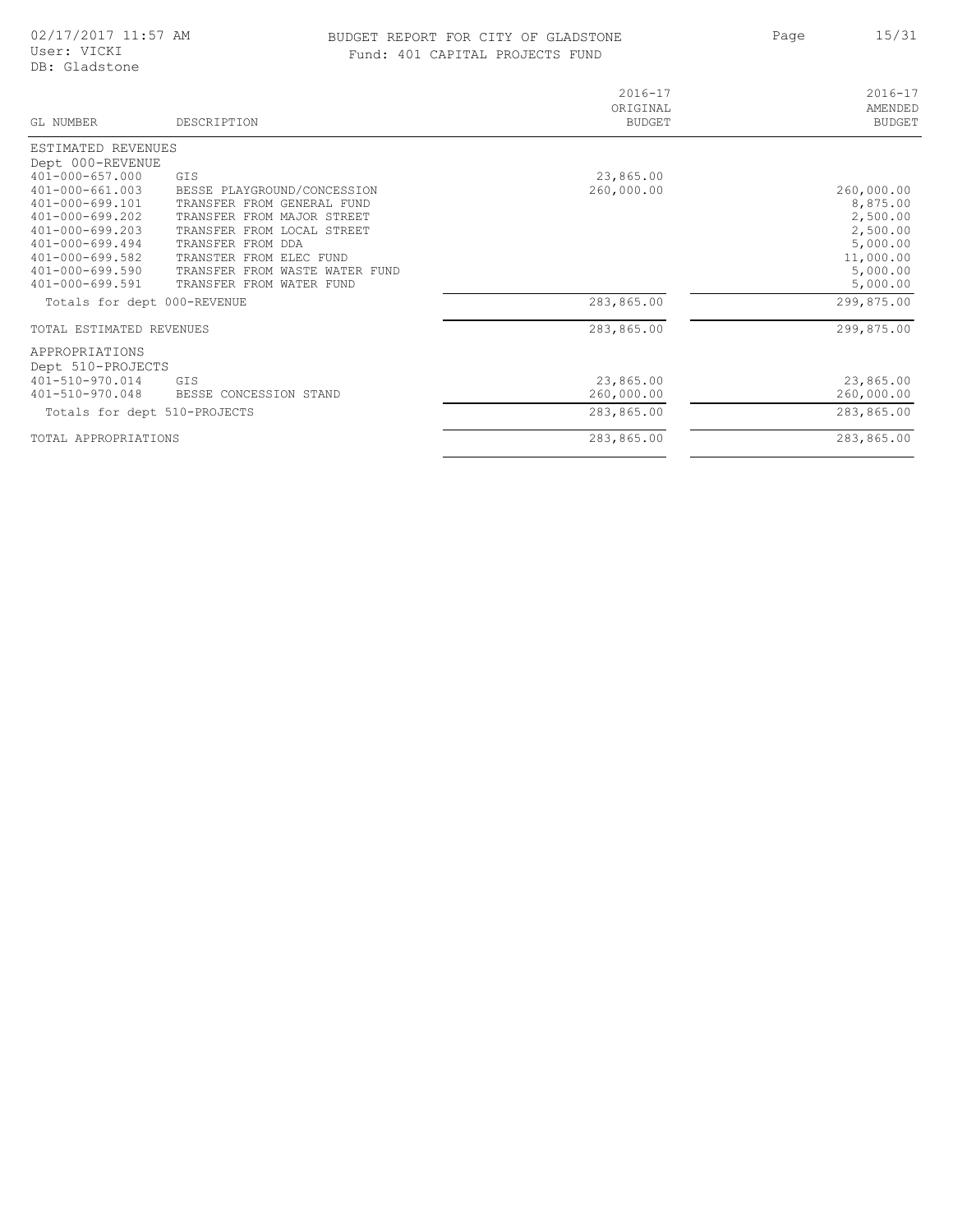## BUDGET REPORT FOR CITY OF GLADSTONE 15/31 Fund: 401 CAPITAL PROJECTS FUND

Page 15/31

| GL NUMBER                                      | DESCRIPTION                                              | $2016 - 17$<br>ORIGINAL<br><b>BUDGET</b> | $2016 - 17$<br>AMENDED<br><b>BUDGET</b> |
|------------------------------------------------|----------------------------------------------------------|------------------------------------------|-----------------------------------------|
| ESTIMATED REVENUES                             |                                                          |                                          |                                         |
| Dept 000-REVENUE                               |                                                          |                                          |                                         |
| $401 - 000 - 657.000$                          | GIS                                                      | 23,865.00                                |                                         |
| $401 - 000 - 661.003$                          | BESSE PLAYGROUND/CONCESSION                              | 260,000.00                               | 260,000.00                              |
| 401-000-699.101                                | TRANSFER FROM GENERAL FUND                               |                                          | 8,875.00                                |
| $401 - 000 - 699.202$<br>$401 - 000 - 699.203$ | TRANSFER FROM MAJOR STREET<br>TRANSFER FROM LOCAL STREET |                                          | 2,500.00<br>2,500.00                    |
| $401 - 000 - 699.494$                          | TRANSFER FROM DDA                                        |                                          | 5,000.00                                |
| $401 - 000 - 699.582$                          | TRANSTER FROM ELEC FUND                                  |                                          | 11,000.00                               |
| $401 - 000 - 699.590$                          | TRANSFER FROM WASTE WATER FUND                           |                                          | 5,000.00                                |
| $401 - 000 - 699.591$                          | TRANSFER FROM WATER FUND                                 |                                          | 5,000.00                                |
| Totals for dept 000-REVENUE                    |                                                          | 283,865.00                               | 299,875.00                              |
| TOTAL ESTIMATED REVENUES                       |                                                          | 283,865.00                               | 299,875.00                              |
| APPROPRIATIONS<br>Dept 510-PROJECTS            |                                                          |                                          |                                         |
| 401-510-970.014                                | <b>GTS</b>                                               | 23,865.00                                | 23,865.00                               |
| 401-510-970.048                                | BESSE CONCESSION STAND                                   | 260,000.00                               | 260,000.00                              |
| Totals for dept 510-PROJECTS                   |                                                          | 283,865.00                               | 283,865.00                              |
| TOTAL APPROPRIATIONS                           |                                                          | 283,865.00                               | 283,865.00                              |
|                                                |                                                          |                                          |                                         |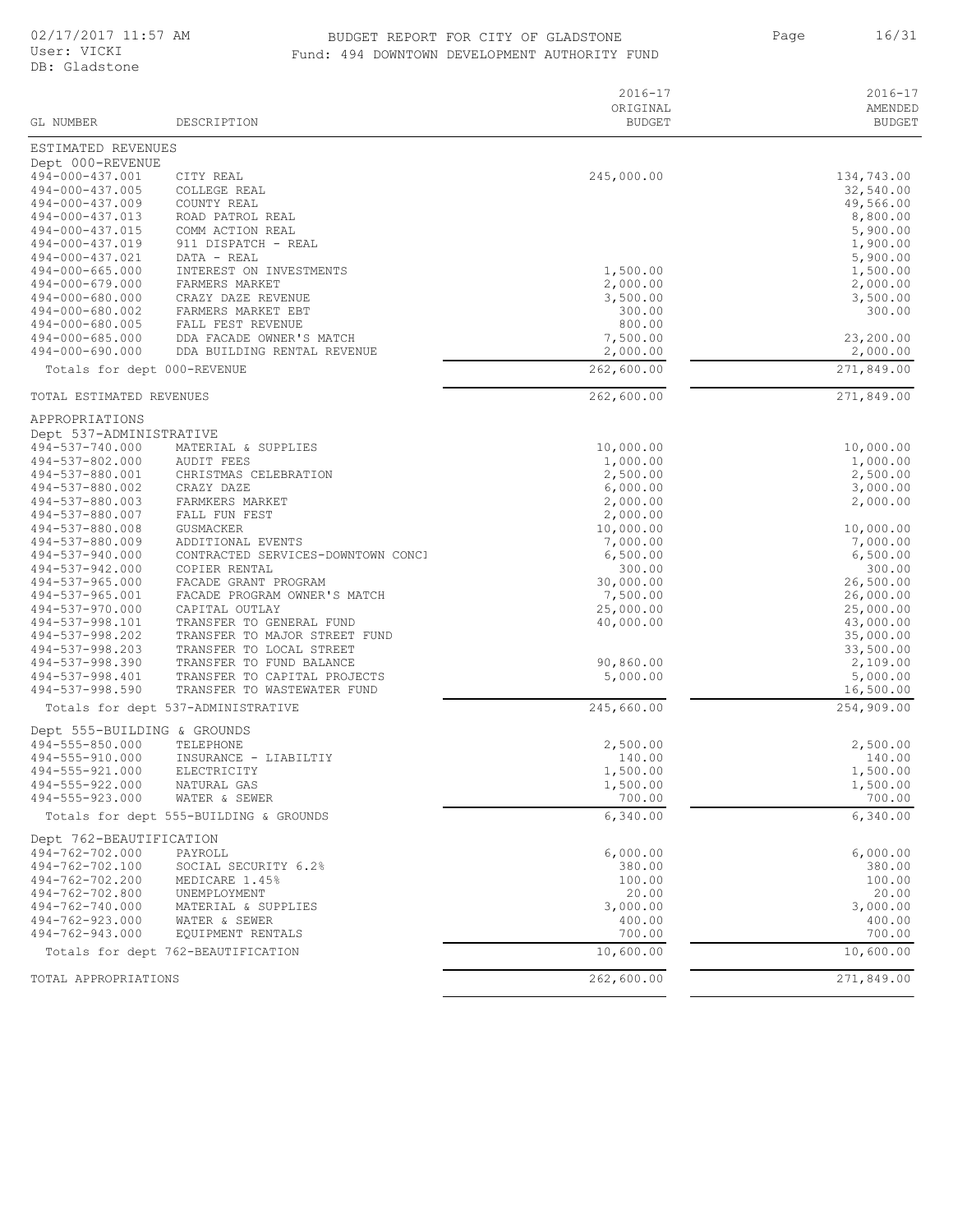## BUDGET REPORT FOR CITY OF GLADSTONE 16/31 Fund: 494 DOWNTOWN DEVELOPMENT AUTHORITY FUND

Page 16/31

|                                                |                                                             | $2016 - 17$<br>ORIGINAL | $2016 - 17$<br>AMENDED |
|------------------------------------------------|-------------------------------------------------------------|-------------------------|------------------------|
| GL NUMBER                                      | DESCRIPTION                                                 | <b>BUDGET</b>           | <b>BUDGET</b>          |
| ESTIMATED REVENUES                             |                                                             |                         |                        |
| Dept 000-REVENUE                               |                                                             |                         |                        |
| 494-000-437.001                                | CITY REAL                                                   | 245,000.00              | 134,743.00             |
| 494-000-437.005<br>494-000-437.009             | COLLEGE REAL<br>COUNTY REAL                                 |                         | 32,540.00<br>49,566.00 |
| 494-000-437.013                                | ROAD PATROL REAL                                            |                         | 8,800.00               |
| 494-000-437.015                                | COMM ACTION REAL                                            |                         | 5,900.00               |
| 494-000-437.019                                | 911 DISPATCH - REAL                                         |                         | 1,900.00               |
| 494-000-437.021                                | DATA - REAL                                                 |                         | 5,900.00               |
| 494-000-665.000<br>494-000-679.000             | INTEREST ON INVESTMENTS<br>FARMERS MARKET                   | 1,500.00<br>2,000.00    | 1,500.00<br>2,000.00   |
| 494-000-680.000                                | CRAZY DAZE REVENUE                                          | 3,500.00                | 3,500.00               |
| 494-000-680.002                                | FARMERS MARKET EBT                                          | 300.00                  | 300.00                 |
| 494-000-680.005                                | FALL FEST REVENUE                                           | 800.00                  |                        |
| 494-000-685.000                                | DDA FACADE OWNER'S MATCH                                    | 7,500.00                | 23,200.00              |
| 494-000-690.000<br>Totals for dept 000-REVENUE | DDA BUILDING RENTAL REVENUE                                 | 2,000.00<br>262,600.00  | 2,000.00<br>271,849.00 |
|                                                |                                                             |                         |                        |
| TOTAL ESTIMATED REVENUES                       |                                                             | 262,600.00              | 271,849.00             |
| APPROPRIATIONS                                 |                                                             |                         |                        |
| Dept 537-ADMINISTRATIVE<br>494-537-740.000     | MATERIAL & SUPPLIES                                         | 10,000.00               | 10,000.00              |
| 494-537-802.000                                | AUDIT FEES                                                  | 1,000.00                | 1,000.00               |
| 494-537-880.001                                | CHRISTMAS CELEBRATION                                       | 2,500.00                | 2,500.00               |
| 494-537-880.002                                | CRAZY DAZE                                                  | 6,000.00                | 3,000.00               |
| 494-537-880.003                                | FARMKERS MARKET                                             | 2,000.00                | 2,000.00               |
| 494-537-880.007<br>494-537-880.008             | FALL FUN FEST<br>GUSMACKER                                  | 2,000.00<br>10,000.00   | 10,000.00              |
| 494-537-880.009                                | ADDITIONAL EVENTS                                           | 7,000.00                | 7,000.00               |
| 494-537-940.000                                | CONTRACTED SERVICES-DOWNTOWN CONCI                          | 6,500.00                | 6,500.00               |
| 494-537-942.000                                | COPIER RENTAL                                               | 300.00                  | 300.00                 |
| $494 - 537 - 965.000$                          | FACADE GRANT PROGRAM                                        | 30,000.00               | 26,500.00              |
| 494-537-965.001<br>494-537-970.000             | FACADE PROGRAM OWNER'S MATCH<br>CAPITAL OUTLAY              | 7,500.00<br>25,000.00   | 26,000.00<br>25,000.00 |
| 494-537-998.101                                | TRANSFER TO GENERAL FUND                                    | 40,000.00               | 43,000.00              |
| 494-537-998.202                                | TRANSFER TO MAJOR STREET FUND                               |                         | 35,000.00              |
| 494-537-998.203                                | TRANSFER TO LOCAL STREET                                    |                         | 33,500.00              |
| 494-537-998.390                                | TRANSFER TO FUND BALANCE                                    | 90,860.00               | 2,109.00               |
| 494-537-998.401<br>494-537-998.590             | TRANSFER TO CAPITAL PROJECTS<br>TRANSFER TO WASTEWATER FUND | 5,000.00                | 5,000.00<br>16,500.00  |
|                                                | Totals for dept 537-ADMINISTRATIVE                          | 245,660.00              | 254,909.00             |
| Dept 555-BUILDING & GROUNDS                    |                                                             |                         |                        |
| 494-555-850.000                                | TELEPHONE                                                   | 2,500.00                | 2,500.00               |
| 494-555-910.000                                | INSURANCE - LIABILTIY                                       | 140.00                  | 140.00                 |
| 494-555-921.000                                | ELECTRICITY                                                 | 1,500.00                | 1,500.00               |
| 494-555-922.000<br>494-555-923.000             | NATURAL GAS<br>WATER & SEWER                                | 1,500.00<br>700.00      | 1,500.00<br>700.00     |
|                                                | Totals for dept 555-BUILDING & GROUNDS                      | 6,340.00                | 6,340.00               |
| Dept 762-BEAUTIFICATION                        |                                                             |                         |                        |
| 494-762-702.000                                | PAYROLL                                                     | 6,000.00                | 6,000.00               |
| 494-762-702.100                                | SOCIAL SECURITY 6.2%                                        | 380.00                  | 380.00                 |
| 494-762-702.200<br>494-762-702.800             | MEDICARE 1.45%<br>UNEMPLOYMENT                              | 100.00<br>20.00         | 100.00<br>20.00        |
| 494-762-740.000                                | MATERIAL & SUPPLIES                                         | 3,000.00                | 3,000.00               |
| 494-762-923.000                                | WATER & SEWER                                               | 400.00                  | 400.00                 |
| 494-762-943.000                                | EQUIPMENT RENTALS                                           | 700.00                  | 700.00                 |
|                                                | Totals for dept 762-BEAUTIFICATION                          | 10,600.00               | 10,600.00              |
| TOTAL APPROPRIATIONS                           |                                                             | 262,600.00              | 271,849.00             |
|                                                |                                                             |                         |                        |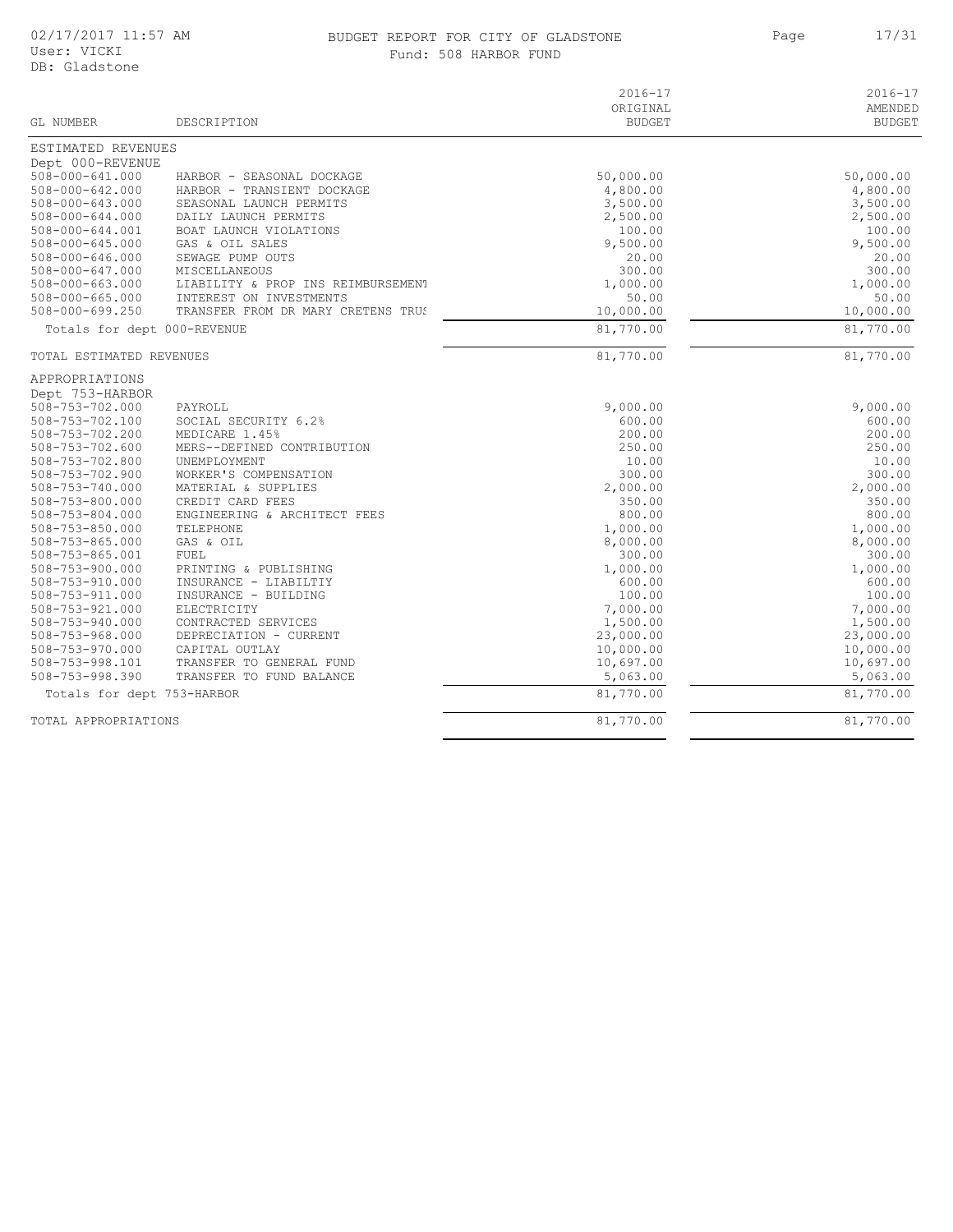#### BUDGET REPORT FOR CITY OF GLADSTONE 17/31 Fund: 508 HARBOR FUND

Page

| GL NUMBER                   | DESCRIPTION                        | $2016 - 17$<br>ORIGINAL<br><b>BUDGET</b> | $2016 - 17$<br>AMENDED<br><b>BUDGET</b> |
|-----------------------------|------------------------------------|------------------------------------------|-----------------------------------------|
|                             |                                    |                                          |                                         |
| ESTIMATED REVENUES          |                                    |                                          |                                         |
| Dept 000-REVENUE            |                                    |                                          |                                         |
| $508 - 000 - 641.000$       | HARBOR - SEASONAL DOCKAGE          | 50,000.00                                | 50,000.00                               |
| $508 - 000 - 642.000$       | HARBOR - TRANSIENT DOCKAGE         | 4,800.00                                 | 4,800.00                                |
| $508 - 000 - 643.000$       | SEASONAL LAUNCH PERMITS            | 3,500.00                                 | 3,500.00                                |
| $508 - 000 - 644.000$       | DAILY LAUNCH PERMITS               | 2,500.00                                 | 2,500.00                                |
| 508-000-644.001             | BOAT LAUNCH VIOLATIONS             | 100.00                                   | 100.00                                  |
| 508-000-645.000             | GAS & OIL SALES                    | 9,500.00                                 | 9,500.00                                |
| $508 - 000 - 646.000$       | SEWAGE PUMP OUTS                   | 20.00                                    | 20.00                                   |
| $508 - 000 - 647.000$       | <b>MISCELLANEOUS</b>               | 300.00                                   | 300.00                                  |
| $508 - 000 - 663.000$       | LIABILITY & PROP INS REIMBURSEMENT | 1,000.00                                 | 1,000.00                                |
| $508 - 000 - 665.000$       | INTEREST ON INVESTMENTS            | 50.00                                    | 50.00                                   |
| $508 - 000 - 699.250$       | TRANSFER FROM DR MARY CRETENS TRUS | 10,000.00                                | 10,000.00                               |
| Totals for dept 000-REVENUE |                                    | 81,770.00                                | 81,770.00                               |
| TOTAL ESTIMATED REVENUES    |                                    | 81,770.00                                | 81,770.00                               |
| APPROPRIATIONS              |                                    |                                          |                                         |
| Dept 753-HARBOR             |                                    |                                          |                                         |
| 508-753-702.000             | PAYROLL                            | 9,000.00                                 | 9,000.00                                |
| 508-753-702.100             | SOCIAL SECURITY 6.2%               | 600.00                                   | 600.00                                  |
| 508-753-702.200             | MEDICARE 1.45%                     | 200.00                                   | 200.00                                  |
| 508-753-702.600             | MERS--DEFINED CONTRIBUTION         | 250.00                                   | 250.00                                  |
| 508-753-702.800             | UNEMPLOYMENT                       | 10.00                                    | 10.00                                   |
| 508-753-702.900             | WORKER'S COMPENSATION              | 300.00                                   | 300.00                                  |
| 508-753-740.000             | MATERIAL & SUPPLIES                | 2,000.00                                 | 2,000.00                                |
| $508 - 753 - 800.000$       | CREDIT CARD FEES                   | 350.00                                   | 350.00                                  |
| 508-753-804.000             | ENGINEERING & ARCHITECT FEES       | 800.00                                   | 800.00                                  |
| $508 - 753 - 850.000$       | TELEPHONE                          | 1,000.00                                 | 1,000.00                                |
| $508 - 753 - 865.000$       | GAS & OIL                          | 8,000.00                                 | 8,000.00                                |
| 508-753-865.001             | FUEL                               | 300.00                                   | 300.00                                  |
| $508 - 753 - 900.000$       | PRINTING & PUBLISHING              | 1,000.00                                 | 1,000.00                                |
| 508-753-910.000             | INSURANCE - LIABILTIY              | 600.00                                   | 600.00                                  |
| 508-753-911.000             | INSURANCE - BUILDING               | 100.00                                   | 100.00                                  |
| 508-753-921.000             | ELECTRICITY                        | 7,000.00                                 | 7,000.00                                |
| $508 - 753 - 940.000$       | CONTRACTED SERVICES                | 1,500.00                                 | 1,500.00                                |
| $508 - 753 - 968.000$       | DEPRECIATION - CURRENT             | 23,000.00                                | 23,000.00                               |
| $508 - 753 - 970.000$       | CAPITAL OUTLAY                     | 10,000.00                                | 10,000.00                               |
| 508-753-998.101             | TRANSFER TO GENERAL FUND           | 10,697.00                                | 10,697.00                               |
| 508-753-998.390             | TRANSFER TO FUND BALANCE           | 5,063.00                                 | 5,063.00                                |
|                             |                                    | 81,770.00                                | 81,770.00                               |
| Totals for dept 753-HARBOR  |                                    |                                          |                                         |
| TOTAL APPROPRIATIONS        |                                    | 81,770.00                                | 81,770.00                               |

 $\overline{\phantom{a}}$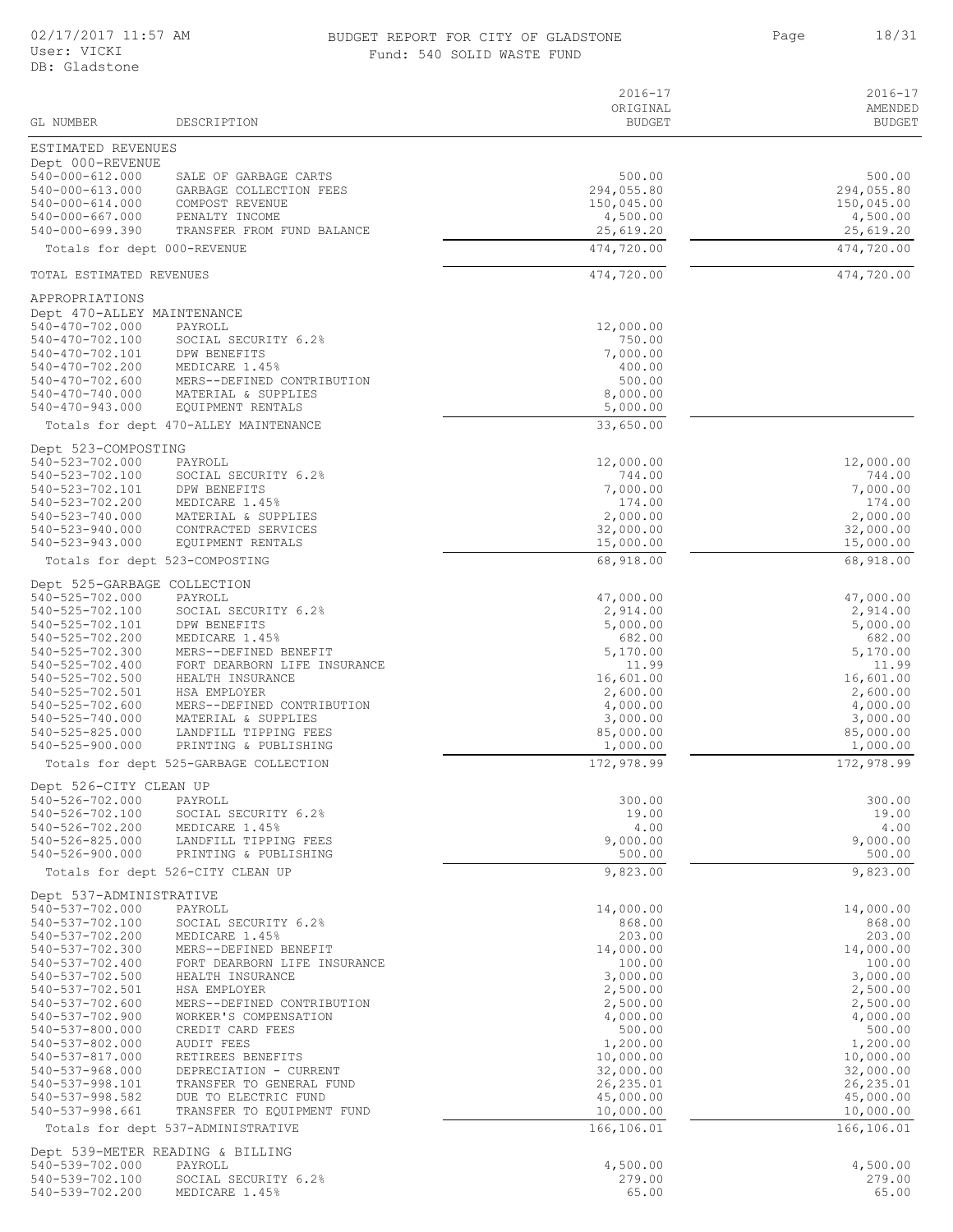#### BUDGET REPORT FOR CITY OF GLADSTONE 18/31 Fund: 540 SOLID WASTE FUND

Page

|                                          |                                                     | $2016 - 17$             | $2016 - 17$            |
|------------------------------------------|-----------------------------------------------------|-------------------------|------------------------|
|                                          |                                                     | ORIGINAL                | AMENDED                |
| GL NUMBER                                | DESCRIPTION                                         | <b>BUDGET</b>           | <b>BUDGET</b>          |
| ESTIMATED REVENUES                       |                                                     |                         |                        |
| Dept 000-REVENUE                         |                                                     |                         |                        |
| 540-000-612.000<br>$540 - 000 - 613.000$ | SALE OF GARBAGE CARTS<br>GARBAGE COLLECTION FEES    | 500.00<br>294,055.80    | 500.00<br>294,055.80   |
| $540 - 000 - 614.000$                    | COMPOST REVENUE                                     | 150,045.00              | 150,045.00             |
| 540-000-667.000                          | PENALTY INCOME                                      | 4,500.00                | 4,500.00               |
| $540 - 000 - 699.390$                    | TRANSFER FROM FUND BALANCE                          | 25,619.20               | 25,619.20              |
| Totals for dept 000-REVENUE              |                                                     | 474,720.00              | 474,720.00             |
| TOTAL ESTIMATED REVENUES                 |                                                     | 474,720.00              | 474,720.00             |
| APPROPRIATIONS                           |                                                     |                         |                        |
| Dept 470-ALLEY MAINTENANCE               |                                                     |                         |                        |
| 540-470-702.000                          | PAYROLL                                             | 12,000.00               |                        |
| 540-470-702.100                          | SOCIAL SECURITY 6.2%                                | 750.00                  |                        |
| 540-470-702.101                          | DPW BENEFITS                                        | 7,000.00                |                        |
| 540-470-702.200<br>540-470-702.600       | MEDICARE 1.45%<br>MERS--DEFINED CONTRIBUTION        | 400.00<br>500.00        |                        |
| 540-470-740.000                          | MATERIAL & SUPPLIES                                 | 8,000.00                |                        |
| $540 - 470 - 943.000$                    | EQUIPMENT RENTALS                                   | 5,000.00                |                        |
|                                          | Totals for dept 470-ALLEY MAINTENANCE               | 33,650.00               |                        |
| Dept 523-COMPOSTING                      |                                                     |                         |                        |
| 540-523-702.000                          | PAYROLL                                             | 12,000.00               | 12,000.00              |
| 540-523-702.100                          | SOCIAL SECURITY 6.2%                                | 744.00                  | 744.00                 |
| 540-523-702.101                          | DPW BENEFITS                                        | 7,000.00                | 7,000.00               |
| 540-523-702.200<br>540-523-740.000       | MEDICARE 1.45%<br>MATERIAL & SUPPLIES               | 174.00<br>2,000.00      | 174.00<br>2,000.00     |
| 540-523-940.000                          | CONTRACTED SERVICES                                 | 32,000.00               | 32,000.00              |
| $540 - 523 - 943.000$                    | EQUIPMENT RENTALS                                   | 15,000.00               | 15,000.00              |
|                                          | Totals for dept 523-COMPOSTING                      | 68,918.00               | 68,918.00              |
| Dept 525-GARBAGE COLLECTION              |                                                     |                         |                        |
| 540-525-702.000                          | PAYROLL                                             | 47,000.00               | 47,000.00              |
| 540-525-702.100                          | SOCIAL SECURITY 6.2%                                | 2,914.00                | 2,914.00               |
| 540-525-702.101<br>540-525-702.200       | DPW BENEFITS<br>MEDICARE 1.45%                      | 5,000.00<br>682.00      | 5,000.00<br>682.00     |
| 540-525-702.300                          | MERS--DEFINED BENEFIT                               | 5,170.00                | 5,170.00               |
| $540 - 525 - 702.400$                    | FORT DEARBORN LIFE INSURANCE                        | 11.99                   | 11.99                  |
| 540-525-702.500                          | HEALTH INSURANCE                                    | 16,601.00               | 16,601.00              |
| 540-525-702.501<br>540-525-702.600       | HSA EMPLOYER<br>MERS--DEFINED CONTRIBUTION          | 2,600.00<br>4,000.00    | 2,600.00<br>4,000.00   |
| 540-525-740.000                          | MATERIAL & SUPPLIES                                 | 3,000.00                | 3,000.00               |
| 540-525-825.000                          | LANDFILL TIPPING FEES                               | 85,000.00               | 85,000.00              |
| $540 - 525 - 900.000$                    | PRINTING & PUBLISHING                               | 1,000.00                | 1,000.00               |
|                                          | Totals for dept 525-GARBAGE COLLECTION              | 172,978.99              | 172,978.99             |
| Dept 526-CITY CLEAN UP                   |                                                     |                         |                        |
| 540-526-702.000                          | PAYROLL                                             | 300.00                  | 300.00                 |
| 540-526-702.100<br>540-526-702.200       | SOCIAL SECURITY 6.2%<br>MEDICARE 1.45%              | 19.00<br>4.00           | 19.00<br>4.00          |
| 540-526-825.000                          | LANDFILL TIPPING FEES                               | 9,000.00                | 9,000.00               |
| 540-526-900.000                          | PRINTING & PUBLISHING                               | 500.00                  | 500.00                 |
|                                          | Totals for dept 526-CITY CLEAN UP                   | 9,823.00                | 9,823.00               |
| Dept 537-ADMINISTRATIVE                  |                                                     |                         |                        |
| 540-537-702.000                          | PAYROLL                                             | 14,000.00               | 14,000.00              |
| 540-537-702.100<br>540-537-702.200       | SOCIAL SECURITY 6.2%<br>MEDICARE 1.45%              | 868.00<br>203.00        | 868.00<br>203.00       |
| 540-537-702.300                          | MERS--DEFINED BENEFIT                               | 14,000.00               | 14,000.00              |
| 540-537-702.400                          | FORT DEARBORN LIFE INSURANCE                        | 100.00                  | 100.00                 |
| 540-537-702.500                          | HEALTH INSURANCE                                    | 3,000.00                | 3,000.00               |
| 540-537-702.501<br>540-537-702.600       | HSA EMPLOYER                                        | 2,500.00                | 2,500.00<br>2,500.00   |
| 540-537-702.900                          | MERS--DEFINED CONTRIBUTION<br>WORKER'S COMPENSATION | 2,500.00<br>4,000.00    | 4,000.00               |
| 540-537-800.000                          | CREDIT CARD FEES                                    | 500.00                  | 500.00                 |
| 540-537-802.000                          | AUDIT FEES                                          | 1,200.00                | 1,200.00               |
| 540-537-817.000                          | RETIREES BENEFITS                                   | 10,000.00               | 10,000.00<br>32,000.00 |
| $540 - 537 - 968.000$<br>540-537-998.101 | DEPRECIATION - CURRENT<br>TRANSFER TO GENERAL FUND  | 32,000.00<br>26, 235.01 | 26, 235.01             |
| 540-537-998.582                          | DUE TO ELECTRIC FUND                                | 45,000.00               | 45,000.00              |
| 540-537-998.661                          | TRANSFER TO EQUIPMENT FUND                          | 10,000.00               | 10,000.00              |
|                                          | Totals for dept 537-ADMINISTRATIVE                  | 166,106.01              | 166,106.01             |
|                                          | Dept 539-METER READING & BILLING                    |                         |                        |
| 540-539-702.000                          | PAYROLL                                             | 4,500.00                | 4,500.00               |
| 540-539-702.100                          | SOCIAL SECURITY 6.2%                                | 279.00                  | 279.00                 |
| 540-539-702.200                          | MEDICARE 1.45%                                      | 65.00                   | 65.00                  |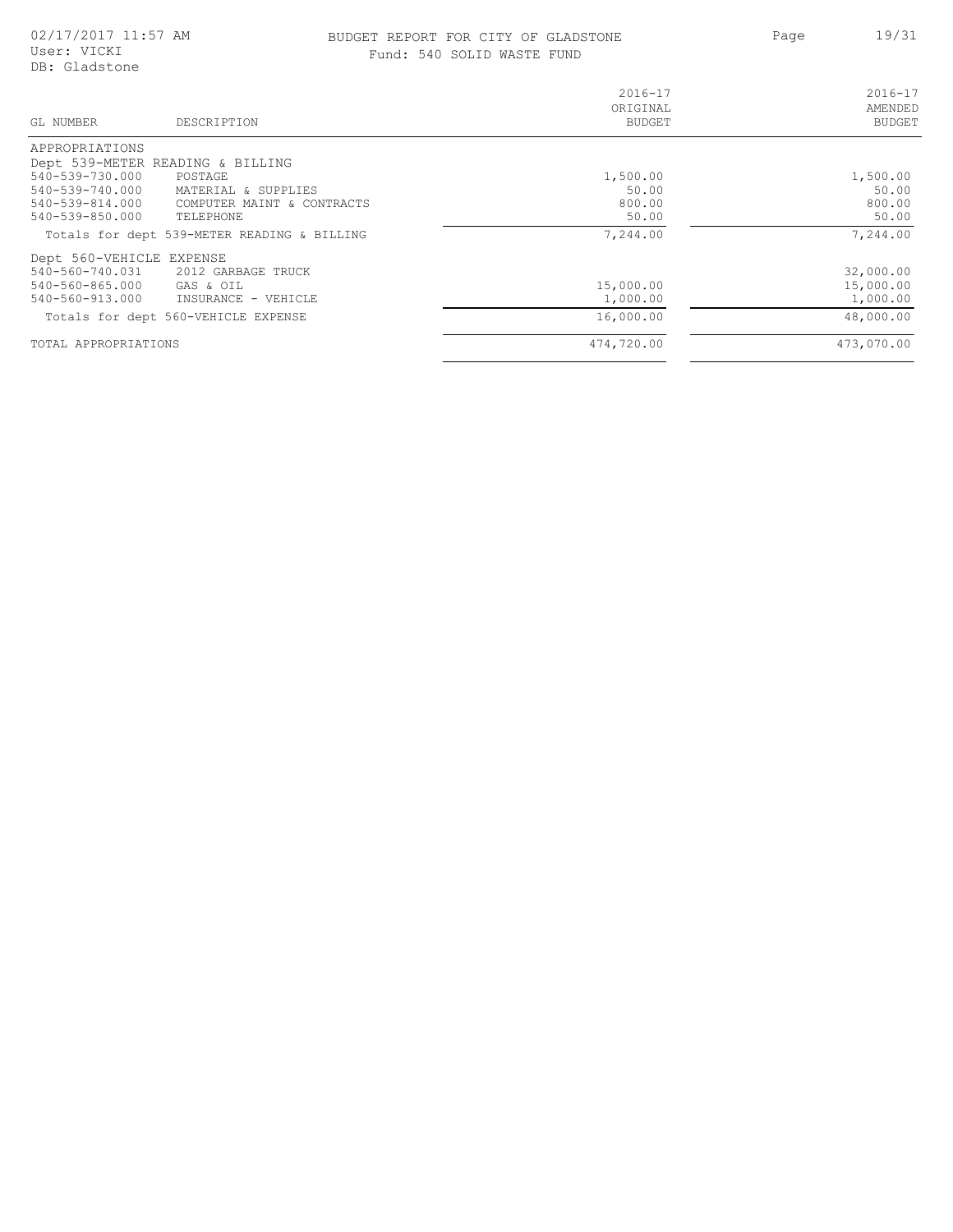#### BUDGET REPORT FOR CITY OF GLADSTONE 19/31 Fund: 540 SOLID WASTE FUND

Page

| GL NUMBER<br>DESCRIPTION                      | $2016 - 17$<br>ORIGINAL<br><b>BUDGET</b> | $2016 - 17$<br>AMENDED<br><b>BUDGET</b> |
|-----------------------------------------------|------------------------------------------|-----------------------------------------|
| APPROPRIATIONS                                |                                          |                                         |
| Dept 539-METER READING & BILLING              |                                          |                                         |
| 540-539-730.000<br>POSTAGE                    | 1,500.00                                 | 1,500.00                                |
| 540-539-740.000<br>MATERIAL & SUPPLIES        | 50.00                                    | 50.00                                   |
| 540-539-814.000<br>COMPUTER MAINT & CONTRACTS | 800.00                                   | 800.00                                  |
| 540-539-850.000<br>TELEPHONE                  | 50.00                                    | 50.00                                   |
| Totals for dept 539-METER READING & BILLING   | 7,244.00                                 | 7,244.00                                |
| Dept 560-VEHICLE EXPENSE                      |                                          |                                         |
| 540-560-740.031 2012 GARBAGE TRUCK            |                                          | 32,000.00                               |
| 540-560-865.000<br>GAS & OIL                  | 15,000.00                                | 15,000.00                               |
| 540-560-913.000<br>INSURANCE - VEHICLE        | 1,000.00                                 | 1,000.00                                |
| Totals for dept 560-VEHICLE EXPENSE           | 16,000.00                                | 48,000.00                               |
| TOTAL APPROPRIATIONS                          | 474,720.00                               | 473,070.00                              |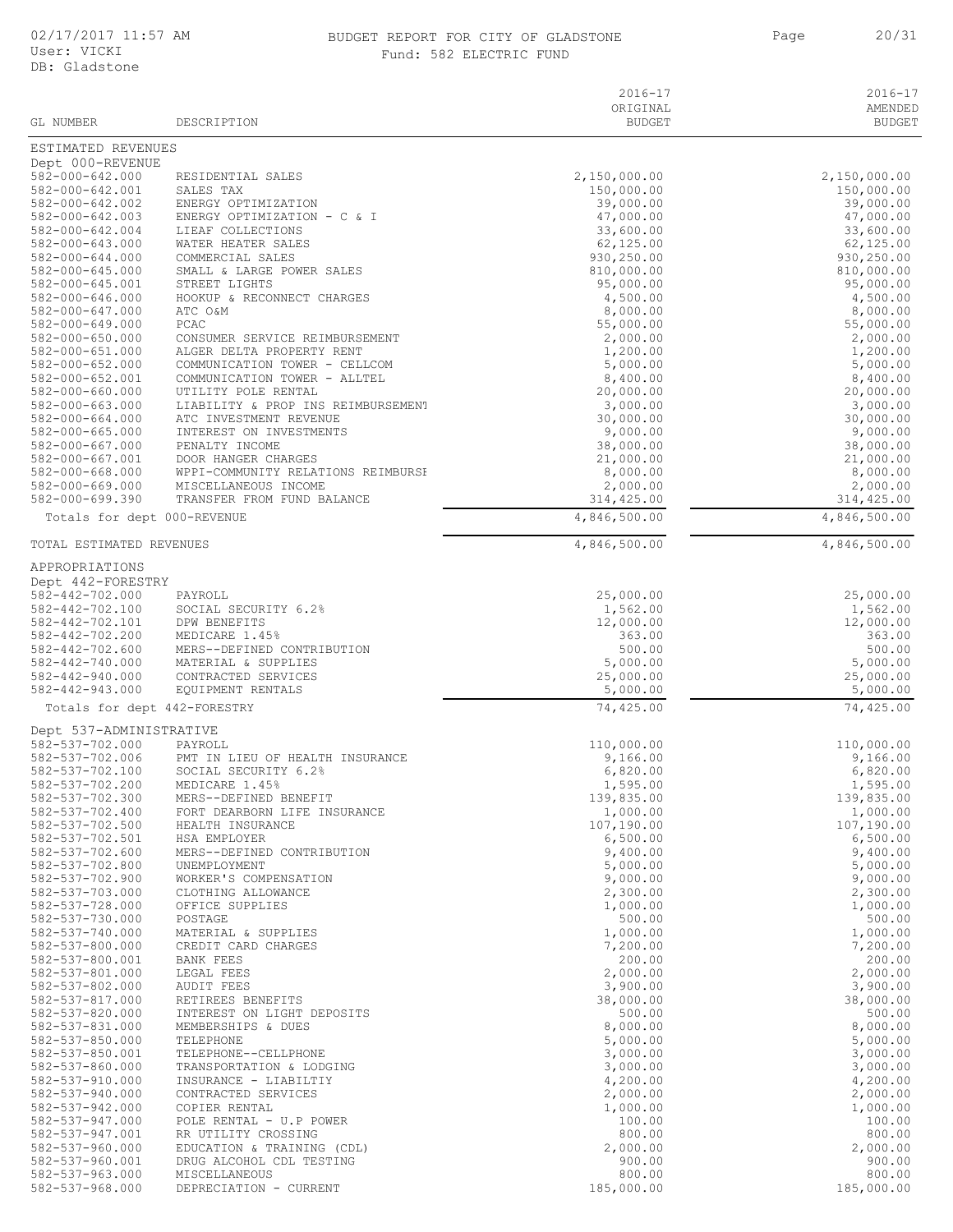#### 02/17/2017 11:57 AM BUDGET REPORT FOR CITY OF GLADSTONE 20/31 Fund: 582 ELECTRIC FUND

Page 20/31

| GL NUMBER                                | DESCRIPTION                                             | $2016 - 17$<br>ORIGINAL<br><b>BUDGET</b> | $2016 - 17$<br>AMENDED<br><b>BUDGET</b> |
|------------------------------------------|---------------------------------------------------------|------------------------------------------|-----------------------------------------|
| ESTIMATED REVENUES                       |                                                         |                                          |                                         |
| Dept 000-REVENUE                         |                                                         |                                          |                                         |
| 582-000-642.000                          | RESIDENTIAL SALES                                       | 2,150,000.00                             | 2,150,000.00                            |
| 582-000-642.001<br>582-000-642.002       | SALES TAX<br>ENERGY OPTIMIZATION                        | 150,000.00<br>39,000.00                  | 150,000.00<br>39,000.00                 |
| 582-000-642.003                          | ENERGY OPTIMIZATION - C & I                             | 47,000.00                                | 47,000.00                               |
| 582-000-642.004                          | LIEAF COLLECTIONS                                       | 33,600.00                                | 33,600.00                               |
| 582-000-643.000<br>$582 - 000 - 644.000$ | WATER HEATER SALES<br>COMMERCIAL SALES                  | 62, 125.00<br>930,250.00                 | 62,125.00<br>930,250.00                 |
| 582-000-645.000                          | SMALL & LARGE POWER SALES                               | 810,000.00                               | 810,000.00                              |
| 582-000-645.001                          | STREET LIGHTS                                           | 95,000.00                                | 95,000.00                               |
| 582-000-646.000                          | HOOKUP & RECONNECT CHARGES                              | 4,500.00                                 | 4,500.00                                |
| 582-000-647.000<br>582-000-649.000       | ATC O&M<br>PCAC                                         | 8,000.00<br>55,000.00                    | 8,000.00<br>55,000.00                   |
| $582 - 000 - 650.000$                    | CONSUMER SERVICE REIMBURSEMENT                          | 2,000.00                                 | 2,000.00                                |
| 582-000-651.000                          | ALGER DELTA PROPERTY RENT                               | 1,200.00                                 | 1,200.00                                |
| $582 - 000 - 652.000$                    | COMMUNICATION TOWER - CELLCOM                           | 5,000.00                                 | 5,000.00                                |
| 582-000-652.001<br>582-000-660.000       | COMMUNICATION TOWER - ALLTEL<br>UTILITY POLE RENTAL     | 8,400.00<br>20,000.00                    | 8,400.00<br>20,000.00                   |
| 582-000-663.000                          | LIABILITY & PROP INS REIMBURSEMENT                      | 3,000.00                                 | 3,000.00                                |
| $582 - 000 - 664.000$                    | ATC INVESTMENT REVENUE                                  | 30,000.00                                | 30,000.00                               |
| 582-000-665.000<br>582-000-667.000       | INTEREST ON INVESTMENTS                                 | 9,000.00                                 | 9,000.00                                |
| 582-000-667.001                          | PENALTY INCOME<br>DOOR HANGER CHARGES                   | 38,000.00<br>21,000.00                   | 38,000.00<br>21,000.00                  |
| $582 - 000 - 668.000$                    | WPPI-COMMUNITY RELATIONS REIMBURSH                      | 8,000.00                                 | 8,000.00                                |
| 582-000-669.000                          | MISCELLANEOUS INCOME                                    | 2,000.00                                 | 2,000.00                                |
| 582-000-699.390                          | TRANSFER FROM FUND BALANCE                              | 314,425.00                               | 314,425.00                              |
| Totals for dept 000-REVENUE              |                                                         | 4,846,500.00                             | 4,846,500.00                            |
| TOTAL ESTIMATED REVENUES                 |                                                         | 4,846,500.00                             | 4,846,500.00                            |
| APPROPRIATIONS                           |                                                         |                                          |                                         |
| Dept 442-FORESTRY                        |                                                         |                                          |                                         |
| 582-442-702.000<br>582-442-702.100       | PAYROLL<br>SOCIAL SECURITY 6.2%                         | 25,000.00<br>1,562.00                    | 25,000.00<br>1,562.00                   |
| 582-442-702.101                          | DPW BENEFITS                                            | 12,000.00                                | 12,000.00                               |
| 582-442-702.200                          | MEDICARE 1.45%                                          | 363.00                                   | 363.00                                  |
| $582 - 442 - 702.600$                    | MERS--DEFINED CONTRIBUTION                              | 500.00                                   | 500.00                                  |
| 582-442-740.000<br>$582 - 442 - 940.000$ | MATERIAL & SUPPLIES<br>CONTRACTED SERVICES              | 5,000.00<br>25,000.00                    | 5,000.00<br>25,000.00                   |
| $582 - 442 - 943.000$                    | EQUIPMENT RENTALS                                       | 5,000.00                                 | 5,000.00                                |
| Totals for dept 442-FORESTRY             |                                                         | 74,425.00                                | 74,425.00                               |
| Dept 537-ADMINISTRATIVE                  |                                                         |                                          |                                         |
| 582-537-702.000                          | PAYROLL                                                 | 110,000.00                               | 110,000.00                              |
| 582-537-702.006<br>582-537-702.100       | PMT IN LIEU OF HEALTH INSURANCE<br>SOCIAL SECURITY 6.2% | 9,166.00<br>6,820.00                     | 9,166.00<br>6,820.00                    |
| 582-537-702.200                          | MEDICARE 1.45%                                          | 1,595.00                                 | 1,595.00                                |
| 582-537-702.300                          | MERS--DEFINED BENEFIT                                   | 139,835.00                               | 139,835.00                              |
| 582-537-702.400<br>582-537-702.500       | FORT DEARBORN LIFE INSURANCE<br>HEALTH INSURANCE        | 1,000.00<br>107,190.00                   | 1,000.00<br>107,190.00                  |
| 582-537-702.501                          | HSA EMPLOYER                                            | 6,500.00                                 | 6,500.00                                |
| 582-537-702.600                          | MERS--DEFINED CONTRIBUTION                              | 9,400.00                                 | 9,400.00                                |
| 582-537-702.800                          | UNEMPLOYMENT                                            | 5,000.00                                 | 5,000.00                                |
| 582-537-702.900<br>582-537-703.000       | WORKER'S COMPENSATION<br>CLOTHING ALLOWANCE             | 9,000.00<br>2,300.00                     | 9,000.00<br>2,300.00                    |
| 582-537-728.000                          | OFFICE SUPPLIES                                         | 1,000.00                                 | 1,000.00                                |
| 582-537-730.000                          | POSTAGE                                                 | 500.00                                   | 500.00                                  |
| 582-537-740.000                          | MATERIAL & SUPPLIES                                     | 1,000.00                                 | 1,000.00                                |
| 582-537-800.000<br>582-537-800.001       | CREDIT CARD CHARGES<br>BANK FEES                        | 7,200.00<br>200.00                       | 7,200.00<br>200.00                      |
| 582-537-801.000                          | LEGAL FEES                                              | 2,000.00                                 | 2,000.00                                |
| 582-537-802.000                          | <b>AUDIT FEES</b>                                       | 3,900.00                                 | 3,900.00                                |
| 582-537-817.000                          | RETIREES BENEFITS                                       | 38,000.00                                | 38,000.00                               |
| 582-537-820.000<br>582-537-831.000       | INTEREST ON LIGHT DEPOSITS<br>MEMBERSHIPS & DUES        | 500.00<br>8,000.00                       | 500.00<br>8,000.00                      |
| $582 - 537 - 850.000$                    | TELEPHONE                                               | 5,000.00                                 | 5,000.00                                |
| 582-537-850.001                          | TELEPHONE--CELLPHONE                                    | 3,000.00                                 | 3,000.00                                |
| 582-537-860.000                          | TRANSPORTATION & LODGING                                | 3,000.00                                 | 3,000.00                                |
| 582-537-910.000<br>582-537-940.000       | INSURANCE - LIABILTIY<br>CONTRACTED SERVICES            | 4,200.00<br>2,000.00                     | 4,200.00<br>2,000.00                    |
| 582-537-942.000                          | COPIER RENTAL                                           | 1,000.00                                 | 1,000.00                                |
| 582-537-947.000                          | POLE RENTAL - U.P POWER                                 | 100.00                                   | 100.00                                  |
| 582-537-947.001                          | RR UTILITY CROSSING                                     | 800.00                                   | 800.00                                  |
| $582 - 537 - 960.000$<br>582-537-960.001 | EDUCATION & TRAINING (CDL)<br>DRUG ALCOHOL CDL TESTING  | 2,000.00<br>900.00                       | 2,000.00<br>900.00                      |
| 582-537-963.000                          | MISCELLANEOUS                                           | 800.00                                   | 800.00                                  |
| 582-537-968.000                          | DEPRECIATION - CURRENT                                  | 185,000.00                               | 185,000.00                              |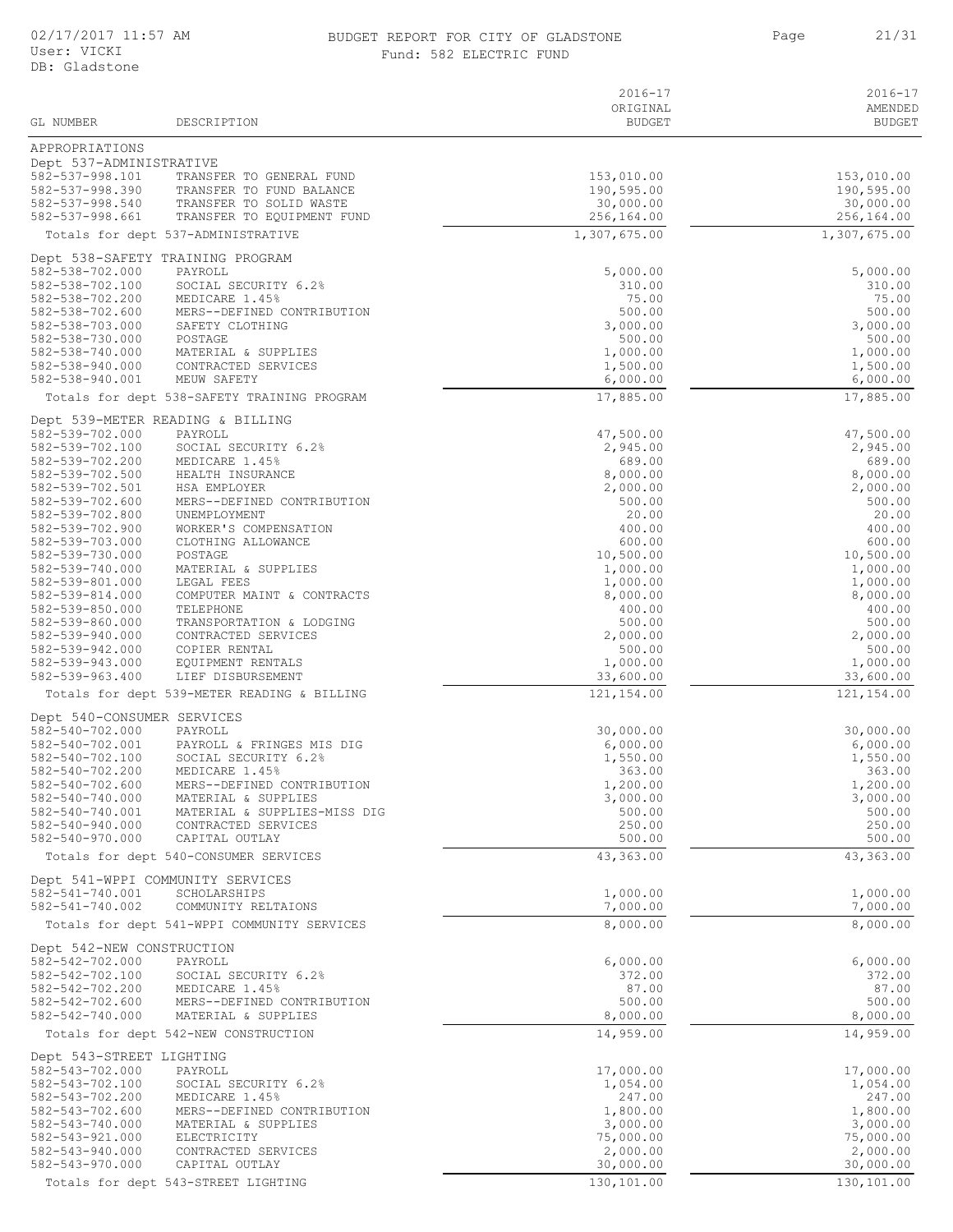## BUDGET REPORT FOR CITY OF GLADSTONE Fund: 582 ELECTRIC FUND

Page 21/31

| GL NUMBER                                          | DESCRIPTION                                                        | $2016 - 17$<br>ORIGINAL<br><b>BUDGET</b> | $2016 - 17$<br>AMENDED<br><b>BUDGET</b> |
|----------------------------------------------------|--------------------------------------------------------------------|------------------------------------------|-----------------------------------------|
| APPROPRIATIONS                                     |                                                                    |                                          |                                         |
| Dept 537-ADMINISTRATIVE                            |                                                                    |                                          |                                         |
| 582-537-998.101                                    | TRANSFER TO GENERAL FUND                                           | 153,010.00                               | 153,010.00                              |
| 582-537-998.390<br>582-537-998.540                 | TRANSFER TO FUND BALANCE<br>TRANSFER TO SOLID WASTE                | 190,595.00<br>30,000.00                  | 190,595.00<br>30,000.00                 |
| 582-537-998.661                                    | TRANSFER TO EQUIPMENT FUND                                         | 256,164.00                               | 256,164.00                              |
|                                                    | Totals for dept 537-ADMINISTRATIVE                                 | 1,307,675.00                             | 1,307,675.00                            |
|                                                    | Dept 538-SAFETY TRAINING PROGRAM                                   |                                          |                                         |
| 582-538-702.000<br>582-538-702.100                 | PAYROLL<br>SOCIAL SECURITY 6.2%                                    | 5,000.00<br>310.00                       | 5,000.00<br>310.00                      |
| 582-538-702.200                                    | MEDICARE 1.45%                                                     | 75.00                                    | 75.00                                   |
| 582-538-702.600                                    | MERS--DEFINED CONTRIBUTION                                         | 500.00                                   | 500.00                                  |
| 582-538-703.000<br>582-538-730.000                 | SAFETY CLOTHING<br>POSTAGE                                         | 3,000.00<br>500.00                       | 3,000.00<br>500.00                      |
| 582-538-740.000                                    | MATERIAL & SUPPLIES                                                | 1,000.00                                 | 1,000.00                                |
| 582-538-940.000                                    | CONTRACTED SERVICES                                                | 1,500.00                                 | 1,500.00                                |
| 582-538-940.001                                    | MEUW SAFETY                                                        | 6,000.00                                 | 6,000.00                                |
|                                                    | Totals for dept 538-SAFETY TRAINING PROGRAM                        | 17,885.00                                | 17,885.00                               |
| 582-539-702.000                                    | Dept 539-METER READING & BILLING<br>PAYROLL                        | 47,500.00                                | 47,500.00                               |
| 582-539-702.100                                    | SOCIAL SECURITY 6.2%                                               | 2,945.00                                 | 2,945.00                                |
| 582-539-702.200                                    | MEDICARE 1.45%                                                     | 689.00                                   | 689.00                                  |
| 582-539-702.500<br>582-539-702.501                 | HEALTH INSURANCE<br>HSA EMPLOYER                                   | 8,000.00<br>2,000.00                     | 8,000.00<br>2,000.00                    |
| 582-539-702.600                                    | MERS--DEFINED CONTRIBUTION                                         | 500.00                                   | 500.00                                  |
| 582-539-702.800                                    | UNEMPLOYMENT                                                       | 20.00                                    | 20.00                                   |
| 582-539-702.900<br>582-539-703.000                 | WORKER'S COMPENSATION<br>CLOTHING ALLOWANCE                        | 400.00<br>600.00                         | 400.00<br>600.00                        |
| 582-539-730.000                                    | POSTAGE                                                            | 10,500.00                                | 10,500.00                               |
| 582-539-740.000                                    | MATERIAL & SUPPLIES                                                | 1,000.00                                 | 1,000.00                                |
| 582-539-801.000<br>582-539-814.000                 | LEGAL FEES<br>COMPUTER MAINT & CONTRACTS                           | 1,000.00<br>8,000.00                     | 1,000.00<br>8,000.00                    |
| 582-539-850.000                                    | TELEPHONE                                                          | 400.00                                   | 400.00                                  |
| 582-539-860.000                                    | TRANSPORTATION & LODGING                                           | 500.00                                   | 500.00                                  |
| 582-539-940.000<br>582-539-942.000                 | CONTRACTED SERVICES<br>COPIER RENTAL                               | 2,000.00<br>500.00                       | 2,000.00<br>500.00                      |
| 582-539-943.000                                    | EQUIPMENT RENTALS                                                  | 1,000.00                                 | 1,000.00                                |
| 582-539-963.400                                    | LIEF DISBURSEMENT                                                  | 33,600.00                                | 33,600.00                               |
|                                                    | Totals for dept 539-METER READING & BILLING                        | 121,154.00                               | 121,154.00                              |
| Dept 540-CONSUMER SERVICES<br>582-540-702.000      | PAYROLL                                                            | 30,000.00                                | 30,000.00                               |
| 582-540-702.001                                    | PAYROLL & FRINGES MIS DIG                                          | 6,000.00                                 | 6,000.00                                |
| 582-540-702.100                                    | SOCIAL SECURITY 6.2%                                               | 1,550.00                                 | 1,550.00                                |
| 582-540-702.200<br>582-540-702.600                 | MEDICARE 1.45%<br>MERS--DEFINED CONTRIBUTION                       | 363.00<br>1,200.00                       | 363.00<br>1,200.00                      |
| 582-540-740.000                                    | MATERIAL & SUPPLIES                                                | 3,000.00                                 | 3,000.00                                |
| 582-540-740.001<br>582-540-940.000                 | MATERIAL & SUPPLIES-MISS DIG<br>CONTRACTED SERVICES                | 500.00                                   | 500.00<br>250.00                        |
| 582-540-970.000                                    | CAPITAL OUTLAY                                                     | 250.00<br>500.00                         | 500.00                                  |
|                                                    | Totals for dept 540-CONSUMER SERVICES                              | 43,363.00                                | 43,363.00                               |
|                                                    | Dept 541-WPPI COMMUNITY SERVICES                                   |                                          |                                         |
| 582-541-740.001                                    | SCHOLARSHIPS                                                       | 1,000.00                                 | 1,000.00                                |
| 582-541-740.002                                    | COMMUNITY RELTAIONS<br>Totals for dept 541-WPPI COMMUNITY SERVICES | 7,000.00<br>8,000.00                     | 7,000.00<br>8,000.00                    |
|                                                    |                                                                    |                                          |                                         |
| Dept 542-NEW CONSTRUCTION<br>$582 - 542 - 702.000$ | PAYROLL                                                            | 6,000.00                                 | 6,000.00                                |
| 582-542-702.100                                    | SOCIAL SECURITY 6.2%                                               | 372.00                                   | 372.00                                  |
| 582-542-702.200                                    | MEDICARE 1.45%                                                     | 87.00                                    | 87.00<br>500.00                         |
| 582-542-702.600<br>582-542-740.000                 | MERS--DEFINED CONTRIBUTION<br>MATERIAL & SUPPLIES                  | 500.00<br>8,000.00                       | 8,000.00                                |
|                                                    | Totals for dept 542-NEW CONSTRUCTION                               | 14,959.00                                | 14,959.00                               |
| Dept 543-STREET LIGHTING                           |                                                                    |                                          |                                         |
| 582-543-702.000                                    | PAYROLL                                                            | 17,000.00                                | 17,000.00                               |
| 582-543-702.100                                    | SOCIAL SECURITY 6.2%                                               | 1,054.00                                 | 1,054.00                                |
| 582-543-702.200<br>582-543-702.600                 | MEDICARE 1.45%<br>MERS--DEFINED CONTRIBUTION                       | 247.00<br>1,800.00                       | 247.00<br>1,800.00                      |
| 582-543-740.000                                    | MATERIAL & SUPPLIES                                                | 3,000.00                                 | 3,000.00                                |
| 582-543-921.000<br>582-543-940.000                 | ELECTRICITY<br>CONTRACTED SERVICES                                 | 75,000.00<br>2,000.00                    | 75,000.00<br>2,000.00                   |
| 582-543-970.000                                    | CAPITAL OUTLAY                                                     | 30,000.00                                | 30,000.00                               |
|                                                    | Totals for dept 543-STREET LIGHTING                                | 130,101.00                               | 130,101.00                              |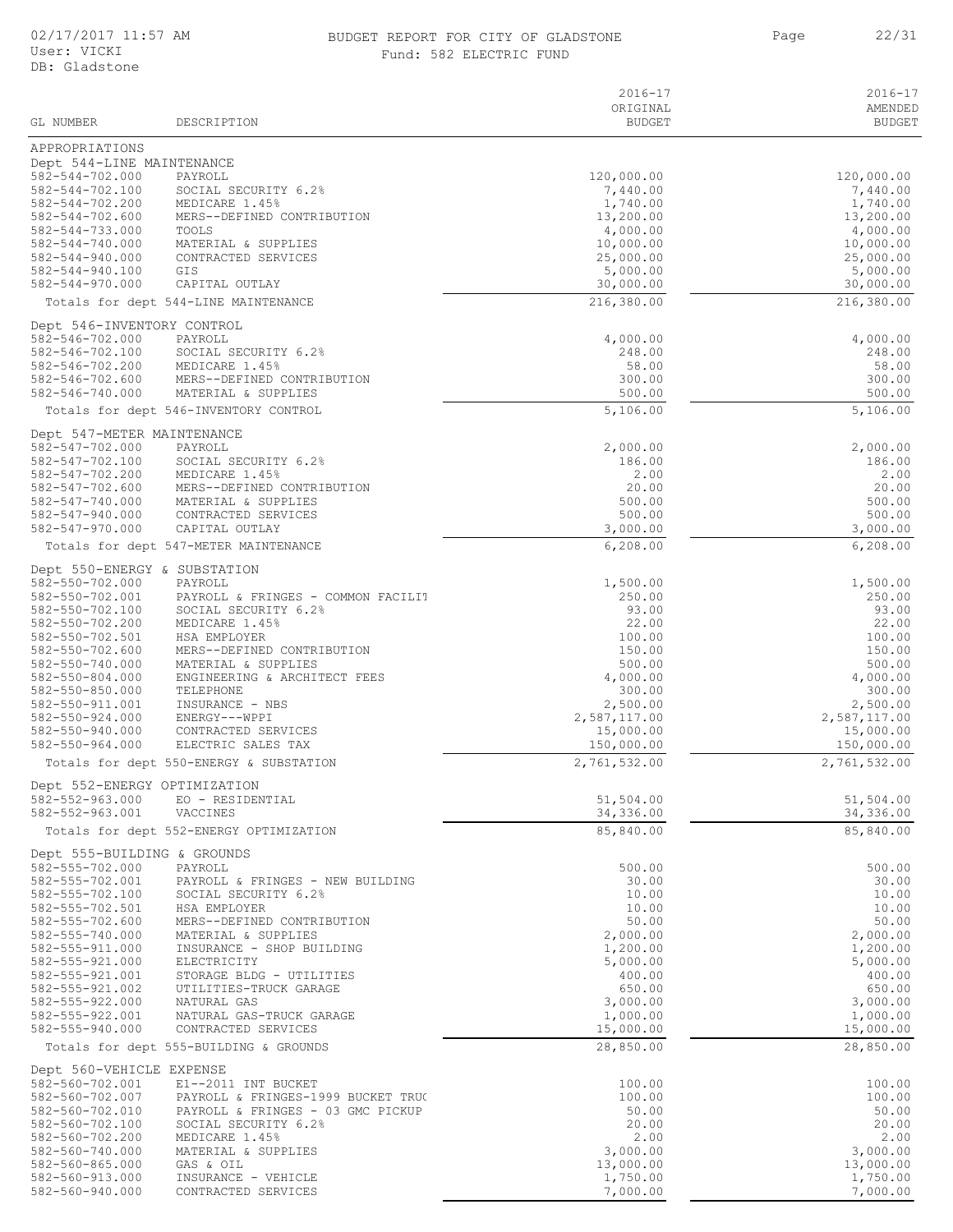# 02/17/2017 11:57 AM BUDGET REPORT FOR CITY OF GLADSTONE 22/31

|  |  | Fund: 582 ELECTRIC FUND |  |
|--|--|-------------------------|--|
|--|--|-------------------------|--|

|                                          |                                                           | 2016-17               | 2016-17               |
|------------------------------------------|-----------------------------------------------------------|-----------------------|-----------------------|
|                                          |                                                           | ORIGINAL              | AMENDED               |
| GL NUMBER                                | DESCRIPTION                                               | <b>BUDGET</b>         | <b>BUDGET</b>         |
| APPROPRIATIONS                           |                                                           |                       |                       |
| Dept 544-LINE MAINTENANCE                |                                                           |                       |                       |
| $582 - 544 - 702.000$                    | PAYROLL                                                   | 120,000.00            | 120,000.00            |
| 582-544-702.100                          | SOCIAL SECURITY 6.2%                                      | 7,440.00              | 7,440.00              |
| 582-544-702.200                          | MEDICARE 1.45%                                            | 1,740.00              | 1,740.00              |
| 582-544-702.600                          | MERS--DEFINED CONTRIBUTION                                | 13,200.00             | 13,200.00             |
| 582-544-733.000                          | TOOLS                                                     | 4,000.00              | 4,000.00              |
| 582-544-740.000                          | MATERIAL & SUPPLIES                                       | 10,000.00             | 10,000.00             |
| $582 - 544 - 940.000$<br>582-544-940.100 | CONTRACTED SERVICES<br>GIS                                | 25,000.00<br>5,000.00 | 25,000.00<br>5,000.00 |
| $582 - 544 - 970.000$                    | CAPITAL OUTLAY                                            | 30,000.00             | 30,000.00             |
|                                          |                                                           | 216,380.00            | 216,380.00            |
|                                          | Totals for dept 544-LINE MAINTENANCE                      |                       |                       |
| Dept 546-INVENTORY CONTROL               |                                                           |                       |                       |
| 582-546-702.000                          | PAYROLL                                                   | 4,000.00              | 4,000.00              |
| 582-546-702.100                          | SOCIAL SECURITY 6.2%                                      | 248.00                | 248.00                |
| 582-546-702.200                          | MEDICARE 1.45%                                            | 58.00                 | 58.00                 |
| 582-546-702.600<br>582-546-740.000       | MERS--DEFINED CONTRIBUTION<br>MATERIAL & SUPPLIES         | 300.00<br>500.00      | 300.00<br>500.00      |
|                                          |                                                           |                       |                       |
|                                          | Totals for dept 546-INVENTORY CONTROL                     | 5,106.00              | 5,106.00              |
| Dept 547-METER MAINTENANCE               |                                                           |                       |                       |
| $582 - 547 - 702.000$                    | PAYROLL                                                   | 2,000.00              | 2,000.00              |
| 582-547-702.100                          | SOCIAL SECURITY 6.2%                                      | 186.00                | 186.00                |
| 582-547-702.200                          | MEDICARE 1.45%                                            | 2.00                  | 2.00                  |
| 582-547-702.600                          | MERS--DEFINED CONTRIBUTION                                | 20.00                 | 20.00                 |
| 582-547-740.000                          | MATERIAL & SUPPLIES<br>CONTRACTED SERVICES                | 500.00                | 500.00<br>500.00      |
| 582-547-940.000<br>582-547-970.000       | CAPITAL OUTLAY                                            | 500.00<br>3,000.00    | 3,000.00              |
|                                          |                                                           |                       | 6,208.00              |
|                                          | Totals for dept 547-METER MAINTENANCE                     | 6, 208.00             |                       |
| Dept 550-ENERGY & SUBSTATION             |                                                           |                       |                       |
| 582-550-702.000                          | PAYROLL                                                   | 1,500.00              | 1,500.00              |
| 582-550-702.001                          | PAYROLL & FRINGES - COMMON FACILIT                        | 250.00                | 250.00                |
| 582-550-702.100                          | SOCIAL SECURITY 6.2%                                      | 93.00                 | 93.00                 |
| 582-550-702.200                          | MEDICARE 1.45%                                            | 22.00                 | 22.00                 |
| 582-550-702.501<br>582-550-702.600       | HSA EMPLOYER<br>MERS--DEFINED CONTRIBUTION                | 100.00<br>150.00      | 100.00<br>150.00      |
| 582-550-740.000                          | MATERIAL & SUPPLIES                                       | 500.00                | 500.00                |
| 582-550-804.000                          | ENGINEERING & ARCHITECT FEES                              | 4,000.00              | 4,000.00              |
| 582-550-850.000                          | TELEPHONE                                                 | 300.00                | 300.00                |
| 582-550-911.001                          | INSURANCE - NBS                                           | 2,500.00              | 2,500.00              |
| 582-550-924.000                          | ENERGY---WPPI                                             | 2,587,117.00          | 2,587,117.00          |
| 582-550-940.000                          | CONTRACTED SERVICES                                       | 15,000.00             | 15,000.00             |
| 582-550-964.000                          | ELECTRIC SALES TAX                                        | 150,000.00            | 150,000.00            |
|                                          | Totals for dept 550-ENERGY & SUBSTATION                   | 2,761,532.00          | 2,761,532.00          |
| Dept 552-ENERGY OPTIMIZATION             |                                                           |                       |                       |
| 582-552-963.000                          | EO - RESIDENTIAL                                          | 51,504.00             | 51,504.00             |
| 582-552-963.001                          | VACCINES                                                  | 34,336.00             | 34,336.00             |
|                                          | Totals for dept 552-ENERGY OPTIMIZATION                   | 85,840.00             | 85,840.00             |
|                                          |                                                           |                       |                       |
| Dept 555-BUILDING & GROUNDS              |                                                           |                       |                       |
| 582-555-702.000<br>582-555-702.001       | PAYROLL<br>PAYROLL & FRINGES - NEW BUILDING               | 500.00<br>30.00       | 500.00<br>30.00       |
| 582-555-702.100                          | SOCIAL SECURITY 6.2%                                      | 10.00                 | 10.00                 |
| 582-555-702.501                          | HSA EMPLOYER                                              | 10.00                 | 10.00                 |
| 582-555-702.600                          | MERS--DEFINED CONTRIBUTION                                | 50.00                 | 50.00                 |
| 582-555-740.000                          | MATERIAL & SUPPLIES                                       | 2,000.00              | 2,000.00              |
| $582 - 555 - 911.000$                    | INSURANCE - SHOP BUILDING                                 | 1,200.00              | 1,200.00              |
| 582-555-921.000                          | ELECTRICITY                                               | 5,000.00              | 5,000.00              |
| 582-555-921.001                          | STORAGE BLDG - UTILITIES                                  | 400.00                | 400.00                |
| 582-555-921.002<br>582-555-922.000       | UTILITIES-TRUCK GARAGE<br>NATURAL GAS                     | 650.00<br>3,000.00    | 650.00<br>3,000.00    |
| 582-555-922.001                          | NATURAL GAS-TRUCK GARAGE                                  | 1,000.00              | 1,000.00              |
| 582-555-940.000                          | CONTRACTED SERVICES                                       | 15,000.00             | 15,000.00             |
|                                          | Totals for dept 555-BUILDING & GROUNDS                    | 28,850.00             | 28,850.00             |
|                                          |                                                           |                       |                       |
| Dept 560-VEHICLE EXPENSE                 |                                                           |                       |                       |
| 582-560-702.001                          | E1--2011 INT BUCKET                                       | 100.00                | 100.00                |
| 582-560-702.007                          | PAYROLL & FRINGES-1999 BUCKET TRUC                        | 100.00                | 100.00                |
| 582-560-702.010<br>582-560-702.100       | PAYROLL & FRINGES - 03 GMC PICKUP<br>SOCIAL SECURITY 6.2% | 50.00<br>20.00        | 50.00<br>20.00        |
| 582-560-702.200                          | MEDICARE 1.45%                                            | 2.00                  | 2.00                  |
| 582-560-740.000                          | MATERIAL & SUPPLIES                                       | 3,000.00              | 3,000.00              |
| 582-560-865.000                          | GAS & OIL                                                 | 13,000.00             | 13,000.00             |
| 582-560-913.000                          | INSURANCE - VEHICLE                                       | 1,750.00              | 1,750.00              |
| 582-560-940.000                          | CONTRACTED SERVICES                                       | 7,000.00              | 7,000.00              |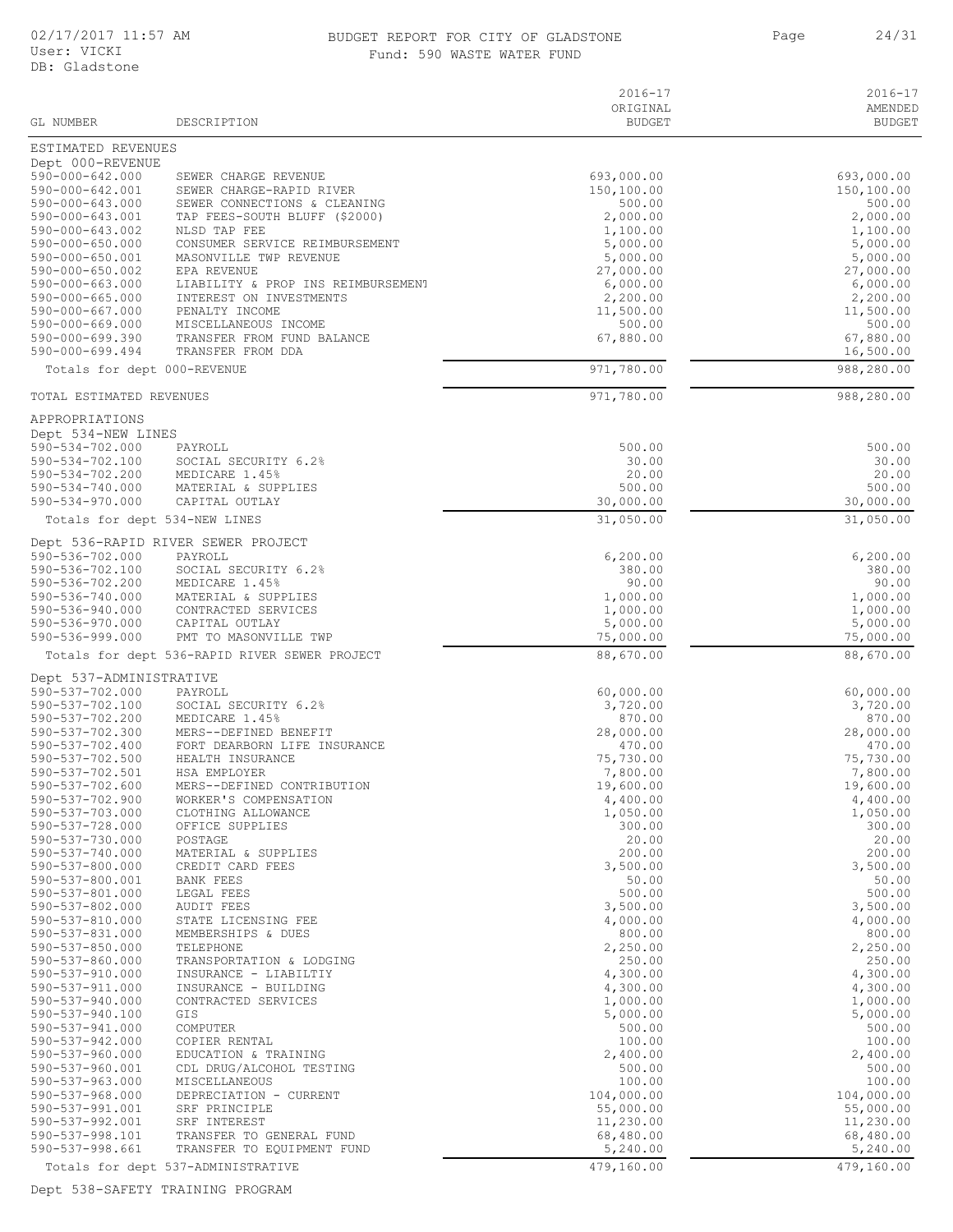#### 02/17/2017 11:57 AM BUDGET REPORT FOR CITY OF GLADSTONE 24/31 Fund: 590 WASTE WATER FUND

| GL NUMBER                                | DESCRIPTION                                                            | $2016 - 17$<br>ORIGINAL<br><b>BUDGET</b> | 2016-17<br>AMENDED<br><b>BUDGET</b> |
|------------------------------------------|------------------------------------------------------------------------|------------------------------------------|-------------------------------------|
| ESTIMATED REVENUES                       |                                                                        |                                          |                                     |
| Dept 000-REVENUE                         |                                                                        |                                          |                                     |
| $590 - 000 - 642.000$                    | SEWER CHARGE REVENUE                                                   | 693,000.00                               | 693,000.00                          |
| 590-000-642.001                          | SEWER CHARGE-RAPID RIVER                                               | 150,100.00                               | 150,100.00                          |
| 590-000-643.000<br>590-000-643.001       | SEWER CONNECTIONS & CLEANING<br>TAP FEES-SOUTH BLUFF (\$2000)          | 500.00<br>2,000.00                       | 500.00<br>2,000.00                  |
| 590-000-643.002                          | NLSD TAP FEE                                                           | 1,100.00                                 | 1,100.00                            |
| $590 - 000 - 650.000$                    | CONSUMER SERVICE REIMBURSEMENT                                         | 5,000.00                                 | 5,000.00                            |
| 590-000-650.001<br>590-000-650.002       | MASONVILLE TWP REVENUE<br>EPA REVENUE                                  | 5,000.00<br>27,000.00                    | 5,000.00<br>27,000.00               |
| 590-000-663.000                          | LIABILITY & PROP INS REIMBURSEMENT                                     | 6,000.00                                 | 6,000.00                            |
| 590-000-665.000                          | INTEREST ON INVESTMENTS                                                | 2,200.00                                 | 2,200.00                            |
| 590-000-667.000                          | PENALTY INCOME                                                         | 11,500.00                                | 11,500.00                           |
| 590-000-669.000<br>$590 - 000 - 699.390$ | MISCELLANEOUS INCOME<br>TRANSFER FROM FUND BALANCE                     | 500.00<br>67,880.00                      | 500.00<br>67,880.00                 |
| $590 - 000 - 699.494$                    | TRANSFER FROM DDA                                                      |                                          | 16,500.00                           |
| Totals for dept 000-REVENUE              |                                                                        | 971,780.00                               | 988,280.00                          |
| TOTAL ESTIMATED REVENUES                 |                                                                        | 971,780.00                               | 988,280.00                          |
| APPROPRIATIONS                           |                                                                        |                                          |                                     |
| Dept 534-NEW LINES                       |                                                                        |                                          |                                     |
| 590-534-702.000                          | PAYROLL                                                                | 500.00                                   | 500.00                              |
| 590-534-702.100                          | SOCIAL SECURITY 6.2%                                                   | 30.00                                    | 30.00                               |
| 590-534-702.200<br>590-534-740.000       | MEDICARE 1.45%<br>MATERIAL & SUPPLIES                                  | 20.00<br>500.00                          | 20.00<br>500.00                     |
| $590 - 534 - 970.000$                    | CAPITAL OUTLAY                                                         | 30,000.00                                | 30,000.00                           |
|                                          | Totals for dept 534-NEW LINES                                          | 31,050.00                                | 31,050.00                           |
|                                          | Dept 536-RAPID RIVER SEWER PROJECT                                     |                                          |                                     |
| 590-536-702.000                          | PAYROLL                                                                | 6, 200.00                                | 6,200.00                            |
| 590-536-702.100<br>590-536-702.200       | SOCIAL SECURITY 6.2%<br>MEDICARE 1.45%                                 | 380.00<br>90.00                          | 380.00<br>90.00                     |
| 590-536-740.000                          | MATERIAL & SUPPLIES                                                    | 1,000.00                                 | 1,000.00                            |
| 590-536-940.000                          | CONTRACTED SERVICES                                                    | 1,000.00                                 | 1,000.00                            |
| 590-536-970.000                          | CAPITAL OUTLAY                                                         | 5,000.00                                 | 5,000.00                            |
| 590-536-999.000                          | PMT TO MASONVILLE TWP<br>Totals for dept 536-RAPID RIVER SEWER PROJECT | 75,000.00<br>88,670.00                   | 75,000.00<br>88,670.00              |
| Dept 537-ADMINISTRATIVE                  |                                                                        |                                          |                                     |
| 590-537-702.000                          | PAYROLL                                                                | 60,000.00                                | 60,000.00                           |
| 590-537-702.100                          | SOCIAL SECURITY 6.2%                                                   | 3,720.00                                 | 3,720.00                            |
| 590-537-702.200                          | MEDICARE 1.45%                                                         | 870.00                                   | 870.00                              |
| 590-537-702.300<br>590-537-702.400       | MERS--DEFINED BENEFIT<br>FORT DEARBORN LIFE INSURANCE                  | 28,000.00<br>470.00                      | 28,000.00<br>470.00                 |
| 590-537-702.500                          | HEALTH INSURANCE                                                       | 75,730.00                                | 75,730.00                           |
| 590-537-702.501                          | HSA EMPLOYER                                                           | 7,800.00                                 | 7,800.00                            |
| 590-537-702.600                          | MERS--DEFINED CONTRIBUTION                                             | 19,600.00                                | 19,600.00                           |
| 590-537-702.900<br>590-537-703.000       | WORKER'S COMPENSATION<br>CLOTHING ALLOWANCE                            | 4,400.00<br>1,050.00                     | 4,400.00<br>1,050.00                |
| 590-537-728.000                          | OFFICE SUPPLIES                                                        | 300.00                                   | 300.00                              |
| 590-537-730.000                          | POSTAGE                                                                | 20.00                                    | 20.00                               |
| 590-537-740.000                          | MATERIAL & SUPPLIES<br>CREDIT CARD FEES                                | 200.00<br>3,500.00                       | 200.00                              |
| 590-537-800.000<br>590-537-800.001       | <b>BANK FEES</b>                                                       | 50.00                                    | 3,500.00<br>50.00                   |
| 590-537-801.000                          | LEGAL FEES                                                             | 500.00                                   | 500.00                              |
| 590-537-802.000                          | <b>AUDIT FEES</b>                                                      | 3,500.00                                 | 3,500.00                            |
| 590-537-810.000                          | STATE LICENSING FEE                                                    | 4,000.00                                 | 4,000.00                            |
| 590-537-831.000<br>$590 - 537 - 850.000$ | MEMBERSHIPS & DUES<br>TELEPHONE                                        | 800.00<br>2,250.00                       | 800.00<br>2,250.00                  |
| $590 - 537 - 860.000$                    | TRANSPORTATION & LODGING                                               | 250.00                                   | 250.00                              |
| 590-537-910.000                          | INSURANCE - LIABILTIY                                                  | 4,300.00                                 | 4,300.00                            |
| 590-537-911.000                          | INSURANCE - BUILDING                                                   | 4,300.00                                 | 4,300.00                            |
| 590-537-940.000<br>590-537-940.100       | CONTRACTED SERVICES<br>GIS                                             | 1,000.00<br>5,000.00                     | 1,000.00<br>5,000.00                |
| 590-537-941.000                          | COMPUTER                                                               | 500.00                                   | 500.00                              |
| $590 - 537 - 942.000$                    | COPIER RENTAL                                                          | 100.00                                   | 100.00                              |
| $590 - 537 - 960.000$                    | EDUCATION & TRAINING                                                   | 2,400.00                                 | 2,400.00                            |
| 590-537-960.001                          | CDL DRUG/ALCOHOL TESTING                                               | 500.00                                   | 500.00                              |
| 590-537-963.000<br>$590 - 537 - 968.000$ | MISCELLANEOUS<br>DEPRECIATION - CURRENT                                | 100.00<br>104,000.00                     | 100.00<br>104,000.00                |
| 590-537-991.001                          | SRF PRINCIPLE                                                          | 55,000.00                                | 55,000.00                           |
| 590-537-992.001                          | SRF INTEREST                                                           | 11,230.00                                | 11,230.00                           |
| 590-537-998.101<br>590-537-998.661       | TRANSFER TO GENERAL FUND<br>TRANSFER TO EQUIPMENT FUND                 | 68,480.00<br>5,240.00                    | 68,480.00<br>5,240.00               |
|                                          | Totals for dept 537-ADMINISTRATIVE                                     | 479,160.00                               | 479,160.00                          |

Dept 538-SAFETY TRAINING PROGRAM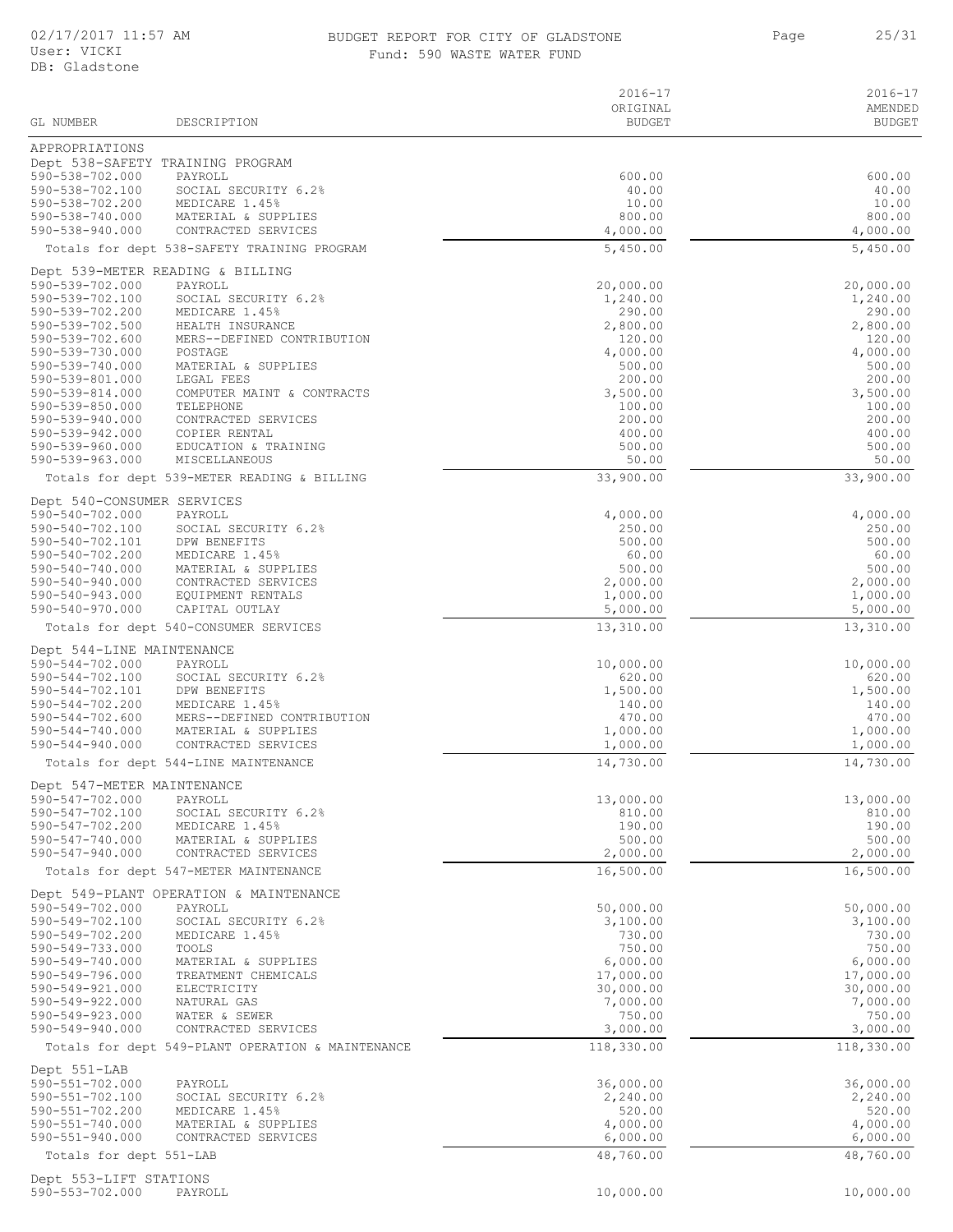## BUDGET REPORT FOR CITY OF GLADSTONE 25/31 Fund: 590 WASTE WATER FUND

|                                               |                                                         | $2016 - 17$               | 2016-17                  |
|-----------------------------------------------|---------------------------------------------------------|---------------------------|--------------------------|
| GL NUMBER                                     | DESCRIPTION                                             | ORIGINAL<br><b>BUDGET</b> | AMENDED<br><b>BUDGET</b> |
| APPROPRIATIONS                                |                                                         |                           |                          |
|                                               | Dept 538-SAFETY TRAINING PROGRAM                        |                           |                          |
| 590-538-702.000<br>590-538-702.100            | PAYROLL                                                 | 600.00<br>40.00           | 600.00<br>40.00          |
| 590-538-702.200                               | SOCIAL SECURITY 6.2%<br>MEDICARE 1.45%                  | 10.00                     | 10.00                    |
| 590-538-740.000                               | MATERIAL & SUPPLIES                                     | 800.00                    | 800.00                   |
| 590-538-940.000                               | CONTRACTED SERVICES                                     | 4,000.00                  | 4,000.00                 |
|                                               | Totals for dept 538-SAFETY TRAINING PROGRAM             | 5,450.00                  | 5,450.00                 |
| 590-539-702.000                               | Dept 539-METER READING & BILLING<br>PAYROLL             | 20,000.00                 | 20,000.00                |
| 590-539-702.100                               | SOCIAL SECURITY 6.2%                                    | 1,240.00                  | 1,240.00                 |
| 590-539-702.200                               | MEDICARE 1.45%                                          | 290.00                    | 290.00                   |
| 590-539-702.500<br>590-539-702.600            | HEALTH INSURANCE<br>MERS--DEFINED CONTRIBUTION          | 2,800.00<br>120.00        | 2,800.00<br>120.00       |
| 590-539-730.000                               | POSTAGE                                                 | 4,000.00                  | 4,000.00                 |
| 590-539-740.000                               | MATERIAL & SUPPLIES                                     | 500.00                    | 500.00                   |
| 590-539-801.000<br>590-539-814.000            | LEGAL FEES<br>COMPUTER MAINT & CONTRACTS                | 200.00<br>3,500.00        | 200.00<br>3,500.00       |
| 590-539-850.000                               | TELEPHONE                                               | 100.00                    | 100.00                   |
| 590-539-940.000<br>590-539-942.000            | CONTRACTED SERVICES<br>COPIER RENTAL                    | 200.00<br>400.00          | 200.00<br>400.00         |
| 590-539-960.000                               | EDUCATION & TRAINING                                    | 500.00                    | 500.00                   |
| 590-539-963.000                               | MISCELLANEOUS                                           | 50.00                     | 50.00                    |
|                                               | Totals for dept 539-METER READING & BILLING             | 33,900.00                 | 33,900.00                |
| Dept 540-CONSUMER SERVICES<br>590-540-702.000 |                                                         |                           |                          |
| 590-540-702.100                               | PAYROLL<br>SOCIAL SECURITY 6.2%                         | 4,000.00<br>250.00        | 4,000.00<br>250.00       |
| 590-540-702.101                               | DPW BENEFITS                                            | 500.00                    | 500.00                   |
| 590-540-702.200<br>590-540-740.000            | MEDICARE 1.45%<br>MATERIAL & SUPPLIES                   | 60.00<br>500.00           | 60.00<br>500.00          |
| 590-540-940.000                               | CONTRACTED SERVICES                                     | 2,000.00                  | 2,000.00                 |
| 590-540-943.000                               | EQUIPMENT RENTALS                                       | 1,000.00                  | 1,000.00                 |
| 590-540-970.000                               | CAPITAL OUTLAY<br>Totals for dept 540-CONSUMER SERVICES | 5,000.00<br>13,310.00     | 5,000.00<br>13,310.00    |
|                                               |                                                         |                           |                          |
| Dept 544-LINE MAINTENANCE<br>590-544-702.000  | PAYROLL                                                 | 10,000.00                 | 10,000.00                |
| 590-544-702.100                               | SOCIAL SECURITY 6.2%                                    | 620.00                    | 620.00                   |
| 590-544-702.101                               | DPW BENEFITS                                            | 1,500.00                  | 1,500.00                 |
| 590-544-702.200<br>$590 - 544 - 702.600$      | MEDICARE 1.45%<br>MERS--DEFINED CONTRIBUTION            | 140.00<br>470.00          | 140.00<br>470.00         |
| 590-544-740.000                               | MATERIAL & SUPPLIES                                     | 1,000.00                  | 1,000.00                 |
| $590 - 544 - 940.000$                         | CONTRACTED SERVICES                                     | 1,000.00                  | 1,000.00                 |
|                                               | Totals for dept 544-LINE MAINTENANCE                    | 14,730.00                 | 14,730.00                |
| Dept 547-METER MAINTENANCE<br>590-547-702.000 | PAYROLL                                                 | 13,000.00                 | 13,000.00                |
| 590-547-702.100                               | SOCIAL SECURITY 6.2%                                    | 810.00                    | 810.00                   |
| 590-547-702.200                               | MEDICARE 1.45%                                          | 190.00                    | 190.00                   |
| 590-547-740.000<br>$590 - 547 - 940.000$      | MATERIAL & SUPPLIES<br>CONTRACTED SERVICES              | 500.00<br>2,000.00        | 500.00<br>2,000.00       |
|                                               | Totals for dept 547-METER MAINTENANCE                   | 16,500.00                 | 16,500.00                |
|                                               | Dept 549-PLANT OPERATION & MAINTENANCE                  |                           |                          |
| 590-549-702.000                               | PAYROLL                                                 | 50,000.00                 | 50,000.00                |
| 590-549-702.100<br>590-549-702.200            | SOCIAL SECURITY 6.2%<br>MEDICARE 1.45%                  | 3,100.00<br>730.00        | 3,100.00<br>730.00       |
| 590-549-733.000                               | TOOLS                                                   | 750.00                    | 750.00                   |
| 590-549-740.000                               | MATERIAL & SUPPLIES                                     | 6,000.00                  | 6,000.00                 |
| 590-549-796.000<br>590-549-921.000            | TREATMENT CHEMICALS<br>ELECTRICITY                      | 17,000.00<br>30,000.00    | 17,000.00<br>30,000.00   |
| 590-549-922.000                               | NATURAL GAS                                             | 7,000.00                  | 7,000.00                 |
| 590-549-923.000<br>590-549-940.000            | WATER & SEWER<br>CONTRACTED SERVICES                    | 750.00<br>3,000.00        | 750.00<br>3,000.00       |
|                                               | Totals for dept 549-PLANT OPERATION & MAINTENANCE       | 118,330.00                | 118,330.00               |
| Dept 551-LAB                                  |                                                         |                           |                          |
| 590-551-702.000                               | PAYROLL                                                 | 36,000.00                 | 36,000.00                |
| 590-551-702.100                               | SOCIAL SECURITY 6.2%                                    | 2,240.00                  | 2,240.00                 |
| 590-551-702.200<br>$590 - 551 - 740.000$      | MEDICARE 1.45%<br>MATERIAL & SUPPLIES                   | 520.00<br>4,000.00        | 520.00<br>4,000.00       |
| $590 - 551 - 940.000$                         | CONTRACTED SERVICES                                     | 6,000.00                  | 6,000.00                 |
| Totals for dept 551-LAB                       |                                                         | 48,760.00                 | 48,760.00                |
| Dept 553-LIFT STATIONS                        |                                                         |                           |                          |

590-553-702.000 PAYROLL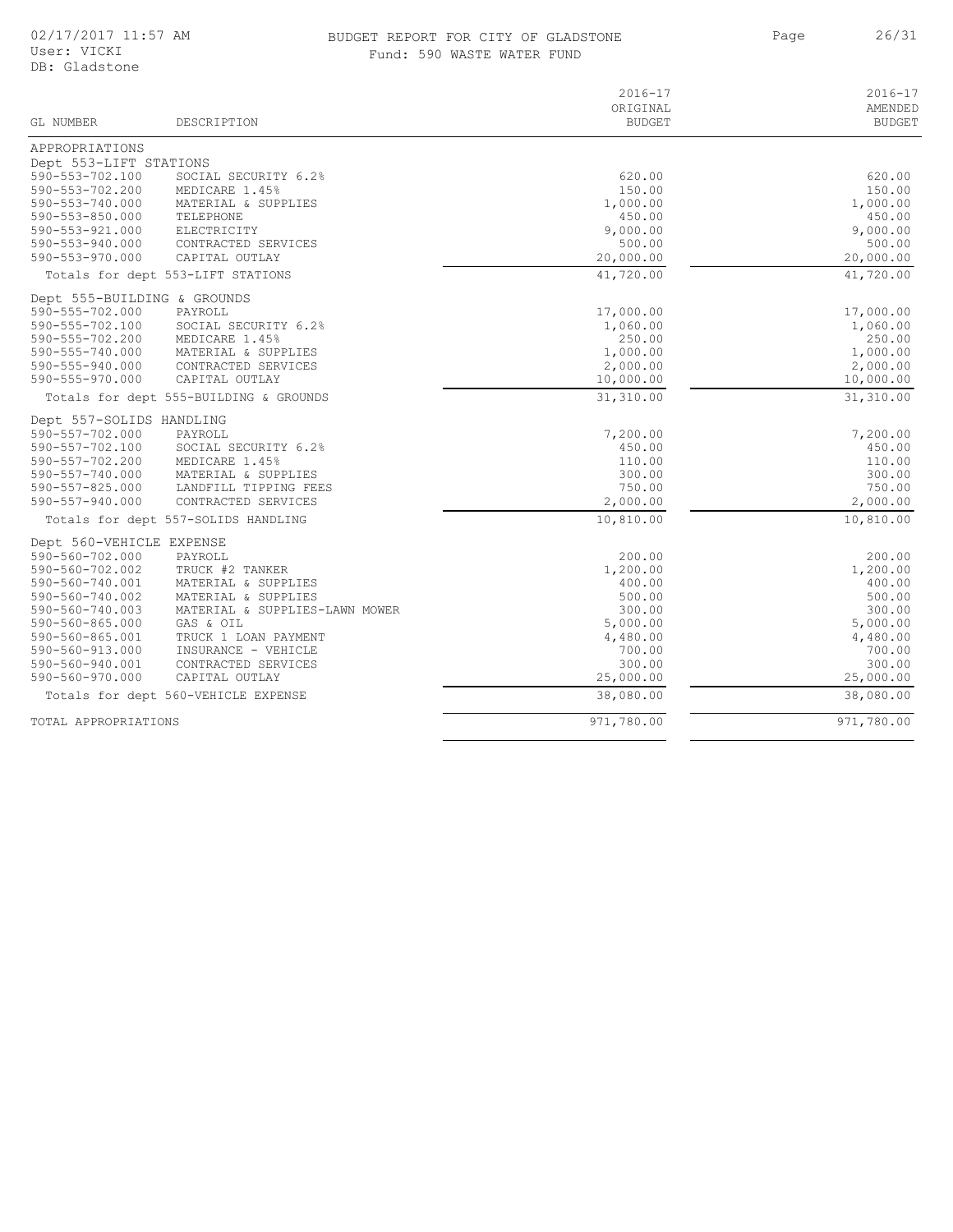# BUDGET REPORT FOR CITY OF GLADSTONE Fund: 590 WASTE WATER FUND

| GL NUMBER                                   | DESCRIPTION                                 | $2016 - 17$<br>ORIGINAL<br><b>BUDGET</b> | $2016 - 17$<br>AMENDED<br><b>BUDGET</b> |
|---------------------------------------------|---------------------------------------------|------------------------------------------|-----------------------------------------|
|                                             |                                             |                                          |                                         |
| APPROPRIATIONS<br>Dept 553-LIFT STATIONS    |                                             |                                          |                                         |
| 590-553-702.100                             | SOCIAL SECURITY 6.2%                        | 620.00                                   | 620.00                                  |
| 590-553-702.200                             | MEDICARE 1.45%                              | 150.00                                   | 150.00                                  |
| 590-553-740.000                             | MATERIAL & SUPPLIES                         | 1,000.00                                 | 1,000.00                                |
| 590-553-850.000                             | TELEPHONE                                   | 450.00                                   | 450.00                                  |
| 590-553-921.000                             | ELECTRICITY                                 | 9,000.00                                 | 9,000.00                                |
| 590-553-940.000                             | CONTRACTED SERVICES                         | 500.00                                   | 500.00                                  |
| $590 - 553 - 970.000$                       | CAPITAL OUTLAY                              | 20,000.00                                | 20,000.00                               |
|                                             | Totals for dept 553-LIFT STATIONS           | 41,720.00                                | 41,720.00                               |
| Dept 555-BUILDING & GROUNDS                 |                                             |                                          |                                         |
| 590-555-702.000                             | PAYROLL                                     | 17,000.00                                | 17,000.00                               |
| 590-555-702.100                             | SOCIAL SECURITY 6.2%                        | 1,060.00                                 | 1,060.00                                |
| 590-555-702.200                             | MEDICARE 1.45%                              | 250.00                                   | 250.00                                  |
| 590-555-740.000<br>590-555-940.000          | MATERIAL & SUPPLIES<br>CONTRACTED SERVICES  | 1,000.00<br>2,000.00                     | 1,000.00<br>2,000.00                    |
| 590-555-970.000                             | CAPITAL OUTLAY                              | 10,000.00                                | 10,000.00                               |
|                                             | Totals for dept 555-BUILDING & GROUNDS      | 31,310.00                                | 31,310.00                               |
|                                             |                                             |                                          |                                         |
| Dept 557-SOLIDS HANDLING<br>590-557-702.000 | PAYROLL                                     | 7,200.00                                 | 7,200.00                                |
| 590-557-702.100                             | SOCIAL SECURITY 6.2%                        | 450.00                                   | 450.00                                  |
| 590-557-702.200                             | MEDICARE 1.45%                              | 110.00                                   | 110.00                                  |
| $590 - 557 - 740.000$                       | MATERIAL & SUPPLIES                         | 300.00                                   | 300.00                                  |
| 590-557-825.000                             | LANDFILL TIPPING FEES                       | 750.00                                   | 750.00                                  |
| 590-557-940.000                             | CONTRACTED SERVICES                         | 2,000.00                                 | 2,000.00                                |
|                                             | Totals for dept 557-SOLIDS HANDLING         | 10,810.00                                | 10,810.00                               |
| Dept 560-VEHICLE EXPENSE                    |                                             |                                          |                                         |
| 590-560-702.000                             | PAYROLL                                     | 200.00                                   | 200.00                                  |
| 590-560-702.002                             | TRUCK #2 TANKER                             | 1,200.00                                 | 1,200.00                                |
| 590-560-740.001                             | MATERIAL & SUPPLIES                         | 400.00                                   | 400.00                                  |
| 590-560-740.002                             | MATERIAL & SUPPLIES                         | 500.00                                   | 500.00                                  |
| 590-560-740.003<br>590-560-865.000          | MATERIAL & SUPPLIES-LAWN MOWER<br>GAS & OIL | 300.00<br>5,000.00                       | 300.00<br>5,000.00                      |
| 590-560-865.001                             | TRUCK 1 LOAN PAYMENT                        | 4,480.00                                 | 4,480.00                                |
| 590-560-913.000                             | INSURANCE - VEHICLE                         | 700.00                                   | 700.00                                  |
| 590-560-940.001                             | CONTRACTED SERVICES                         | 300.00                                   | 300.00                                  |
| 590-560-970.000                             | CAPITAL OUTLAY                              | 25,000.00                                | 25,000.00                               |
|                                             | Totals for dept 560-VEHICLE EXPENSE         | 38,080.00                                | 38,080.00                               |
| TOTAL APPROPRIATIONS                        |                                             | 971,780.00                               | 971,780.00                              |
|                                             |                                             |                                          |                                         |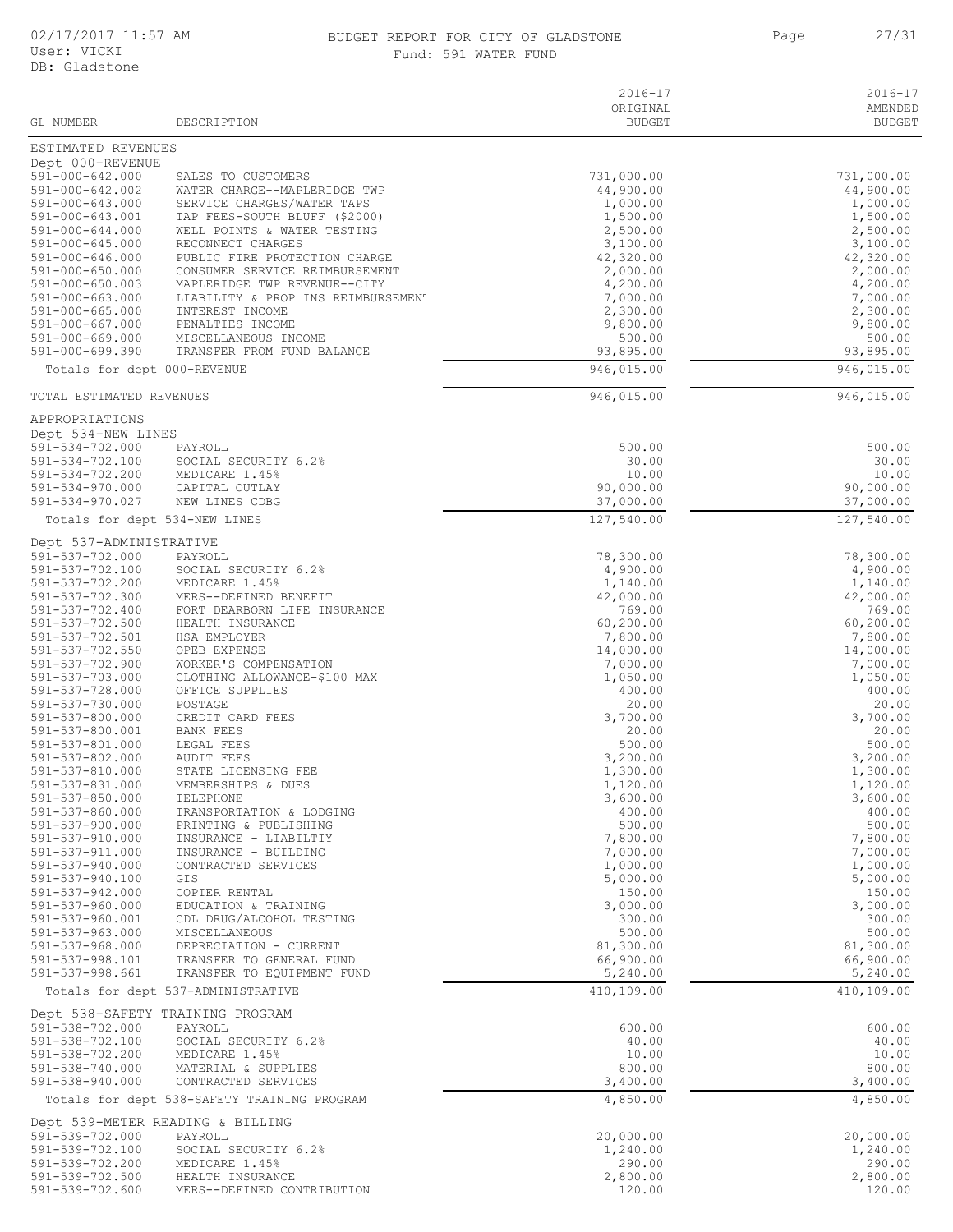#### 02/17/2017 11:57 AM BUDGET REPORT FOR CITY OF GLADSTONE 27/31 Fund: 591 WATER FUND

|                                                |                                                                | $2016 - 17$               | $2016 - 17$              |
|------------------------------------------------|----------------------------------------------------------------|---------------------------|--------------------------|
| GL NUMBER                                      | DESCRIPTION                                                    | ORIGINAL<br><b>BUDGET</b> | AMENDED<br><b>BUDGET</b> |
|                                                |                                                                |                           |                          |
| ESTIMATED REVENUES                             |                                                                |                           |                          |
| Dept 000-REVENUE                               |                                                                |                           |                          |
| $591 - 000 - 642.000$<br>$591 - 000 - 642.002$ | SALES TO CUSTOMERS<br>WATER CHARGE--MAPLERIDGE TWP             | 731,000.00<br>44,900.00   | 731,000.00<br>44,900.00  |
| 591-000-643.000                                | SERVICE CHARGES/WATER TAPS                                     | 1,000.00                  | 1,000.00                 |
| 591-000-643.001                                | TAP FEES-SOUTH BLUFF (\$2000)                                  | 1,500.00                  | 1,500.00                 |
| 591-000-644.000                                | WELL POINTS & WATER TESTING                                    | 2,500.00                  | 2,500.00                 |
| 591-000-645.000                                | RECONNECT CHARGES                                              | 3,100.00                  | 3,100.00                 |
| 591-000-646.000                                | PUBLIC FIRE PROTECTION CHARGE                                  | 42,320.00                 | 42,320.00                |
| $591 - 000 - 650.000$<br>$591 - 000 - 650.003$ | CONSUMER SERVICE REIMBURSEMENT<br>MAPLERIDGE TWP REVENUE--CITY | 2,000.00<br>4,200.00      | 2,000.00<br>4,200.00     |
| 591-000-663.000                                | LIABILITY & PROP INS REIMBURSEMENT                             | 7,000.00                  | 7,000.00                 |
| 591-000-665.000                                | INTEREST INCOME                                                | 2,300.00                  | 2,300.00                 |
| 591-000-667.000                                | PENALTIES INCOME                                               | 9,800.00                  | 9,800.00                 |
| 591-000-669.000                                | MISCELLANEOUS INCOME                                           | 500.00                    | 500.00                   |
| 591-000-699.390                                | TRANSFER FROM FUND BALANCE                                     | 93,895.00                 | 93,895.00                |
| Totals for dept 000-REVENUE                    |                                                                | 946,015.00                | 946,015.00               |
| TOTAL ESTIMATED REVENUES                       |                                                                | 946,015.00                | 946,015.00               |
|                                                |                                                                |                           |                          |
| APPROPRIATIONS                                 |                                                                |                           |                          |
| Dept 534-NEW LINES                             |                                                                |                           |                          |
| 591-534-702.000<br>591-534-702.100             | PAYROLL<br>SOCIAL SECURITY 6.2%                                | 500.00<br>30.00           | 500.00<br>30.00          |
| 591-534-702.200                                | MEDICARE 1.45%                                                 | 10.00                     | 10.00                    |
| 591-534-970.000                                | CAPITAL OUTLAY                                                 | 90,000.00                 | 90,000.00                |
| 591-534-970.027                                | NEW LINES CDBG                                                 | 37,000.00                 | 37,000.00                |
| Totals for dept 534-NEW LINES                  |                                                                | 127,540.00                | 127,540.00               |
| Dept 537-ADMINISTRATIVE                        |                                                                |                           |                          |
| 591-537-702.000                                | PAYROLL                                                        | 78,300.00                 | 78,300.00                |
| 591-537-702.100                                | SOCIAL SECURITY 6.2%                                           | 4,900.00                  | 4,900.00                 |
| 591-537-702.200                                | MEDICARE 1.45%                                                 | 1,140.00                  | 1,140.00                 |
| 591-537-702.300                                | MERS--DEFINED BENEFIT                                          | 42,000.00                 | 42,000.00                |
| 591-537-702.400<br>591-537-702.500             | FORT DEARBORN LIFE INSURANCE<br>HEALTH INSURANCE               | 769.00<br>60,200.00       | 769.00<br>60, 200.00     |
| 591-537-702.501                                | HSA EMPLOYER                                                   | 7,800.00                  | 7,800.00                 |
| 591-537-702.550                                | OPEB EXPENSE                                                   | 14,000.00                 | 14,000.00                |
| 591-537-702.900                                | WORKER'S COMPENSATION                                          | 7,000.00                  | 7,000.00                 |
| 591-537-703.000                                | CLOTHING ALLOWANCE-\$100 MAX                                   | 1,050.00                  | 1,050.00                 |
| 591-537-728.000                                | OFFICE SUPPLIES<br>POSTAGE                                     | 400.00                    | 400.00                   |
| 591-537-730.000<br>591-537-800.000             | CREDIT CARD FEES                                               | 20.00<br>3,700.00         | 20.00<br>3,700.00        |
| 591-537-800.001                                | <b>BANK FEES</b>                                               | 20.00                     | 20.00                    |
| 591-537-801.000                                | LEGAL FEES                                                     | 500.00                    | 500.00                   |
| 591-537-802.000                                | AUDIT FEES                                                     | 3,200.00                  | 3,200.00                 |
| 591-537-810.000                                | STATE LICENSING FEE                                            | 1,300.00                  | 1,300.00                 |
| 591-537-831.000<br>$591 - 537 - 850.000$       | MEMBERSHIPS & DUES<br>TELEPHONE                                | 1,120.00<br>3,600.00      | 1,120.00<br>3,600.00     |
| 591-537-860.000                                | TRANSPORTATION & LODGING                                       | 400.00                    | 400.00                   |
| 591-537-900.000                                | PRINTING & PUBLISHING                                          | 500.00                    | 500.00                   |
| 591-537-910.000                                | INSURANCE - LIABILTIY                                          | 7,800.00                  | 7,800.00                 |
| 591-537-911.000                                | INSURANCE - BUILDING                                           | 7,000.00                  | 7,000.00                 |
| 591-537-940.000                                | CONTRACTED SERVICES                                            | 1,000.00                  | 1,000.00                 |
| 591-537-940.100<br>591-537-942.000             | GIS<br>COPIER RENTAL                                           | 5,000.00<br>150.00        | 5,000.00<br>150.00       |
| 591-537-960.000                                | EDUCATION & TRAINING                                           | 3,000.00                  | 3,000.00                 |
| 591-537-960.001                                | CDL DRUG/ALCOHOL TESTING                                       | 300.00                    | 300.00                   |
| 591-537-963.000                                | MISCELLANEOUS                                                  | 500.00                    | 500.00                   |
| 591-537-968.000                                | DEPRECIATION - CURRENT                                         | 81,300.00                 | 81,300.00                |
| 591-537-998.101<br>591-537-998.661             | TRANSFER TO GENERAL FUND                                       | 66,900.00                 | 66,900.00                |
|                                                | TRANSFER TO EQUIPMENT FUND                                     | 5,240.00<br>410,109.00    | 5,240.00<br>410,109.00   |
|                                                | Totals for dept 537-ADMINISTRATIVE                             |                           |                          |
|                                                | Dept 538-SAFETY TRAINING PROGRAM                               |                           |                          |
| 591-538-702.000<br>591-538-702.100             | PAYROLL                                                        | 600.00                    | 600.00                   |
| 591-538-702.200                                | SOCIAL SECURITY 6.2%<br>MEDICARE 1.45%                         | 40.00<br>10.00            | 40.00<br>10.00           |
| 591-538-740.000                                | MATERIAL & SUPPLIES                                            | 800.00                    | 800.00                   |
| 591-538-940.000                                | CONTRACTED SERVICES                                            | 3,400.00                  | 3,400.00                 |
|                                                | Totals for dept 538-SAFETY TRAINING PROGRAM                    | 4,850.00                  | 4,850.00                 |
|                                                | Dept 539-METER READING & BILLING                               |                           |                          |
| 591-539-702.000                                | PAYROLL                                                        | 20,000.00                 | 20,000.00                |
| 591-539-702.100                                | SOCIAL SECURITY 6.2%                                           | 1,240.00                  | 1,240.00                 |
| 591-539-702.200                                | MEDICARE 1.45%                                                 | 290.00                    | 290.00                   |
| 591-539-702.500                                | HEALTH INSURANCE                                               | 2,800.00                  | 2,800.00                 |
| 591-539-702.600                                | MERS--DEFINED CONTRIBUTION                                     | 120.00                    | 120.00                   |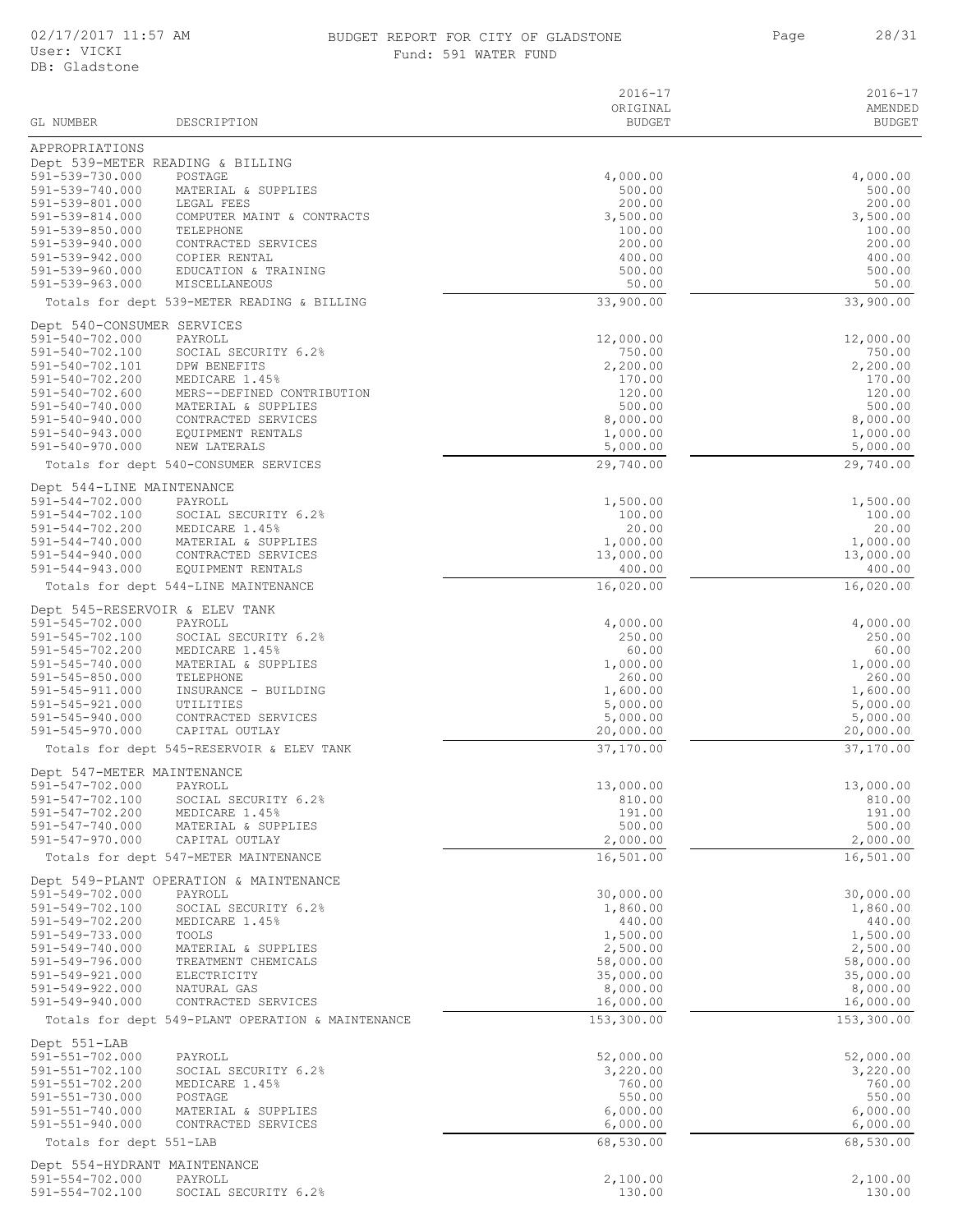#### 02/17/2017 11:57 AM BUDGET REPORT FOR CITY OF GLADSTONE Page BUDGET REPORT FOR CITY OF GLADSTONE 28/31 Fund: 591 WATER FUND

|                                          |                                                   | $2016 - 17$           | 2016-17               |
|------------------------------------------|---------------------------------------------------|-----------------------|-----------------------|
|                                          |                                                   | ORIGINAL              | AMENDED               |
| GL NUMBER                                | DESCRIPTION                                       | <b>BUDGET</b>         | <b>BUDGET</b>         |
| APPROPRIATIONS                           |                                                   |                       |                       |
|                                          | Dept 539-METER READING & BILLING                  |                       |                       |
| 591-539-730.000<br>591-539-740.000       | POSTAGE<br>MATERIAL & SUPPLIES                    | 4,000.00<br>500.00    | 4,000.00<br>500.00    |
| 591-539-801.000                          | LEGAL FEES                                        | 200.00                | 200.00                |
| 591-539-814.000                          | COMPUTER MAINT & CONTRACTS                        | 3,500.00              | 3,500.00              |
| 591-539-850.000                          | TELEPHONE                                         | 100.00                | 100.00                |
| 591-539-940.000                          | CONTRACTED SERVICES                               | 200.00                | 200.00                |
| 591-539-942.000                          | COPIER RENTAL                                     | 400.00                | 400.00                |
| 591-539-960.000                          | EDUCATION & TRAINING                              | 500.00                | 500.00                |
| 591-539-963.000                          | MISCELLANEOUS                                     | 50.00                 | 50.00                 |
|                                          | Totals for dept 539-METER READING & BILLING       | 33,900.00             | 33,900.00             |
| Dept 540-CONSUMER SERVICES               |                                                   |                       |                       |
| 591-540-702.000                          | PAYROLL                                           | 12,000.00             | 12,000.00             |
| 591-540-702.100                          | SOCIAL SECURITY 6.2%                              | 750.00                | 750.00                |
| 591-540-702.101<br>591-540-702.200       | DPW BENEFITS<br>MEDICARE 1.45%                    | 2,200.00<br>170.00    | 2,200.00<br>170.00    |
| 591-540-702.600                          | MERS--DEFINED CONTRIBUTION                        | 120.00                | 120.00                |
| 591-540-740.000                          | MATERIAL & SUPPLIES                               | 500.00                | 500.00                |
| 591-540-940.000                          | CONTRACTED SERVICES                               | 8,000.00              | 8,000.00              |
| 591-540-943.000                          | EQUIPMENT RENTALS                                 | 1,000.00              | 1,000.00              |
| 591-540-970.000                          | NEW LATERALS                                      | 5,000.00              | 5,000.00              |
|                                          | Totals for dept 540-CONSUMER SERVICES             | 29,740.00             | 29,740.00             |
| Dept 544-LINE MAINTENANCE                |                                                   |                       |                       |
| 591-544-702.000                          | PAYROLL                                           | 1,500.00              | 1,500.00              |
| 591-544-702.100                          | SOCIAL SECURITY 6.2%                              | 100.00                | 100.00                |
| 591-544-702.200                          | MEDICARE 1.45%                                    | 20.00                 | 20.00                 |
| 591-544-740.000                          | MATERIAL & SUPPLIES                               | 1,000.00              | 1,000.00              |
| 591-544-940.000<br>591-544-943.000       | CONTRACTED SERVICES<br>EQUIPMENT RENTALS          | 13,000.00<br>400.00   | 13,000.00<br>400.00   |
|                                          | Totals for dept 544-LINE MAINTENANCE              | 16,020.00             | 16,020.00             |
|                                          |                                                   |                       |                       |
|                                          | Dept 545-RESERVOIR & ELEV TANK                    |                       |                       |
| 591-545-702.000<br>591-545-702.100       | PAYROLL<br>SOCIAL SECURITY 6.2%                   | 4,000.00<br>250.00    | 4,000.00<br>250.00    |
| 591-545-702.200                          | MEDICARE 1.45%                                    | 60.00                 | 60.00                 |
| 591-545-740.000                          | MATERIAL & SUPPLIES                               | 1,000.00              | 1,000.00              |
| 591-545-850.000                          | TELEPHONE                                         | 260.00                | 260.00                |
| 591-545-911.000                          | INSURANCE - BUILDING                              | 1,600.00              | 1,600.00              |
| 591-545-921.000                          | UTILITIES                                         | 5,000.00              | 5,000.00              |
| 591-545-940.000                          | CONTRACTED SERVICES                               | 5,000.00              | 5,000.00              |
| 591-545-970.000                          | CAPITAL OUTLAY                                    | 20,000.00             | 20,000.00             |
|                                          | Totals for dept 545-RESERVOIR & ELEV TANK         | 37,170.00             | 37,170.00             |
| Dept 547-METER MAINTENANCE               |                                                   |                       |                       |
| 591-547-702.000                          | PAYROLL                                           | 13,000.00             | 13,000.00             |
| 591-547-702.100                          | SOCIAL SECURITY 6.2%                              | 810.00                | 810.00                |
| 591-547-702.200<br>591-547-740.000       | MEDICARE 1.45%<br>MATERIAL & SUPPLIES             | 191.00<br>500.00      | 191.00<br>500.00      |
| 591-547-970.000                          | CAPITAL OUTLAY                                    | 2,000.00              | 2,000.00              |
|                                          | Totals for dept 547-METER MAINTENANCE             | 16,501.00             | 16,501.00             |
|                                          |                                                   |                       |                       |
|                                          | Dept 549-PLANT OPERATION & MAINTENANCE            |                       |                       |
| 591-549-702.000<br>591-549-702.100       | PAYROLL<br>SOCIAL SECURITY 6.2%                   | 30,000.00<br>1,860.00 | 30,000.00<br>1,860.00 |
| 591-549-702.200                          | MEDICARE 1.45%                                    | 440.00                | 440.00                |
| 591-549-733.000                          | TOOLS                                             | 1,500.00              | 1,500.00              |
| 591-549-740.000                          | MATERIAL & SUPPLIES                               | 2,500.00              | 2,500.00              |
| 591-549-796.000                          | TREATMENT CHEMICALS                               | 58,000.00             | 58,000.00             |
| 591-549-921.000                          | ELECTRICITY                                       | 35,000.00             | 35,000.00             |
| 591-549-922.000                          | NATURAL GAS                                       | 8,000.00              | 8,000.00              |
| 591-549-940.000                          | CONTRACTED SERVICES                               | 16,000.00             | 16,000.00             |
|                                          | Totals for dept 549-PLANT OPERATION & MAINTENANCE | 153,300.00            | 153,300.00            |
| Dept 551-LAB                             |                                                   |                       |                       |
| $591 - 551 - 702.000$                    | PAYROLL                                           | 52,000.00             | 52,000.00             |
| 591-551-702.100                          | SOCIAL SECURITY 6.2%                              | 3,220.00              | 3,220.00              |
| $591 - 551 - 702.200$<br>591-551-730.000 | MEDICARE 1.45%<br>POSTAGE                         | 760.00<br>550.00      | 760.00<br>550.00      |
| $591 - 551 - 740.000$                    | MATERIAL & SUPPLIES                               | 6,000.00              | 6,000.00              |
| 591-551-940.000                          | CONTRACTED SERVICES                               | 6,000.00              | 6,000.00              |
| Totals for dept 551-LAB                  |                                                   | 68,530.00             | 68,530.00             |
| Dept 554-HYDRANT MAINTENANCE             |                                                   |                       |                       |
| $591 - 554 - 702.000$                    | PAYROLL                                           | 2,100.00              | 2,100.00              |
| 591-554-702.100                          | SOCIAL SECURITY 6.2%                              | 130.00                | 130.00                |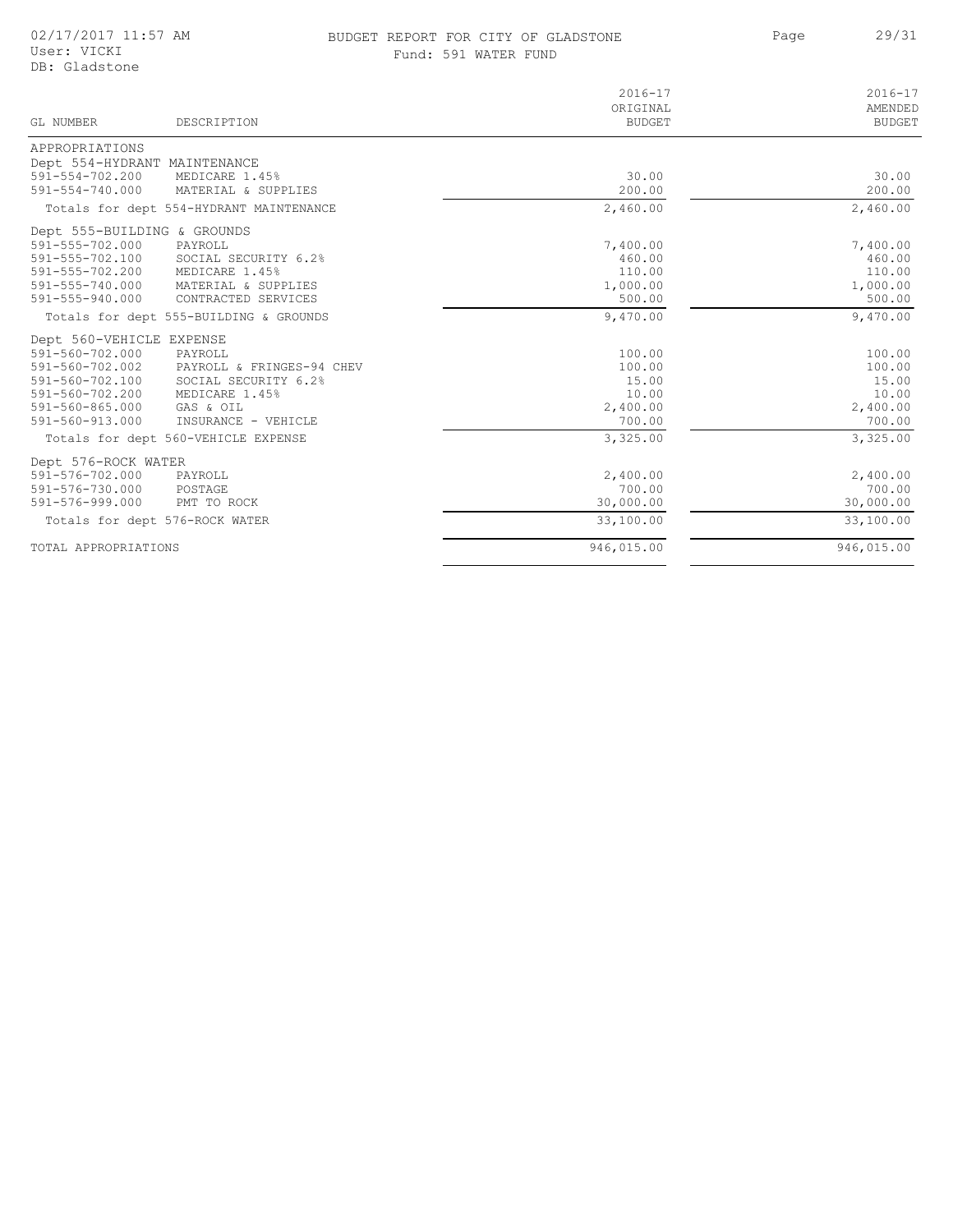#### BUDGET REPORT FOR CITY OF GLADSTONE 29/31 Fund: 591 WATER FUND

Page

| GL NUMBER<br>DESCRIPTION                     | $2016 - 17$<br>ORIGINAL<br><b>BUDGET</b> | $2016 - 17$<br>AMENDED<br><b>BUDGET</b> |
|----------------------------------------------|------------------------------------------|-----------------------------------------|
| APPROPRIATIONS                               |                                          |                                         |
| Dept 554-HYDRANT MAINTENANCE                 |                                          |                                         |
| 591-554-702.200<br>MEDICARE 1.45%            | 30.00                                    | 30.00                                   |
| 591-554-740.000<br>MATERIAL & SUPPLIES       | 200.00                                   | 200.00                                  |
| Totals for dept 554-HYDRANT MAINTENANCE      | 2,460.00                                 | 2,460.00                                |
| Dept 555-BUILDING & GROUNDS                  |                                          |                                         |
| 591-555-702.000<br>PAYROLL                   | 7,400.00                                 | 7,400.00                                |
| 591-555-702.100<br>SOCIAL SECURITY 6.2%      | 460.00                                   | 460.00                                  |
| 591-555-702.200<br>MEDICARE 1.45%            | 110.00                                   | 110.00                                  |
| 591-555-740.000<br>MATERIAL & SUPPLIES       | 1,000.00                                 | 1,000.00                                |
| 591-555-940.000<br>CONTRACTED SERVICES       | 500.00                                   | 500.00                                  |
| Totals for dept 555-BUILDING & GROUNDS       | 9,470.00                                 | 9,470.00                                |
| Dept 560-VEHICLE EXPENSE                     |                                          |                                         |
| 591-560-702.000<br>PAYROLL                   | 100.00                                   | 100.00                                  |
| 591-560-702.002<br>PAYROLL & FRINGES-94 CHEV | 100.00                                   | 100.00                                  |
| 591-560-702.100<br>SOCIAL SECURITY 6.2%      | 15.00                                    | 15.00                                   |
| 591-560-702.200<br>MEDICARE 1.45%            | 10.00                                    | 10.00                                   |
| GAS & OIL<br>591-560-865.000                 | 2,400.00                                 | 2,400.00                                |
| $591 - 560 - 913.000$<br>INSURANCE - VEHICLE | 700.00                                   | 700.00                                  |
| Totals for dept 560-VEHICLE EXPENSE          | 3,325.00                                 | 3,325.00                                |
| Dept 576-ROCK WATER                          |                                          |                                         |
| 591-576-702.000<br>PAYROLL                   | 2,400.00                                 | 2,400.00                                |
| 591-576-730.000<br>POSTAGE                   | 700.00                                   | 700.00                                  |
| 591-576-999.000<br>PMT TO ROCK               | 30,000.00                                | 30,000.00                               |
| Totals for dept 576-ROCK WATER               | 33,100.00                                | 33,100.00                               |
| TOTAL APPROPRIATIONS                         | 946,015.00                               | 946,015.00                              |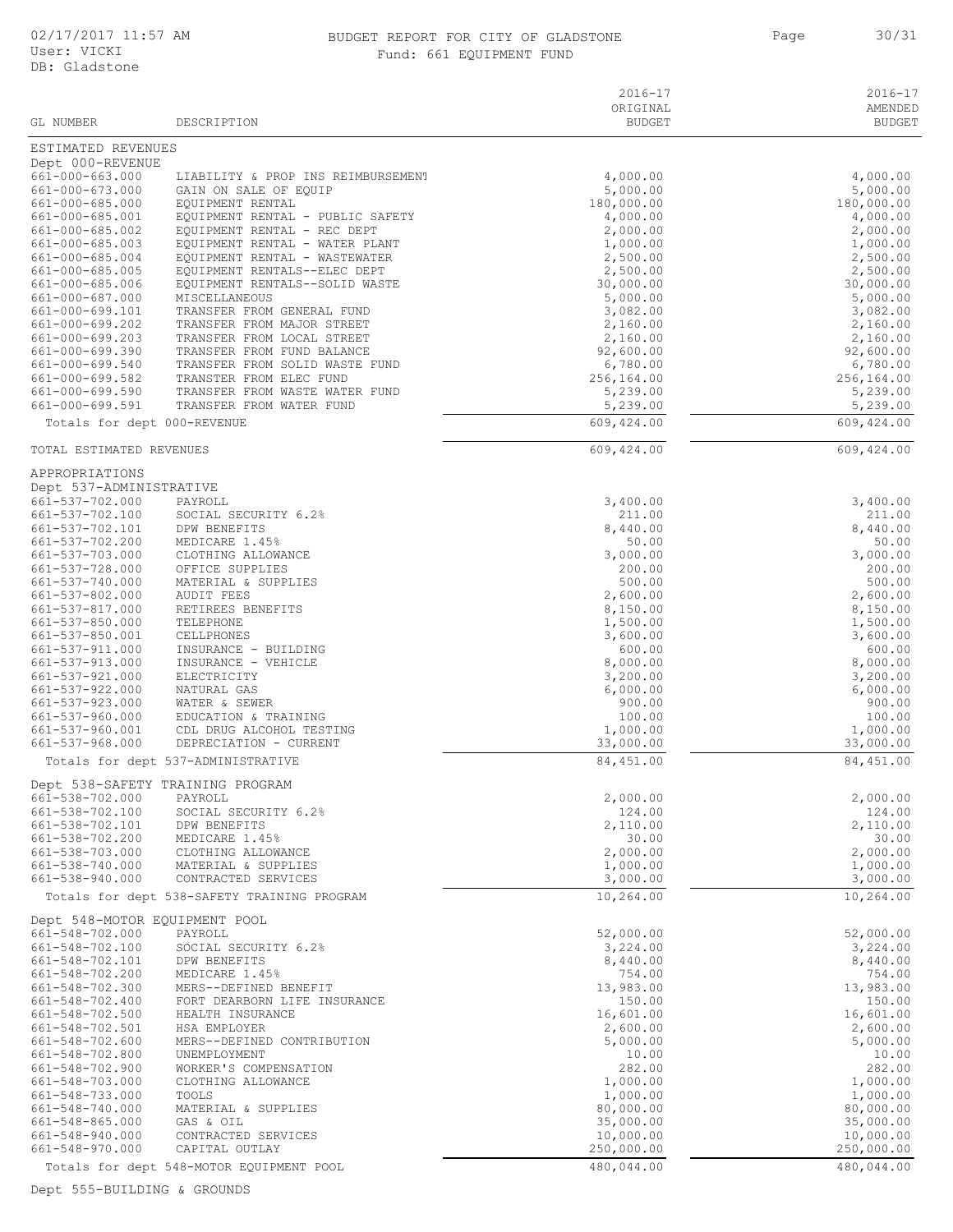#### 02/17/2017 11:57 AM BUDGET REPORT FOR CITY OF GLADSTONE Page 30/31 Fund: 661 EQUIPMENT FUND

| GL NUMBER                                  | DESCRIPTION                                                    | $2016 - 17$<br>ORIGINAL<br><b>BUDGET</b> | $2016 - 17$<br>AMENDED<br><b>BUDGET</b> |
|--------------------------------------------|----------------------------------------------------------------|------------------------------------------|-----------------------------------------|
| ESTIMATED REVENUES                         |                                                                |                                          |                                         |
| Dept 000-REVENUE                           |                                                                |                                          |                                         |
| 661-000-663.000                            | LIABILITY & PROP INS REIMBURSEMENT                             | 4,000.00                                 | 4,000.00                                |
| 661-000-673.000<br>661-000-685.000         | GAIN ON SALE OF EQUIP<br>EQUIPMENT RENTAL                      | 5,000.00<br>180,000.00                   | 5,000.00<br>180,000.00                  |
| 661-000-685.001                            | EQUIPMENT RENTAL - PUBLIC SAFETY                               | 4,000.00                                 | 4,000.00                                |
| 661-000-685.002                            | EQUIPMENT RENTAL - REC DEPT                                    | 2,000.00                                 | 2,000.00                                |
| 661-000-685.003                            | EQUIPMENT RENTAL - WATER PLANT                                 | 1,000.00                                 | 1,000.00                                |
| 661-000-685.004                            | EQUIPMENT RENTAL - WASTEWATER                                  | 2,500.00                                 | 2,500.00                                |
| 661-000-685.005<br>661-000-685.006         | EQUIPMENT RENTALS--ELEC DEPT<br>EQUIPMENT RENTALS--SOLID WASTE | 2,500.00<br>30,000.00                    | 2,500.00<br>30,000.00                   |
| 661-000-687.000                            | <b>MISCELLANEOUS</b>                                           | 5,000.00                                 | 5,000.00                                |
| 661-000-699.101                            | TRANSFER FROM GENERAL FUND                                     | 3,082.00                                 | 3,082.00                                |
| 661-000-699.202                            | TRANSFER FROM MAJOR STREET                                     | 2,160.00                                 | 2,160.00                                |
| 661-000-699.203<br>661-000-699.390         | TRANSFER FROM LOCAL STREET<br>TRANSFER FROM FUND BALANCE       | 2,160.00<br>92,600.00                    | 2,160.00<br>92,600.00                   |
| 661-000-699.540                            | TRANSFER FROM SOLID WASTE FUND                                 | 6,780.00                                 | 6,780.00                                |
| 661-000-699.582                            | TRANSTER FROM ELEC FUND                                        | 256,164.00                               | 256,164.00                              |
| 661-000-699.590                            | TRANSFER FROM WASTE WATER FUND                                 | 5,239.00                                 | 5,239.00                                |
| 661-000-699.591                            | TRANSFER FROM WATER FUND                                       | 5,239.00<br>609, 424.00                  | 5,239.00<br>609, 424.00                 |
| Totals for dept 000-REVENUE                |                                                                |                                          |                                         |
| TOTAL ESTIMATED REVENUES                   |                                                                | 609, 424.00                              | 609,424.00                              |
| APPROPRIATIONS                             |                                                                |                                          |                                         |
| Dept 537-ADMINISTRATIVE<br>661-537-702.000 | PAYROLL                                                        | 3,400.00                                 | 3,400.00                                |
| 661-537-702.100                            | SOCIAL SECURITY 6.2%                                           | 211.00                                   | 211.00                                  |
| 661-537-702.101                            | DPW BENEFITS                                                   | 8,440.00                                 | 8,440.00                                |
| 661-537-702.200                            | MEDICARE 1.45%                                                 | 50.00                                    | 50.00                                   |
| 661-537-703.000<br>661-537-728.000         | CLOTHING ALLOWANCE<br>OFFICE SUPPLIES                          | 3,000.00<br>200.00                       | 3,000.00<br>200.00                      |
| 661-537-740.000                            | MATERIAL & SUPPLIES                                            | 500.00                                   | 500.00                                  |
| 661-537-802.000                            | <b>AUDIT FEES</b>                                              | 2,600.00                                 | 2,600.00                                |
| 661-537-817.000                            | RETIREES BENEFITS                                              | 8,150.00                                 | 8,150.00                                |
| 661-537-850.000                            | TELEPHONE                                                      | 1,500.00                                 | 1,500.00                                |
| 661-537-850.001<br>661-537-911.000         | CELLPHONES<br>INSURANCE - BUILDING                             | 3,600.00<br>600.00                       | 3,600.00<br>600.00                      |
| 661-537-913.000                            | INSURANCE - VEHICLE                                            | 8,000.00                                 | 8,000.00                                |
| 661-537-921.000                            | ELECTRICITY                                                    | 3,200.00                                 | 3,200.00                                |
| 661-537-922.000<br>661-537-923.000         | NATURAL GAS<br>WATER & SEWER                                   | 6,000.00                                 | 6,000.00<br>900.00                      |
| 661-537-960.000                            | EDUCATION & TRAINING                                           | 900.00<br>100.00                         | 100.00                                  |
| 661-537-960.001                            | CDL DRUG ALCOHOL TESTING                                       | 1,000.00                                 | 1,000.00                                |
| 661-537-968.000                            | DEPRECIATION - CURRENT                                         | 33,000.00                                | 33,000.00                               |
|                                            | Totals for dept 537-ADMINISTRATIVE                             | 84, 451.00                               | 84,451.00                               |
|                                            | Dept 538-SAFETY TRAINING PROGRAM                               |                                          |                                         |
| 661-538-702.000<br>661-538-702.100         | PAYROLL<br>SOCIAL SECURITY 6.2%                                | 2,000.00<br>124.00                       | 2,000.00<br>124.00                      |
| 661-538-702.101                            | DPW BENEFITS                                                   | 2,110.00                                 | 2,110.00                                |
| 661-538-702.200                            | MEDICARE 1.45%                                                 | 30.00                                    | 30.00                                   |
| 661-538-703.000                            | CLOTHING ALLOWANCE                                             | 2,000.00                                 | 2,000.00                                |
| 661-538-740.000<br>661-538-940.000         | MATERIAL & SUPPLIES<br>CONTRACTED SERVICES                     | 1,000.00                                 | 1,000.00                                |
|                                            | Totals for dept 538-SAFETY TRAINING PROGRAM                    | 3,000.00<br>10,264.00                    | 3,000.00<br>10,264.00                   |
| Dept 548-MOTOR EQUIPMENT POOL              |                                                                |                                          |                                         |
| 661-548-702.000                            | PAYROLL                                                        | 52,000.00                                | 52,000.00                               |
| 661-548-702.100                            | SOCIAL SECURITY 6.2%                                           | 3,224.00                                 | 3,224.00                                |
| 661-548-702.101                            | DPW BENEFITS                                                   | 8,440.00                                 | 8,440.00                                |
| 661-548-702.200                            | MEDICARE 1.45%                                                 | 754.00                                   | 754.00                                  |
| 661-548-702.300<br>661-548-702.400         | MERS--DEFINED BENEFIT<br>FORT DEARBORN LIFE INSURANCE          | 13,983.00<br>150.00                      | 13,983.00<br>150.00                     |
| 661-548-702.500                            | HEALTH INSURANCE                                               | 16,601.00                                | 16,601.00                               |
| 661-548-702.501                            | HSA EMPLOYER                                                   | 2,600.00                                 | 2,600.00                                |
| 661-548-702.600<br>661-548-702.800         | MERS--DEFINED CONTRIBUTION<br>UNEMPLOYMENT                     | 5,000.00<br>10.00                        | 5,000.00<br>10.00                       |
| 661-548-702.900                            | WORKER'S COMPENSATION                                          | 282.00                                   | 282.00                                  |
| 661-548-703.000                            | CLOTHING ALLOWANCE                                             | 1,000.00                                 | 1,000.00                                |
| 661-548-733.000                            | TOOLS                                                          | 1,000.00                                 | 1,000.00                                |
| 661-548-740.000<br>661-548-865.000         | MATERIAL & SUPPLIES<br>GAS & OIL                               | 80,000.00<br>35,000.00                   | 80,000.00<br>35,000.00                  |
| 661-548-940.000                            | CONTRACTED SERVICES                                            | 10,000.00                                | 10,000.00                               |
| 661-548-970.000                            | CAPITAL OUTLAY                                                 | 250,000.00                               | 250,000.00                              |
|                                            | Totals for dept 548-MOTOR EQUIPMENT POOL                       | 480,044.00                               | 480,044.00                              |

Dept 555-BUILDING & GROUNDS